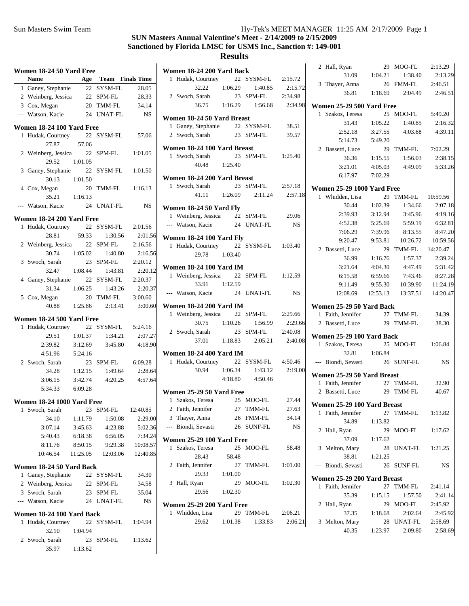| Women 18-24 50 Yard Free |                            |         |                      |           |  |  |
|--------------------------|----------------------------|---------|----------------------|-----------|--|--|
|                          | <b>Name</b>                |         | Age Team Finals Time |           |  |  |
|                          | 1 Ganey, Stephanie         | 22      | SYSM-FL              | 28.05     |  |  |
|                          | 2 Weinberg, Jessica        |         | 22 SPM-FL            | 28.33     |  |  |
|                          | 3 Cox, Megan               |         | 20 TMM-FL            | 34.14     |  |  |
|                          | --- Watson, Kacie          | 24      | <b>UNAT-FL</b>       | <b>NS</b> |  |  |
|                          |                            |         |                      |           |  |  |
|                          | Women 18-24 100 Yard Free  |         | 22 SYSM-FL           |           |  |  |
| 1                        | Hudak, Courtney<br>27.87   | 57.06   |                      | 57.06     |  |  |
|                          | 2 Weinberg, Jessica 22     |         |                      | 1:01.05   |  |  |
|                          | 29.52                      | 1:01.05 | SPM-FL               |           |  |  |
| 3                        | Ganey, Stephanie 22        |         | SYSM-FL              | 1:01.50   |  |  |
|                          | 30.13                      | 1:01.50 |                      |           |  |  |
|                          | 4 Cox, Megan               | 20      | TMM-FL               | 1:16.13   |  |  |
|                          | 35.21                      |         |                      |           |  |  |
|                          |                            | 1:16.13 |                      |           |  |  |
|                          | --- Watson, Kacie          |         | 24 UNAT-FL           | <b>NS</b> |  |  |
|                          | Women 18-24 200 Yard Free  |         |                      |           |  |  |
| 1                        | Hudak, Courtney            |         | 22 SYSM-FL           | 2:01.56   |  |  |
|                          | 28.81                      | 59.33   | 1:30.56              | 2:01.56   |  |  |
|                          | 2 Weinberg, Jessica 22     |         | SPM-FL               | 2:16.56   |  |  |
|                          | 30.74                      | 1:05.02 | 1:40.80              | 2:16.56   |  |  |
|                          | 3 Swoch, Sarah             | 23      | SPM-FL               | 2:20.12   |  |  |
|                          | 32.47                      | 1:08.44 | 1:43.81              | 2:20.12   |  |  |
|                          | 4 Ganey, Stephanie 22      |         | SYSM-FL              | 2:20.37   |  |  |
|                          | 31.34                      | 1:06.25 | 1:43.26              | 2:20.37   |  |  |
|                          | 5 Cox, Megan               | 20      | TMM-FL               | 3:00.60   |  |  |
|                          | 40.88                      | 1:25.86 | 2:13.41              | 3:00.60   |  |  |
|                          | Women 18-24 500 Yard Free  |         |                      |           |  |  |
| 1                        | Hudak, Courtney            |         | 22 SYSM-FL           | 5:24.16   |  |  |
|                          | 29.51                      | 1:01.37 | 1:34.21              | 2:07.27   |  |  |
|                          | 2:39.82                    | 3:12.69 | 3:45.80              | 4:18.90   |  |  |
|                          | 4:51.96                    | 5:24.16 |                      |           |  |  |
|                          | 2 Swoch, Sarah             |         | 23 SPM-FL            | 6:09.28   |  |  |
|                          | 34.28                      | 1:12.15 | 1:49.64              | 2:28.64   |  |  |
|                          | 3:06.15                    | 3:42.74 | 4:20.25              | 4:57.64   |  |  |
|                          | 5:34.33                    | 6:09.28 |                      |           |  |  |
|                          |                            |         |                      |           |  |  |
|                          | Women 18-24 1000 Yard Free |         |                      |           |  |  |
|                          | 1 Swoch, Sarah             |         | 23 SPM-FL 12:40.85   |           |  |  |
|                          | 34.10                      | 1:11.79 | 1:50.08              | 2:29.00   |  |  |
|                          | 3:07.14                    | 3:45.63 | 4:23.88              | 5:02.36   |  |  |
|                          | 5:40.43                    | 6:18.38 | 6:56.05              | 7:34.24   |  |  |
|                          | 8:11.76                    | 8:50.15 | 9:29.38              | 10:08.57  |  |  |
|                          | 10:46.54                   |         | 11:25.05 12:03.06    | 12:40.85  |  |  |
|                          | Women 18-24 50 Yard Back   |         |                      |           |  |  |
| 1                        | Ganey, Stephanie           |         | 22 SYSM-FL           | 34.30     |  |  |
|                          | 2 Weinberg, Jessica        |         | 22 SPM-FL            | 34.58     |  |  |
|                          | 3 Swoch, Sarah             |         | 23 SPM-FL            | 35.04     |  |  |
|                          | --- Watson, Kacie          |         | 24 UNAT-FL           | NS        |  |  |
|                          |                            |         |                      |           |  |  |
|                          | Women 18-24 100 Yard Back  |         |                      |           |  |  |
| 1                        | Hudak, Courtney            | 22      | SYSM-FL              | 1:04.94   |  |  |
|                          | 32.10                      | 1:04.94 |                      |           |  |  |
|                          | 2 Swoch, Sarah             |         | 23 SPM-FL            | 1:13.62   |  |  |
|                          | 35.97                      | 1:13.62 |                      |           |  |  |

| Women 18-24 200 Yard Back             |         |                                                          |         |
|---------------------------------------|---------|----------------------------------------------------------|---------|
| 1 Hudak, Courtney 22 SYSM-FL          |         |                                                          | 2:15.72 |
|                                       |         | 32.22 1:06.29 1:40.85                                    | 2:15.72 |
| 2 Swoch, Sarah                        |         | 23 SPM-FL                                                | 2:34.98 |
|                                       |         | 36.75 1:16.29 1:56.68                                    | 2:34.98 |
| Women 18-24 50 Yard Breast            |         |                                                          |         |
| 1 Ganey, Stephanie 22 SYSM-FL 38.51   |         |                                                          |         |
| 2 Swoch, Sarah 23 SPM-FL 39.57        |         |                                                          |         |
| Women 18-24 100 Yard Breast           |         |                                                          |         |
| 1 Swoch, Sarah                        |         | 23 SPM-FL 1:25.40                                        |         |
| 40.48 1:25.40                         |         |                                                          |         |
| Women 18-24 200 Yard Breast           |         |                                                          |         |
| 1 Swoch, Sarah 23 SPM-FL 2:57.18      |         |                                                          |         |
|                                       |         | 41.11 1:26.09 2:11.24 2:57.18                            |         |
| Women 18-24 50 Yard Fly               |         |                                                          |         |
| 1 Weinberg, Jessica 22 SPM-FL 29.06   |         |                                                          |         |
| --- Watson, Kacie 24 UNAT-FL          |         |                                                          | NS      |
| <b>Women 18-24 100 Yard Fly</b>       |         |                                                          |         |
| 1 Hudak, Courtney 22 SYSM-FL 1:03.40  |         |                                                          |         |
| 29.78 1:03.40                         |         |                                                          |         |
| <b>Women 18-24 100 Yard IM</b>        |         |                                                          |         |
| 1 Weinberg, Jessica 22 SPM-FL 1:12.59 |         |                                                          |         |
| 33.91 1:12.59                         |         |                                                          |         |
| --- Watson, Kacie 24 UNAT-FL NS       |         |                                                          |         |
| <b>Women 18-24 200 Yard IM</b>        |         |                                                          |         |
| 1 Weinberg, Jessica 22 SPM-FL 2:29.66 |         |                                                          |         |
|                                       |         | 30.75 1:10.26 1:56.99 2:29.66                            |         |
| 2 Swoch, Sarah                        |         |                                                          |         |
|                                       |         | Sarah 23 SPM-FL 2:40.08<br>37.01 1:18.83 2:05.21 2:40.08 |         |
| <b>Women 18-24 400 Yard IM</b>        |         |                                                          |         |
| 1 Hudak, Courtney 22 SYSM-FL 4:50.46  |         |                                                          |         |
|                                       |         | 30.94 1:06.34 1:43.12 2:19.00                            |         |
|                                       |         | $4:18.80$ $4:50.46$                                      |         |
| Women 25-29 50 Yard Free              |         |                                                          |         |
| 1 Szakos, Teresa 25 MOO-FL 27.44      |         |                                                          |         |
| 2 Faith, Jennifer 27 TMM-FL 27.63     |         |                                                          |         |
| 3 Thayer, Anna                        |         | 26 FMM-FL                                                | 34.14   |
| --- Biondi, Sevasti                   |         | 26 SUNF-FL                                               | NS      |
| Women 25-29 100 Yard Free             |         |                                                          |         |
| Szakos, Teresa<br>1                   | 25      | MOO-FL                                                   | 58.48   |
| 28.43                                 | 58.48   |                                                          |         |
| 2 Faith, Jennifer                     | 27      | TMM-FL                                                   | 1:01.00 |
| 29.33                                 | 1:01.00 |                                                          |         |
| 3 Hall, Ryan                          |         | 29 MOO-FL                                                | 1:02.30 |
| 29.56 1:02.30                         |         |                                                          |         |
| Women 25-29 200 Yard Free             |         |                                                          |         |
| Whidden, Lisa<br>1                    | 29      | TMM-FL                                                   | 2:06.21 |
| 29.62                                 | 1:01.38 | 1:33.83                                                  | 2:06.21 |

|                | 2 Hall, Ryan                      | 29      | MOO-FL             | 2:13.29   |
|----------------|-----------------------------------|---------|--------------------|-----------|
|                | 31.09                             | 1:04.21 | 1:38.40            | 2:13.29   |
|                | 3 Thayer, Anna                    | 26      | FMM-FL             | 2:46.51   |
|                | 36.81                             | 1:18.69 | 2:04.49            | 2:46.51   |
|                |                                   |         |                    |           |
|                | Women 25-29 500 Yard Free         |         |                    |           |
| 1              | Szakos, Teresa                    |         | 25 MOO-FL          | 5:49.20   |
|                | 31.43                             | 1:05.22 | 1:40.85            | 2:16.32   |
|                | 2:52.18                           | 3:27.55 | 4:03.68            | 4:39.11   |
|                | 5:14.73                           | 5:49.20 |                    |           |
|                | 2 Bassetti, Luce                  | 29      | TMM-FL             | 7:02.29   |
|                | 36.36                             | 1:15.55 | 1:56.03            | 2:38.15   |
|                | 3:21.01                           | 4:05.03 | 4:49.09            | 5:33.26   |
|                | 6:17.97                           | 7:02.29 |                    |           |
|                | <b>Women 25-29 1000 Yard Free</b> |         |                    |           |
| 1              | Whidden, Lisa                     |         | 29 TMM-FL 10:59.56 |           |
|                | 30.44                             | 1:02.39 | 1:34.66            | 2:07.18   |
|                | 2:39.93                           | 3:12.94 | 3:45.96            | 4:19.16   |
|                | 4:52.38                           | 5:25.69 | 5:59.19            | 6:32.81   |
|                | 7:06.29                           | 7:39.96 | 8:13.55            | 8:47.20   |
|                | 9:20.47                           | 9:53.81 | 10:26.72           | 10:59.56  |
|                | 2 Bassetti, Luce                  | 29      | TMM-FL             | 14:20.47  |
|                | 36.99                             | 1:16.76 | 1:57.37            | 2:39.24   |
|                | 3:21.64                           | 4:04.30 | 4:47.49            | 5:31.42   |
|                |                                   |         |                    |           |
|                | 6:15.58                           | 6:59.66 | 7:43.46            | 8:27.28   |
|                | 9:11.49                           | 9:55.30 | 10:39.90           | 11:24.19  |
|                | 12:08.69                          |         | 12:53.13  13:37.51 | 14:20.47  |
|                |                                   |         |                    |           |
|                | Women 25-29 50 Yard Back          |         |                    |           |
|                | 1 Faith, Jennifer                 |         | 27 TMM-FL          | 34.39     |
|                | 2 Bassetti, Luce                  |         | 29 TMM-FL          | 38.30     |
|                |                                   |         |                    |           |
|                | Women 25-29 100 Yard Back         |         |                    |           |
| 1              | Szakos, Teresa                    |         | 25 MOO-FL          | 1:06.84   |
|                | 32.81                             | 1:06.84 |                    |           |
|                | --- Biondi, Sevasti               |         | 26 SUNF-FL         | <b>NS</b> |
|                | Women 25-29 50 Yard Breast        |         |                    |           |
|                | 1 Faith, Jennifer                 |         | 27 TMM-FL          | 32.90     |
|                | 2 Bassetti, Luce                  |         | 29 TMM-FL          | 40.67     |
|                |                                   |         |                    |           |
|                | Women 25-29 100 Yard Breast       |         |                    |           |
| 1              | Faith, Jennifer                   | 27      | TMM-FL             | 1:13.82   |
|                | 34.89                             | 1:13.82 |                    |           |
| 2              | Hall, Ryan                        | 29      | MOO-FL             | 1:17.62   |
|                | 37.09                             | 1:17.62 |                    |           |
| 3              | Melton, Mary                      | 28      | UNAT-FL            | 1:21.25   |
|                | 38.81                             | 1:21.25 |                    |           |
| $\overline{a}$ | Biondi, Sevasti                   |         | 26 SUNF-FL         | NS        |
|                | Women 25-29 200 Yard Breast       |         |                    |           |
| 1              | Faith, Jennifer                   | 27      | TMM-FL             | 2:41.14   |
|                | 35.39                             | 1:15.15 | 1:57.50            | 2:41.14   |
| 2              | Hall, Ryan                        |         | 29 MOO-FL          | 2:45.92   |
|                | 37.35                             | 1:18.68 | 2:02.64            | 2:45.92   |
| 3              | Melton, Mary                      | 28      | UNAT-FL            | 2:58.69   |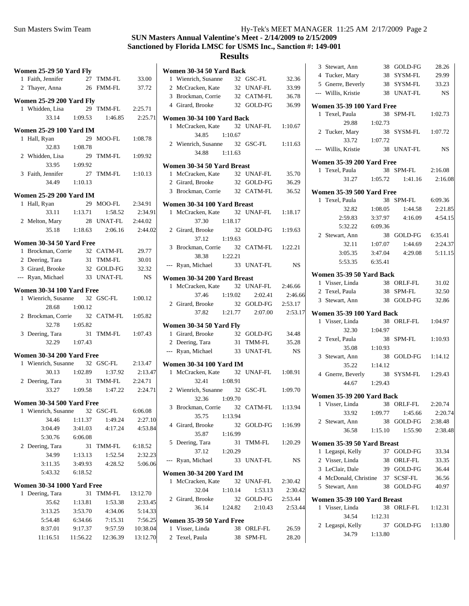| Women 25-29 50 Yard Fly                                    |                   |                                        |             |
|------------------------------------------------------------|-------------------|----------------------------------------|-------------|
| 1 Faith, Jennifer                                          |                   | 27 TMM-FL 33.00                        |             |
| 2 Thayer, Anna 26 FMM-FL 37.72                             |                   |                                        |             |
| <b>Women 25-29 200 Yard Fly</b>                            |                   |                                        |             |
| 1 Whidden, Lisa 29 TMM-FL                                  |                   |                                        | 2:25.71     |
|                                                            | $33.14$ 1:09.53   | 1:46.85                                | 2:25.71     |
| <b>Women 25-29 100 Yard IM</b>                             |                   |                                        |             |
| 1 Hall, Ryan                                               |                   | 29 MOO-FL 1:08.78                      |             |
|                                                            | 32.83 1:08.78     |                                        |             |
| 2 Whidden, Lisa                                            |                   | 29 TMM-FL 1:09.92                      |             |
| 33.95                                                      | 1:09.92           |                                        |             |
| 3 Faith, Jennifer                                          |                   | 27 TMM-FL 1:10.13                      |             |
|                                                            | 34.49 1:10.13     |                                        |             |
| <b>Women 25-29 200 Yard IM</b>                             |                   |                                        |             |
| 1 Hall, Ryan                                               |                   | 29 MOO-FL 2:34.91                      |             |
|                                                            | $33.11$ 1:13.71   | 1:58.52                                | 2:34.91     |
| 2 Melton, Mary                                             |                   | 28 UNAT-FL 2:44.02                     |             |
|                                                            |                   | 35.18 1:18.63 2:06.16 2:44.02          |             |
| Women 30-34 50 Yard Free                                   |                   |                                        |             |
| 1 Brockman, Corrie 32 CATM-FL<br>2 Deering, Tara 31 TMM-FL |                   |                                        | 29.77       |
| 2 Deering, Tara                                            |                   |                                        | 30.01       |
| 3 Girard, Brooke 32 GOLD-FG 32.32                          |                   |                                        |             |
| --- Ryan, Michael                                          |                   | 33 UNAT-FL                             | $_{\rm NS}$ |
| Women 30-34 100 Yard Free                                  |                   |                                        |             |
| 1 Wienrich, Susanne 32 GSC-FL 1:00.12                      |                   |                                        |             |
|                                                            | 28.68 1:00.12     |                                        |             |
| 2 Brockman, Corrie 32 CATM-FL 1:05.82                      |                   |                                        |             |
|                                                            | 32.78 1:05.82     |                                        |             |
| 3 Deering, Tara 31<br>32.29 1:07.43                        |                   | 31 TMM-FL 1:07.43                      |             |
|                                                            |                   |                                        |             |
| Women 30-34 200 Yard Free                                  |                   |                                        |             |
| 1 Wienrich, Susanne 32 GSC-FL 2:13.47                      |                   |                                        |             |
|                                                            |                   | 30.13 1:02.89 1:37.92 2:13.47          |             |
| 2 Deering, Tara 31 TMM-FL 2:24.71                          |                   |                                        |             |
|                                                            |                   | 33.27 1:09.58 1:47.22 2:24.71          |             |
| Women 30-34 500 Yard Free                                  |                   |                                        |             |
| 1 Wienrich, Susanne 32 GSC-FL 6:06.08                      |                   |                                        |             |
|                                                            | 34.46 1:11.37     | 1:49.24                                | 2:27.10     |
|                                                            |                   | 3:04.49 3:41.03 4:17.24 4:53.84        |             |
| 5:30.76 6:06.08                                            |                   |                                        |             |
| 2 Deering, Tara                                            |                   | 31 TMM-FL 6:18.52                      |             |
|                                                            | 34.99 1:13.13     | 1:52.54                                | 2:32.23     |
| 3:11.35                                                    |                   | 3:49.93 4:28.52 5:06.06                |             |
| 5:43.32 6:18.52                                            |                   |                                        |             |
| <b>Women 30-34 1000 Yard Free</b>                          |                   |                                        |             |
| 1 Deering, Tara                                            |                   | 31 TMM-FL 13:12.70                     |             |
|                                                            | $35.62 \t1:13.81$ | 1:53.38                                | 2:33.45     |
|                                                            |                   | 3:13.25 3:53.70 4:34.06 5:14.33        |             |
|                                                            |                   | 5:54.48 6:34.66 7:15.31 7:56.25        |             |
|                                                            |                   | 8:37.01 9:17.37 9:57.59 10:38.04       |             |
|                                                            |                   | 11:16.51  11:56.22  12:36.39  13:12.70 |             |
|                                                            |                   |                                        |             |

|   | Women 30-34 50 Yard Back                                     |         |                           |           |
|---|--------------------------------------------------------------|---------|---------------------------|-----------|
|   | 1 Wienrich, Susanne 32 GSC-FL                                |         |                           | 32.36     |
|   | 2 McCracken, Kate                                            |         | 32 UNAF-FL                | 33.99     |
|   | 3 Brockman, Corrie 32 CATM-FL                                |         |                           | 36.78     |
|   | 4 Girard, Brooke 32 GOLD-FG                                  |         |                           | 36.99     |
|   | Women 30-34 100 Yard Back                                    |         |                           |           |
|   | 1 McCracken, Kate 32 UNAF-FL 1:10.67                         |         |                           |           |
|   | 34.85 1:10.67                                                |         |                           |           |
|   | 2 Wienrich, Susanne 32 GSC-FL 1:11.63                        |         |                           |           |
|   | 34.88 1:11.63                                                |         |                           |           |
|   | Women 30-34 50 Yard Breast                                   |         |                           |           |
|   | 1 McCracken, Kate                                            |         | 32 UNAF-FL                | 35.70     |
|   | 2 Girard, Brooke                                             |         | 32 GOLD-FG                | 36.29     |
|   | 3 Brockman, Corrie 32 CATM-FL                                |         |                           | 36.52     |
|   | Women 30-34 100 Yard Breast                                  |         |                           |           |
|   | 1 McCracken, Kate                                            |         | 32 UNAF-FL 1:18.17        |           |
|   | 37.30                                                        | 1:18.17 |                           |           |
|   | 2 Girard, Brooke                                             |         | 32 GOLD-FG 1:19.63        |           |
|   | 37.12 1:19.63                                                |         |                           |           |
|   | 3 Brockman, Corrie 32 CATM-FL 1:22.21                        |         |                           |           |
|   | 38.38 1:22.21                                                |         |                           |           |
|   | --- Ryan, Michael                                            |         | 33 UNAT-FL                | <b>NS</b> |
|   | Women 30-34 200 Yard Breast                                  |         |                           |           |
|   | 1 McCracken, Kate 32 UNAF-FL 2:46.66                         |         |                           |           |
|   | 37.46                                                        | 1:19.02 | 2:02.41                   | 2:46.66   |
|   | 2 Girard, Brooke                                             |         | 32 GOLD-FG 2:53.17        |           |
|   |                                                              |         | 37.82   1:21.77   2:07.00 | 2:53.17   |
|   | <b>Women 30-34 50 Yard Fly</b>                               |         |                           |           |
|   |                                                              |         | 32 GOLD-FG                | 34.48     |
|   | <b>OMEN 30-34</b><br>1 Girard, Brooke 32 GOLL 1<br>31 TMM-FL |         |                           | 35.28     |
|   | --- Ryan, Michael 33 UNAT-FL                                 |         |                           | <b>NS</b> |
|   | <b>Women 30-34 100 Yard IM</b>                               |         |                           |           |
|   | 1 McCracken, Kate 32 UNAF-FL 1:08.91                         |         |                           |           |
|   | 32.41 1:08.91                                                |         |                           |           |
|   | 2 Wienrich, Susanne 32 GSC-FL                                |         |                           | 1:09.70   |
|   | 32.36 1:09.70                                                |         |                           |           |
|   | 3 Brockman, Corrie 32 CATM-FL 1:13.94                        |         |                           |           |
|   | 35.75                                                        | 1:13.94 |                           |           |
|   | 4 Girard, Brooke                                             |         | 32 GOLD-FG 1:16.99        |           |
|   | 35.87                                                        | 1:16.99 |                           |           |
|   | 5 Deering, Tara                                              |         | 31 TMM-FL                 | 1:20.29   |
|   | 37.12                                                        | 1:20.29 |                           |           |
|   | --- Ryan, Michael                                            |         | 33 UNAT-FL                | NS        |
|   | <b>Women 30-34 200 Yard IM</b>                               |         |                           |           |
| 1 | McCracken, Kate                                              |         | 32 UNAF-FL                | 2:30.42   |
|   | 32.04 1:10.14                                                |         | 1:53.13                   | 2:30.42   |
|   | 2 Girard, Brooke                                             |         | 32 GOLD-FG                | 2:53.44   |
|   | 36.14                                                        | 1:24.82 | 2:10.43                   | 2:53.44   |
|   |                                                              |         |                           |           |
|   | Women 35-39 50 Yard Free<br>1 Visser, Linda                  |         | 38 ORLF-FL                | 26.59     |
|   | 2 Texel, Paula                                               |         | 38 SPM-FL                 | 28.20     |
|   |                                                              |         |                           |           |

|                | 3 Stewart, Ann                               | 38      | GOLD-FG               | 28.26     |
|----------------|----------------------------------------------|---------|-----------------------|-----------|
|                | 4 Tucker, Mary                               | - 38    | SYSM-FL               | 29.99     |
|                | 5 Gnerre, Beverly                            | 38      | SYSM-FL               | 33.23     |
|                | --- Willis, Kristie                          |         | 38 UNAT-FL            | NS        |
|                |                                              |         |                       |           |
|                | <b>Women 35-39 100 Yard Free</b>             |         |                       |           |
| 1              | Texel, Paula                                 |         | 38 SPM-FL             | 1:02.73   |
|                | 29.88 1:02.73                                |         |                       |           |
| $\mathbf{2}$   | Tucker, Mary                                 | 38      | SYSM-FL               | 1:07.72   |
|                | 33.72 1:07.72                                |         |                       |           |
|                | --- Willis, Kristie                          |         | 38 UNAT-FL            | <b>NS</b> |
|                | <b>Women 35-39 200 Yard Free</b>             |         |                       |           |
|                | 1 Texel, Paula                               |         | 38 SPM-FL             | 2:16.08   |
|                |                                              |         | 31.27 1:05.72 1:41.16 | 2:16.08   |
|                |                                              |         |                       |           |
|                | Women 35-39 500 Yard Free                    |         |                       |           |
| 1              | Texel, Paula                                 |         | 38 SPM-FL             | 6:09.36   |
|                | 32.82                                        | 1:08.05 | 1:44.58               | 2:21.85   |
|                | 2:59.83                                      |         | $3:37.97$ $4:16.09$   | 4:54.15   |
|                | 5:32.22 6:09.36                              |         |                       |           |
|                | 2 Stewart, Ann                               |         | 38 GOLD-FG            | 6:35.41   |
|                | 32.11                                        | 1:07.07 | 1:44.69               | 2:24.37   |
|                | 3:05.35                                      | 3:47.04 | 4:29.08               | 5:11.15   |
|                | 5:53.35                                      | 6:35.41 |                       |           |
|                | Women 35-39 50 Yard Back                     |         |                       |           |
|                | 1 Visser, Linda                              |         | 38 ORLF-FL            | 31.02     |
|                | 2 Texel, Paula                               |         | 38 SPM-FL             | 32.50     |
|                | 3 Stewart, Ann                               | 38      | GOLD-FG               | 32.86     |
|                | Women 35-39 100 Yard Back                    |         |                       |           |
|                | 1 Visser, Linda                              |         | 38 ORLF-FL            | 1:04.97   |
|                | 32.30                                        | 1:04.97 |                       |           |
|                | 2 Texel, Paula                               | 38      | SPM-FL                | 1:10.93   |
|                | 35.08                                        | 1:10.93 |                       |           |
|                | 3 Stewart, Ann                               | 38      | GOLD-FG               | 1:14.12   |
|                | 35.22                                        | 1:14.12 |                       |           |
|                | 4 Gnerre, Beverly                            |         | 38 SYSM-FL            | 1:29.43   |
|                | 44.67                                        | 1:29.43 |                       |           |
|                |                                              |         |                       |           |
|                | Women 35-39 200 Yard Back                    |         |                       |           |
|                | 1 Visser, Linda 38 ORLF-FL 2:20.74           |         |                       |           |
|                | 33.92                                        | 1:09.77 | 1:45.66               | 2:20.74   |
|                | 2 Stewart, Ann                               |         | 38 GOLD-FG            | 2:38.48   |
|                | 36.58                                        | 1:15.10 | 1:55.90               | 2:38.48   |
|                | Women 35-39 50 Yard Breast                   |         |                       |           |
| 1              | Legaspi, Kelly                               |         | 37 GOLD-FG            | 33.34     |
|                | 2 Visser, Linda                              |         | 38 ORLF-FL            | 33.35     |
|                | 3 LeClair, Dale                              |         | 39 GOLD-FG            | 36.44     |
|                | 4 McDonald, Christine 37 SCSF-FL             |         |                       | 36.56     |
|                | 5 Stewart, Ann                               |         | 38 GOLD-FG            | 40.97     |
|                |                                              |         |                       |           |
| 1              | Women 35-39 100 Yard Breast<br>Visser, Linda | 38      | ORLF-FL               | 1:12.31   |
|                | 34.54                                        | 1:12.31 |                       |           |
| $\overline{2}$ | Legaspi, Kelly                               | 37      | GOLD-FG               | 1:13.80   |
|                | 34.79   1:13.80                              |         |                       |           |
|                |                                              |         |                       |           |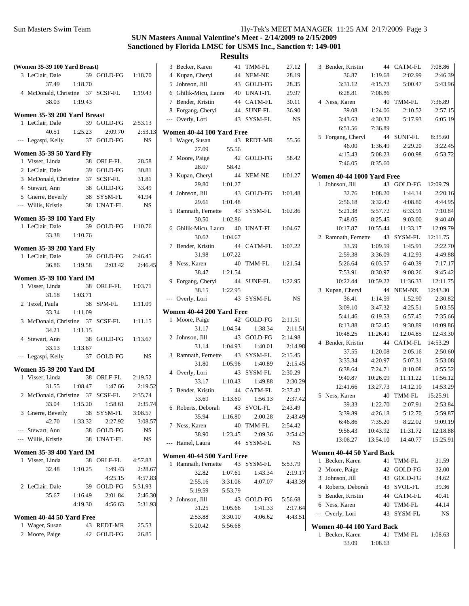| (Women 35-39 100 Yard Breast)                     |            |                    | 3 Becker, Karen           |         | 41 TMM-FL  | 27.12     | 3 Bender, Kristin          |                    | 44 CATM-FL             | 7:08.86              |
|---------------------------------------------------|------------|--------------------|---------------------------|---------|------------|-----------|----------------------------|--------------------|------------------------|----------------------|
| 3 LeClair, Dale                                   | 39 GOLD-FG | 1:18.70            | 4 Kupan, Cheryl           |         | 44 NEM-NE  | 28.19     | 36.87                      | 1:19.68            | 2:02.99                | 2:46.39              |
| 37.49<br>1:18.70                                  |            |                    | 5 Johnson, Jill           |         | 43 GOLD-FG | 28.35     | 3:31.12                    | 4:15.73            | 5:00.47                | 5:43.96              |
| 4 McDonald, Christine 37 SCSF-FL                  |            | 1:19.43            | 6 Ghilik-Micu, Laura      |         | 40 UNAT-FL | 29.97     | 6:28.81                    | 7:08.86            |                        |                      |
| 38.03<br>1:19.43                                  |            |                    | 7 Bender, Kristin         |         | 44 CATM-FL | 30.11     | 4 Ness, Karen              |                    | 40 TMM-FL              | 7:36.89              |
| Women 35-39 200 Yard Breast                       |            |                    | 8 Forgang, Cheryl         |         | 44 SUNF-FL | 36.90     | 39.08                      | 1:24.06            | 2:10.52                | 2:57.15              |
| 1 LeClair, Dale                                   | 39 GOLD-FG | 2:53.13            | --- Overly, Lori          |         | 43 SYSM-FL | <b>NS</b> | 3:43.63                    | 4:30.32            | 5:17.93                | 6:05.19              |
| 40.51<br>1:25.23                                  | 2:09.70    | 2:53.13            | Women 40-44 100 Yard Free |         |            |           | 6:51.56                    | 7:36.89            |                        |                      |
| --- Legaspi, Kelly                                | 37 GOLD-FG | <b>NS</b>          | 1 Wager, Susan            |         | 43 REDT-MR | 55.56     | 5 Forgang, Cheryl          |                    | 44 SUNF-FL             | 8:35.60              |
|                                                   |            |                    | 27.09                     | 55.56   |            |           | 46.00                      | 1:36.49            | 2:29.20                | 3:22.45              |
| Women 35-39 50 Yard Fly                           |            |                    | 2 Moore, Paige            |         | 42 GOLD-FG | 58.42     | 4:15.43                    | 5:08.23            | 6:00.98                | 6:53.72              |
| 1 Visser, Linda                                   | 38 ORLF-FL | 28.58              | 28.07                     | 58.42   |            |           | 7:46.05                    | 8:35.60            |                        |                      |
| 2 LeClair, Dale                                   | 39 GOLD-FG | 30.81              | 3 Kupan, Cheryl           |         | 44 NEM-NE  | 1:01.27   | Women 40-44 1000 Yard Free |                    |                        |                      |
| 3 McDonald, Christine                             | 37 SCSF-FL | 31.81              | 29.80                     | 1:01.27 |            |           | 1 Johnson, Jill            |                    | 43 GOLD-FG             | 12:09.79             |
| 4 Stewart, Ann                                    | 38 GOLD-FG | 33.49              | 4 Johnson, Jill           |         | 43 GOLD-FG | 1:01.48   | 32.76                      | 1:08.20            | 1:44.14                | 2:20.16              |
| 5 Gnerre, Beverly                                 | 38 SYSM-FL | 41.94              | 29.61                     | 1:01.48 |            |           | 2:56.18                    | 3:32.42            | 4:08.80                | 4:44.95              |
| --- Willis, Kristie                               | 38 UNAT-FL | <b>NS</b>          | 5 Ramnath, Fernette       |         | 43 SYSM-FL | 1:02.86   | 5:21.38                    | 5:57.72            | 6:33.91                | 7:10.84              |
| <b>Women 35-39 100 Yard Fly</b>                   |            |                    | 30.50                     | 1:02.86 |            |           | 7:48.05                    | 8:25.45            | 9:03.00                | 9:40.40              |
| 1 LeClair, Dale                                   | 39 GOLD-FG | 1:10.76            | 6 Ghilik-Micu, Laura      |         | 40 UNAT-FL | 1:04.67   | 10:17.87                   | 10:55.44           | 11:33.17               | 12:09.79             |
| 33.38<br>1:10.76                                  |            |                    | 30.62                     | 1:04.67 |            |           | 2 Ramnath, Fernette        |                    | 43 SYSM-FL             | 12:11.75             |
|                                                   |            |                    | 7 Bender, Kristin         |         | 44 CATM-FL | 1:07.22   | 33.59                      | 1:09.59            | 1:45.91                | 2:22.70              |
| <b>Women 35-39 200 Yard Fly</b>                   |            |                    | 31.98                     | 1:07.22 |            |           | 2:59.38                    | 3:36.09            | 4:12.93                | 4:49.88              |
| 1 LeClair, Dale                                   | 39 GOLD-FG | 2:46.45            | 8 Ness, Karen             |         | 40 TMM-FL  | 1:21.54   | 5:26.64                    | 6:03.57            | 6:40.39                | 7:17.17              |
| 36.86<br>1:19.58                                  | 2:03.42    | 2:46.45            | 38.47                     | 1:21.54 |            |           | 7:53.91                    | 8:30.97            | 9:08.26                | 9:45.42              |
| <b>Women 35-39 100 Yard IM</b>                    |            |                    | 9 Forgang, Cheryl         |         | 44 SUNF-FL | 1:22.95   | 10:22.44                   | 10:59.22           | 11:36.33               | 12:11.75             |
| 1 Visser, Linda                                   | 38 ORLF-FL | 1:03.71            | 38.15                     | 1:22.95 |            |           | 3 Kupan, Cheryl            |                    | 44 NEM-NE              | 12:43.30             |
| 1:03.71<br>31.18                                  |            |                    |                           |         | 43 SYSM-FL | <b>NS</b> |                            |                    | 1:52.90                | 2:30.82              |
| 2 Texel, Paula                                    | 38 SPM-FL  | 1:11.09            | --- Overly, Lori          |         |            |           | 36.41<br>3:09.10           | 1:14.59<br>3:47.32 | 4:25.51                | 5:03.55              |
| 33.34<br>1:11.09                                  |            |                    | Women 40-44 200 Yard Free |         |            |           | 5:41.46                    | 6:19.53            | 6:57.45                | 7:35.66              |
| 3 McDonald, Christine 37 SCSF-FL                  |            | 1:11.15            | 1 Moore, Paige            |         | 42 GOLD-FG | 2:11.51   |                            | 8:52.45            | 9:30.89                | 10:09.86             |
| 34.21<br>1:11.15                                  |            |                    | 31.17                     | 1:04.54 | 1:38.34    | 2:11.51   | 8:13.88                    | 11:26.41           |                        |                      |
| 4 Stewart, Ann                                    | 38 GOLD-FG | 1:13.67            | 2 Johnson, Jill           |         | 43 GOLD-FG | 2:14.98   | 10:48.25                   |                    | 12:04.85<br>44 CATM-FL | 12:43.30<br>14:53.29 |
| 33.13<br>1:13.67                                  |            |                    | 31.14                     | 1:04.93 | 1:40.01    | 2:14.98   | 4 Bender, Kristin          | 1:20.08            | 2:05.16                | 2:50.60              |
| --- Legaspi, Kelly                                | 37 GOLD-FG | <b>NS</b>          | 3 Ramnath, Fernette       |         | 43 SYSM-FL | 2:15.45   | 37.55                      |                    |                        |                      |
|                                                   |            |                    | 31.80                     | 1:05.96 | 1:40.89    | 2:15.45   | 3:35.34                    | 4:20.97            | 5:07.31                | 5:53.08              |
| <b>Women 35-39 200 Yard IM</b><br>1 Visser, Linda | 38 ORLF-FL | 2:19.52            | 4 Overly, Lori            |         | 43 SYSM-FL | 2:30.29   | 6:38.64                    | 7:24.71            | 8:10.08                | 8:55.52              |
| 1:08.47                                           |            |                    | 33.17                     | 1:10.43 | 1:49.88    | 2:30.29   | 9:40.87                    | 10:26.09           | 11:11.22               | 11:56.12             |
| 31.55<br>2 McDonald, Christine 37 SCSF-FL         | 1:47.66    | 2:19.52<br>2:35.74 | 5 Bender, Kristin         |         | 44 CATM-FL | 2:37.42   | 12:41.66                   | 13:27.73           | 14:12.10               | 14:53.29             |
|                                                   |            |                    | 33.69                     | 1:13.60 | 1:56.13    | 2:37.42   | 5 Ness, Karen              |                    | 40 TMM-FL              | 15:25.91             |
| 33.04<br>1:15.20                                  | 1:58.61    | 2:35.74            | 6 Roberts, Deborah        | 43      | SVOL-FL    | 2:43.49   | 39.33                      | 1:22.70            | 2:07.91                | 2:53.84              |
| 3 Gnerre, Beverly<br>42.70                        | 38 SYSM-FL | 3:08.57            | 35.94                     | 1:16.80 | 2:00.28    | 2:43.49   | 3:39.89                    | 4:26.18            | 5:12.70                | 5:59.87              |
| 1:33.32                                           | 2:27.92    | 3:08.57            | 7 Ness, Karen             |         | 40 TMM-FL  | 2:54.42   | 6:46.86                    | 7:35.20            | 8:22.02                | 9:09.19              |
| --- Stewart, Ann                                  | 38 GOLD-FG | NS                 | 38.90                     | 1:23.45 | 2:09.36    | 2:54.42   | 9:56.43                    | 10:43.92           | 11:31.72               | 12:18.88             |
| --- Willis, Kristie                               | 38 UNAT-FL | $_{\rm NS}$        | --- Hamel, Laura          |         | 44 SYSM-FL | NS        | 13:06.27                   | 13:54.10           | 14:40.77               | 15:25.91             |
| <b>Women 35-39 400 Yard IM</b>                    |            |                    | Women 40-44 500 Yard Free |         |            |           | Women 40-44 50 Yard Back   |                    |                        |                      |
| 1 Visser, Linda                                   | 38 ORLF-FL | 4:57.83            | 1 Ramnath, Fernette       |         | 43 SYSM-FL | 5:53.79   | 1 Becker, Karen            |                    | 41 TMM-FL              | 31.59                |
| 32.48<br>1:10.25                                  | 1:49.43    | 2:28.67            | 32.82                     | 1:07.61 | 1:43.34    | 2:19.17   | 2 Moore, Paige             |                    | 42 GOLD-FG             | 32.00                |
|                                                   | 4:25.15    | 4:57.83            | 2:55.16                   | 3:31.06 | 4:07.07    | 4:43.39   | 3 Johnson, Jill            |                    | 43 GOLD-FG             | 34.62                |
| 2 LeClair, Dale                                   | 39 GOLD-FG | 5:31.93            | 5:19.59                   | 5:53.79 |            |           | 4 Roberts, Deborah         |                    | 43 SVOL-FL             | 39.36                |
| 35.67<br>1:16.49                                  | 2:01.84    | 2:46.30            | 2 Johnson, Jill           |         | 43 GOLD-FG | 5:56.68   | 5 Bender, Kristin          |                    | 44 CATM-FL             | 40.41                |
| 4:19.30                                           | 4:56.63    | 5:31.93            | 31.25                     | 1:05.66 | 1:41.33    | 2:17.64   | 6 Ness, Karen              |                    | 40 TMM-FL              | 44.14                |
| Women 40-44 50 Yard Free                          |            |                    | 2:53.88                   | 3:30.10 | 4:06.62    | 4:43.51   | --- Overly, Lori           |                    | 43 SYSM-FL             | NS                   |
| 1 Wager, Susan                                    | 43 REDT-MR | 25.53              | 5:20.42                   | 5:56.68 |            |           | Women 40-44 100 Yard Back  |                    |                        |                      |
| 2 Moore, Paige                                    | 42 GOLD-FG | 26.85              |                           |         |            |           | 1 Becker, Karen            |                    | 41 TMM-FL              | 1:08.63              |
|                                                   |            |                    |                           |         |            |           | 33.09                      | 1:08.63            |                        |                      |
|                                                   |            |                    |                           |         |            |           |                            |                    |                        |                      |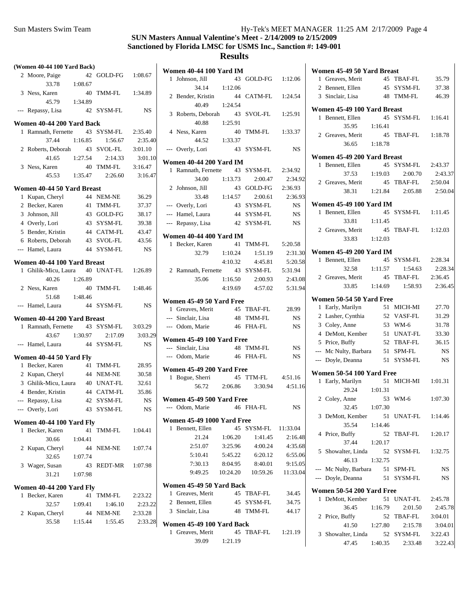| (Women 40-44 100 Yard Back)                 |         |                |                    | <b>Women 40-44 100 Yard IM</b>    |          |            |           |
|---------------------------------------------|---------|----------------|--------------------|-----------------------------------|----------|------------|-----------|
| 2 Moore, Paige                              |         | 42 GOLD-FG     | 1:08.67            | 1 Johnson, Jill                   |          | 43 GOLD-FG | 1:12.06   |
| 33.78                                       | 1:08.67 |                |                    | 34.14                             | 1:12.06  |            |           |
| 3 Ness, Karen                               |         | 40 TMM-FL      | 1:34.89            | 2 Bender, Kristin                 |          | 44 CATM-FL | 1:24.54   |
| 45.79                                       | 1:34.89 |                |                    | 40.49                             | 1:24.54  |            |           |
| --- Repassy, Lisa                           |         | 42 SYSM-FL     | NS.                | 3 Roberts, Deborah                |          | 43 SVOL-FL | 1:25.91   |
| Women 40-44 200 Yard Back                   |         |                |                    | 40.88                             | 1:25.91  |            |           |
| 1 Ramnath, Fernette                         |         | 43 SYSM-FL     | 2:35.40            | 4 Ness, Karen                     |          | 40 TMM-FL  | 1:33.37   |
| 37.44                                       | 1:16.85 | 1:56.67        | 2:35.40            | 44.52                             | 1:33.37  |            |           |
| 2 Roberts, Deborah                          | 43      | <b>SVOL-FL</b> | 3:01.10            | --- Overly, Lori                  |          | 43 SYSM-FL | <b>NS</b> |
| 41.65                                       | 1:27.54 | 2:14.33        | 3:01.10            | <b>Women 40-44 200 Yard IM</b>    |          |            |           |
| 3 Ness, Karen                               | 40      | TMM-FL         | 3:16.47            | 1 Ramnath, Fernette               |          | 43 SYSM-FL | 2:34.92   |
| 45.53                                       | 1:35.47 | 2:26.60        | 3:16.47            | 34.00                             | 1:13.73  | 2:00.47    | 2:34.92   |
| Women 40-44 50 Yard Breast                  |         |                |                    | 2 Johnson, Jill                   |          | 43 GOLD-FG | 2:36.93   |
| 1 Kupan, Cheryl                             |         | 44 NEM-NE      | 36.29              | 33.48                             | 1:14.57  | 2:00.61    | 2:36.93   |
| 2 Becker, Karen                             |         | 41 TMM-FL      | 37.37              | --- Overly, Lori                  |          | 43 SYSM-FL | NS.       |
| 3 Johnson, Jill                             |         | 43 GOLD-FG     | 38.17              | --- Hamel, Laura                  |          | 44 SYSM-FL | NS.       |
| 4 Overly, Lori                              |         | 43 SYSM-FL     | 39.38              | --- Repassy, Lisa                 |          | 42 SYSM-FL | NS.       |
| 5 Bender, Kristin                           |         | 44 CATM-FL     | 43.47              |                                   |          |            |           |
| 6 Roberts, Deborah                          |         | 43 SVOL-FL     | 43.56              | <b>Women 40-44 400 Yard IM</b>    |          |            |           |
| --- Hamel, Laura                            |         | 44 SYSM-FL     | <b>NS</b>          | 1 Becker, Karen                   |          | 41 TMM-FL  | 5:20.58   |
|                                             |         |                |                    | 32.79                             | 1:10.24  | 1:51.19    | 2:31.30   |
| Women 40-44 100 Yard Breast                 |         |                |                    |                                   | 4:10.32  | 4:45.81    | 5:20.58   |
| 1 Ghilik-Micu, Laura                        |         | 40 UNAT-FL     | 1:26.89            | 2 Ramnath, Fernette               |          | 43 SYSM-FL | 5:31.94   |
| 40.26                                       | 1:26.89 |                |                    | 35.06                             | 1:16.50  | 2:00.93    | 2:43.08   |
| 2 Ness, Karen                               |         | 40 TMM-FL      | 1:48.46            |                                   | 4:19.69  | 4:57.02    | 5:31.94   |
| 51.68                                       | 1:48.46 |                |                    | Women 45-49 50 Yard Free          |          |            |           |
| --- Hamel, Laura                            |         | 44 SYSM-FL     | <b>NS</b>          | 1 Greaves, Merit                  |          | 45 TBAF-FL | 28.99     |
| Women 40-44 200 Yard Breast                 |         |                |                    | --- Sinclair, Lisa                |          | 48 TMM-FL  | NS.       |
| 1 Ramnath, Fernette                         |         | 43 SYSM-FL     | 3:03.29            | --- Odom, Marie                   |          | 46 FHA-FL  | NS.       |
| 43.67                                       | 1:30.97 | 2:17.09        | 3:03.29            |                                   |          |            |           |
| --- Hamel, Laura                            |         | 44 SYSM-FL     | NS.                | Women 45-49 100 Yard Free         |          |            |           |
|                                             |         |                |                    | --- Sinclair, Lisa                |          | 48 TMM-FL  | NS.       |
| Women 40-44 50 Yard Fly                     |         |                |                    | --- Odom, Marie                   |          | 46 FHA-FL  | <b>NS</b> |
| 1 Becker, Karen                             |         | 41 TMM-FL      | 28.95              | Women 45-49 200 Yard Free         |          |            |           |
| 2 Kupan, Cheryl                             |         | 44 NEM-NE      | 30.58              | 1 Bogue, Sherri                   |          | 45 TTM-FL  | 4:51.16   |
| 3 Ghilik-Micu, Laura                        |         | 40 UNAT-FL     | 32.61              | 56.72                             | 2:06.86  | 3:30.94    | 4:51.16   |
| 4 Bender, Kristin                           |         | 44 CATM-FL     | 35.86              | Women 45-49 500 Yard Free         |          |            |           |
| --- Repassy, Lisa                           |         | 42 SYSM-FL     | <b>NS</b>          | --- Odom, Marie                   |          | 46 FHA-FL  | NS.       |
| --- Overly, Lori                            |         | 43 SYSM-FL     | NS.                |                                   |          |            |           |
| Women 40-44 100 Yard Fly                    |         |                |                    | <b>Women 45-49 1000 Yard Free</b> |          |            |           |
| 1 Becker, Karen                             |         | 41 TMM-FL      | 1:04.41            | 1 Bennett, Ellen                  |          | 45 SYSM-FL | 11:33.04  |
| 30.66                                       | 1:04.41 |                |                    | 21.24                             | 1:06.20  | 1:41.45    | 2:16.48   |
| 2 Kupan, Cheryl                             |         | 44 NEM-NE      | 1:07.74            | 2:51.07                           | 3:25.96  | 4:00.24    | 4:35.68   |
| 32.65                                       | 1:07.74 |                |                    | 5:10.41                           | 5:45.22  | 6:20.12    | 6:55.06   |
| 3 Wager, Susan                              |         | 43 REDT-MR     | 1:07.98            | 7:30.13                           | 8:04.95  | 8:40.01    | 9:15.05   |
| 31.21                                       | 1:07.98 |                |                    | 9:49.25                           | 10:24.20 | 10:59.26   | 11:33.04  |
|                                             |         |                |                    | Women 45-49 50 Yard Back          |          |            |           |
| Women 40-44 200 Yard Fly<br>1 Becker, Karen |         | 41 TMM-FL      |                    | 1 Greaves, Merit                  |          | 45 TBAF-FL | 34.45     |
| 32.57                                       | 1:09.41 | 1:46.10        | 2:23.22<br>2:23.22 | 2 Bennett, Ellen                  |          | 45 SYSM-FL | 34.75     |
| 2 Kupan, Cheryl                             |         | 44 NEM-NE      | 2:33.28            | 3 Sinclair, Lisa                  |          | 48 TMM-FL  | 44.17     |
| 35.58                                       | 1:15.44 | 1:55.45        | 2:33.28            |                                   |          |            |           |
|                                             |         |                |                    | Women 45-49 100 Yard Back         |          |            |           |
|                                             |         |                |                    | 1 Greaves, Merit                  |          | 45 TBAF-FL | 1:21.19   |
|                                             |         |                |                    | 39.09                             | 1:21.19  |            |           |

|    | Women 45-49 50 Yard Breast                  |         |                       |           |
|----|---------------------------------------------|---------|-----------------------|-----------|
|    | 1 Greaves, Merit                            |         | 45 TBAF-FL 35.79      |           |
|    | 2 Bennett, Ellen                            |         | 45 SYSM-FL            | 37.38     |
|    | 3 Sinclair, Lisa                            |         | 48 TMM-FL             | 46.39     |
|    |                                             |         |                       |           |
|    | Women 45-49 100 Yard Breast                 |         |                       |           |
| 1. | Bennett, Ellen                              |         | 45 SYSM-FL            | 1:16.41   |
|    | 35.95                                       | 1:16.41 |                       |           |
|    | 2 Greaves, Merit                            |         | 45 TBAF-FL            | 1:18.78   |
|    | 36.65 1:18.78                               |         |                       |           |
|    | Women 45-49 200 Yard Breast                 |         |                       |           |
| 1  | Bennett, Ellen                              |         | 45 SYSM-FL            | 2:43.37   |
|    |                                             |         | 37.53 1:19.03 2:00.70 | 2:43.37   |
|    | 2 Greaves, Merit 45 TBAF-FL                 |         |                       | 2:50.04   |
|    | 38.31 1:21.84                               |         | 2:05.88               | 2:50.04   |
|    | <b>Women 45-49 100 Yard IM</b>              |         |                       |           |
|    | 1 Bennett, Ellen                            |         | 45 SYSM-FL            | 1:11.45   |
|    | 33.81 1:11.45                               |         |                       |           |
|    | 2 Greaves, Merit                            |         | 45 TBAF-FL            | 1:12.03   |
|    | 33.83 1:12.03                               |         |                       |           |
|    |                                             |         |                       |           |
|    | <b>Women 45-49 200 Yard IM</b>              |         |                       |           |
|    | 1 Bennett, Ellen                            |         | 45 SYSM-FL            | 2:28.34   |
|    | 32.58                                       | 1:11.57 | 1:54.63               | 2:28.34   |
|    | 2 Greaves, Merit                            |         | 45 TBAF-FL            | 2:36.45   |
|    | 33.85 1:14.69                               |         | 1:58.93               | 2:36.45   |
|    | Women 50-54 50 Yard Free                    |         |                       |           |
|    | 1 Early, Marilyn                            |         | 51 MICH-MI            | 27.70     |
|    | 2 Lasher, Cynthia                           |         | 52 VASF-FL            | 31.29     |
|    | 3 Coley, Anne                               |         | 53 WM-6               | 31.78     |
|    | 4 DeMott, Kember                            |         | 51 UNAT-FL            | 33.30     |
|    | 5 Price, Buffy                              |         | 52 TBAF-FL            | 36.15     |
|    | --- Mc Nulty, Barbara 51 SPM-FL             |         |                       | <b>NS</b> |
|    | --- Doyle, Deanna                           |         | 51 SYSM-FL            | <b>NS</b> |
|    |                                             |         |                       |           |
| 1  | Women 50-54 100 Yard Free<br>Early, Marilyn |         | 51 MICH-MI            | 1:01.31   |
|    | 29.24 1:01.31                               |         |                       |           |
|    | 2 Coley, Anne                               |         | 53 WM-6               | 1:07.30   |
|    | 32.45 1:07.30                               |         |                       |           |
|    | 3 DeMott, Kember                            |         | 51 UNAT-FL            | 1:14.46   |
|    | 35.54                                       | 1:14.46 |                       |           |
| 4  | Price, Buffy                                |         | 52 TBAF-FL            | 1:20.17   |
|    | 37.44 1:20.17                               |         |                       |           |
|    | 5 Showalter, Linda                          |         | 52 SYSM-FL            | 1:32.75   |
|    | 46.13                                       | 1:32.75 |                       |           |
|    | --- Mc Nulty, Barbara 51 SPM-FL             |         |                       | NS        |
|    | --- Doyle, Deanna                           |         | 51 SYSM-FL            | NS        |
|    |                                             |         |                       |           |
|    | Women 50-54 200 Yard Free                   |         |                       |           |
| 1  | DeMott, Kember                              |         | 51 UNAT-FL            | 2:45.78   |
|    | 36.45                                       | 1:16.79 | 2:01.50               | 2:45.78   |
|    | 2 Price, Buffy<br>$41.50$ $1:27.80$         |         | 52 TBAF-FL            | 3:04.01   |
|    |                                             |         | 2:15.78               | 3:04.01   |
|    | 3 Showalter, Linda                          |         | 52 SYSM-FL            | 3:22.43   |
|    | 47.45                                       | 1:40.35 | 2:33.48               | 3:22.43   |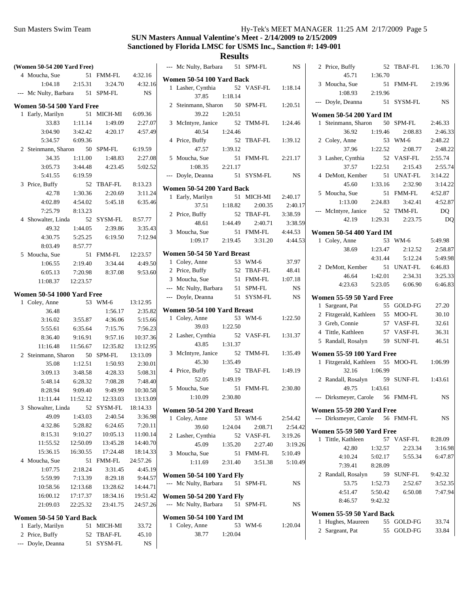|       | (Women 50-54 200 Yard Free)            |          |                   |                 | --- M                    |
|-------|----------------------------------------|----------|-------------------|-----------------|--------------------------|
|       | 4 Moucha, Sue                          |          | 51 FMM-FL 4:32.16 |                 | Womer                    |
|       | $1:04.18$ $2:15.31$                    |          | 3:24.70           | 4:32.16         | La<br>1                  |
|       | --- Mc Nulty, Barbara 51 SPM-FL        |          |                   | <b>NS</b>       |                          |
|       | Women 50-54 500 Yard Free              |          |                   |                 | $2$ Sto                  |
| 1     | Early, Marilyn                         | 51       | MICH-MI 6:09.36   |                 |                          |
|       | 33.83                                  | 1:11.14  | 1:49.09           | 2:27.07         | $3 \, M$                 |
|       | 3:04.90                                | 3:42.42  | 4:20.17           | 4:57.49         |                          |
|       | 5:34.57                                | 6:09.36  |                   |                 | $4$ Pr                   |
|       | 2 Steinmann, Sharon                    |          | 50 SPM-FL         | 6:19.59         |                          |
|       | 34.35                                  | 1:11.00  | 1:48.83           | 2:27.08         | 5 M                      |
|       | 3:05.73                                | 3:44.48  | 4:23.45           | 5:02.52         |                          |
|       | 5:41.55                                | 6:19.59  |                   |                 | --- Do                   |
|       | 3 Price, Buffy                         | 52       | TBAF-FL           | 8:13.23         | Womer                    |
|       | 42.78                                  | 1:30.36  | 2:20.69           | 3:11.24         | $\mathbf{1}$<br>Ea       |
|       | 4:02.89                                | 4:54.02  |                   | 5:45.18 6:35.46 |                          |
|       | 7:25.79                                | 8:13.23  |                   |                 | $2$ Pr                   |
|       | 4 Showalter, Linda 52 SYSM-FL 8:57.77  |          |                   |                 |                          |
|       | 49.32                                  | 1:44.05  | 2:39.86           | 3:35.43         | $3 \, M$                 |
|       | 4:30.75                                | 5:25.25  | 6:19.50           | 7:12.94         |                          |
|       | 8:03.49                                | 8:57.77  |                   |                 |                          |
|       | 5 Moucha, Sue                          | 51       | FMM-FL 12:23.57   |                 | Womer                    |
|       | 1:06.55                                | 2:19.40  | 3:34.44           | 4:49.50         | 1<br>C <sub>C</sub>      |
|       | 6:05.13                                | 7:20.98  | 8:37.08           | 9:53.60         | 2<br>Pr                  |
|       | 11:08.37 12:23.57                      |          |                   |                 | 3 M                      |
|       | <b>Women 50-54 1000 Yard Free</b>      |          |                   |                 | --- M                    |
|       | 1 Coley, Anne                          |          | 53 WM-6 13:12.95  |                 | $-$ Do                   |
|       | 36.48                                  |          | 1:56.17           | 2:35.82         | Womer                    |
|       | 3:16.02                                | 3:55.87  | 4:36.06           | 5:15.66         | 1 Cc                     |
|       | 5:55.61                                | 6:35.64  | 7:15.76           | 7:56.23         |                          |
|       | 8:36.40                                | 9:16.91  | 9:57.16           | 10:37.36        | 2 La                     |
|       | 11:16.48                               | 11:56.67 | 12:35.82          | 13:12.95        |                          |
|       | 2 Steinmann, Sharon 50 SPM-FL 13:13.09 |          |                   |                 | $3 \, M$                 |
|       | 35.08                                  | 1:12.51  | 1:50.93           | 2:30.01         |                          |
|       | 3:09.13                                | 3:48.58  | 4:28.33           | 5:08.31         | $4$ Pr.                  |
|       | 5:48.14                                | 6:28.32  | 7:08.28           | 7:48.40         |                          |
|       | 8:28.94                                | 9:09.40  | 9:49.99           | 10:30.58        | 5 M                      |
|       | 11:11.44   11:52.12                    |          | 12:33.03          | 13:13.09        |                          |
|       | 3 Showalter, Linda                     |          | 52 SYSM-FL        | 18:14.33        |                          |
|       | 49.09                                  | 1:43.03  | 2:40.54           | 3:36.98         | Womer<br>$1 \text{ }$ Co |
|       | 4:32.86                                | 5:28.82  | 6:24.65           | 7:20.11         |                          |
|       | 8:15.31                                | 9:10.27  | 10:05.13          | 11:00.14        | 2 La                     |
|       | 11:55.52                               | 12:50.09 | 13:45.28          | 14:40.70        |                          |
|       | 15:36.15                               | 16:30.55 | 17:24.48          | 18:14.33        | $3 \, M$                 |
|       | 4 Moucha, Sue                          | 51       | FMM-FL            | 24:57.26        |                          |
|       | 1:07.75                                | 2:18.24  | 3:31.45           | 4:45.19         |                          |
|       | 5:59.99                                | 7:13.39  | 8:29.18           | 9:44.57         | Wome                     |
|       | 10:58.56                               | 12:13.68 | 13:28.62          | 14:44.71        | --- M                    |
|       | 16:00.12                               | 17:17.37 | 18:34.16          | 19:51.42        | Womer                    |
|       | 21:09.03                               | 22:25.32 | 23:41.75          | 24:57.26        | --- M                    |
|       |                                        |          |                   |                 |                          |
|       | Women 50-54 50 Yard Back               |          |                   |                 | Womer                    |
|       | 1 Early, Marilyn                       | 51       | MICH-MI           | 33.72           | $1 \,$ Cc                |
|       | 2 Price, Buffy                         | 52       | TBAF-FL           | 45.10           |                          |
| $---$ | Doyle, Deanna                          | 51       | SYSM-FL           | NS              |                          |

|   | --- Mc Nulty, Barbara                             |         | 51 | SPM-FL         | NS        |
|---|---------------------------------------------------|---------|----|----------------|-----------|
|   | Women 50-54 100 Yard Back                         |         |    |                |           |
| 1 | Lasher, Cynthia<br>37.85                          | 1:18.14 | 52 | VASF-FL        | 1:18.14   |
|   | 2 Steinmann, Sharon<br>39.22                      | 1:20.51 | 50 | SPM-FL         | 1:20.51   |
| 3 | McIntyre, Janice<br>40.54                         | 1:24.46 | 52 | TMM-FL         | 1:24.46   |
| 4 | Price, Buffy                                      |         | 52 | <b>TBAF-FL</b> | 1:39.12   |
| 5 | 47.57<br>Moucha, Sue                              | 1:39.12 | 51 | <b>FMM-FL</b>  | 2:21.17   |
|   | 1:08.35<br>Doyle, Deanna                          | 2:21.17 | 51 | SYSM-FL        | NS        |
|   | Women 50-54 200 Yard Back                         |         |    |                |           |
| 1 | Early, Marilyn                                    |         | 51 | MICH-MI        | 2:40.17   |
|   | 37.51                                             | 1:18.82 |    | 2:00.35        | 2:40.17   |
| 2 | Price, Buffy                                      |         | 52 | TBAF-FL        | 3:38.59   |
|   | 48.61                                             | 1:44.49 |    | 2:40.71        | 3:38.59   |
|   | 3 Moucha, Sue                                     |         | 51 | FMM-FL         | 4:44.53   |
|   | 1:09.17                                           | 2:19.45 |    | 3:31.20        | 4:44.53   |
|   | Women 50-54 50 Yard Breast                        |         |    |                |           |
|   | 1 Coley, Anne                                     |         |    | 53 WM-6        | 37.97     |
|   | 2 Price, Buffy                                    |         |    | 52 TBAF-FL     | 48.41     |
|   | 3 Moucha, Sue                                     |         |    | 51 FMM-FL      | 1:07.18   |
|   | --- Mc Nulty, Barbara                             |         |    | 51 SPM-FL      | <b>NS</b> |
|   | --- Doyle, Deanna                                 |         |    | 51 SYSM-FL     | <b>NS</b> |
|   | Women 50-54 100 Yard Breast                       |         |    |                |           |
|   | 1 Coley, Anne                                     |         | 53 | $WM-6$         | 1:22.50   |
|   | 39.03                                             | 1:22.50 |    |                |           |
| 2 | Lasher, Cynthia<br>43.85                          | 1:31.37 | 52 | VASF-FL        | 1:31.37   |
| 3 | McIntyre, Janice<br>45.30                         | 1:35.49 | 52 | TMM-FL         | 1:35.49   |
| 4 | Price, Buffy<br>52.05                             | 1:49.19 | 52 | TBAF-FL        | 1:49.19   |
| 5 | Moucha, Sue<br>1:10.09                            | 2:30.80 | 51 | FMM-FL         | 2:30.80   |
|   | Women 50-54 200 Yard Breast                       |         |    |                |           |
|   | 1 Coley, Anne                                     |         |    | 53 WM-6        | 2:54.42   |
|   | 39.60                                             | 1:24.04 |    | 2:08.71        | 2:54.42   |
|   | 2 Lasher, Cynthia                                 |         |    | 52 VASF-FL     | 3:19.26   |
|   | 45.09                                             | 1:35.20 |    | 2:27.40        | 3:19.26   |
|   | 3 Moucha, Sue                                     |         |    | 51 FMM-FL      | 5:10.49   |
|   | 1:11.69                                           | 2:31.40 |    | 3:51.38        | 5:10.49   |
|   | Women 50-54 100 Yard Fly<br>--- Mc Nulty, Barbara |         |    | 51 SPM-FL      | NS.       |
|   | <b>Women 50-54 200 Yard Fly</b>                   |         |    |                |           |
|   | --- Mc Nulty, Barbara 51 SPM-FL                   |         |    |                | NS        |
|   | <b>Women 50-54 100 Yard IM</b>                    |         |    |                |           |
|   | 1 Coley, Anne<br>38.77                            | 1:20.04 |    | 53 WM-6        | 1:20.04   |
|   |                                                   |         |    |                |           |

| Price, Buffy<br>2                                             | 52      | <b>TBAF-FL</b> | 1:36.70 |
|---------------------------------------------------------------|---------|----------------|---------|
| 45.71                                                         | 1:36.70 |                |         |
| Moucha, Sue<br>3                                              | 51      | FMM-FL         | 2:19.96 |
| 1:08.93                                                       | 2:19.96 |                |         |
| Doyle, Deanna                                                 | 51      | SYSM-FL        | NS      |
| <b>Women 50-54 200 Yard IM</b>                                |         |                |         |
| Steinmann, Sharon<br>1                                        | 50      | SPM-FL         | 2:46.33 |
| 36.92                                                         | 1:19.46 | 2:08.83        | 2:46.33 |
| 2<br>Coley, Anne                                              | 53      | $WM-6$         | 2:48.22 |
| 37.96                                                         | 1:22.52 | 2:08.77        | 2:48.22 |
| Lasher, Cynthia<br>3                                          | 52      | VASF-FL        | 2:55.74 |
| 37.57                                                         | 1:22.51 | 2:15.43        | 2:55.74 |
| DeMott, Kember<br>4                                           | 51      | UNAT-FL        | 3:14.22 |
| 45.60                                                         | 1:33.16 | 2:32.90        | 3:14.22 |
| 5 Moucha, Sue                                                 | 51      | FMM-FL         | 4:52.87 |
| 1:13.00                                                       | 2:24.83 | 3:42.41        | 4:52.87 |
| McIntyre, Janice                                              | 52      | <b>TMM-FL</b>  | DQ      |
| 42.19                                                         | 1:29.31 | 2:23.75        | DQ      |
| <b>Women 50-54 400 Yard IM</b>                                |         |                |         |
| Coley, Anne<br>1                                              | 53      | WM-6           | 5:49.98 |
| 38.69                                                         | 1:23.47 | 2:12.52        | 2:58.87 |
|                                                               | 4:31.44 | 5:12.24        | 5:49.98 |
| 2 DeMott, Kember                                              | 51      | UNAT-FL        | 6:46.83 |
| 46.64                                                         | 1:42.01 | 2:34.31        | 3:25.33 |
| 4:23.63                                                       | 5:23.05 | 6:06.90        | 6:46.83 |
| Women 55-59 50 Yard Free                                      |         |                |         |
| Sargeant, Pat<br>1                                            | 55      | GOLD-FG        | 27.20   |
| 2 Fitzgerald, Kathleen                                        | 55      | MOO-FL         | 30.10   |
| 3 Greb, Connie                                                | 57      | VASF-FL        | 32.61   |
| 4 Tittle, Kathleen                                            | 57      | VASF-FL        | 36.31   |
| 5 Randall, Rosalyn                                            | 59      | <b>SUNF-FL</b> | 46.51   |
| <b>Women 55-59 100 Yard Free</b>                              |         |                |         |
| Fitzgerald, Kathleen<br>1                                     | 55      | MOO-FL         | 1:06.99 |
| 32.16                                                         | 1:06.99 |                |         |
| Randall, Rosalyn<br>2                                         | 59      | SUNF-FL        | 1:43.61 |
| 49.75                                                         | 1:43.61 |                |         |
| Dirksmeyer, Carole 56<br>---                                  |         | <b>FMM-FL</b>  | NS      |
|                                                               |         |                |         |
| Women 55-59 200 Yard Free<br>--- Dirksmeyer, Carole 56 FMM-FL |         |                | NS      |
|                                                               |         |                |         |
| Women 55-59 500 Yard Free                                     |         |                |         |
| 1 Tittle, Kathleen                                            |         | 57 VASF-FL     | 8:28.09 |
| 42.80                                                         | 1:32.57 | 2:23.34        | 3:16.98 |
| 4:10.24                                                       | 5:02.17 | 5:55.34        | 6:47.87 |
| 7:39.41                                                       | 8:28.09 |                |         |
| 2 Randall, Rosalyn                                            |         | 59 SUNF-FL     | 9:42.32 |
| 53.75                                                         | 1:52.73 | 2:52.67        | 3:52.35 |
| 4:51.47                                                       | 5:50.42 | 6:50.08        | 7:47.94 |
| 8:46.57                                                       | 9:42.32 |                |         |
| Women 55-59 50 Yard Back                                      |         |                |         |
| Hughes, Maureen<br>1                                          |         | 55 GOLD-FG     | 33.74   |
| 2 Sargeant, Pat                                               |         | 55 GOLD-FG     | 33.84   |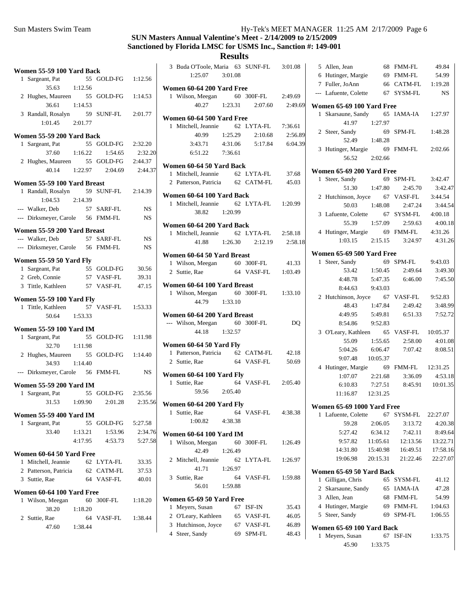## **SUN Masters Annual Valentine's Meet - 2/14/2009 to 2/15/2009 Sanctioned by Florida LMSC for USMS Inc., Sanction #: 149-001**

### **Results**

|   | Women 55-59 100 Yard Back                            |         |    |                    |           |
|---|------------------------------------------------------|---------|----|--------------------|-----------|
|   | 1 Sargeant, Pat<br>35.63                             | 1:12.56 |    | 55 GOLD-FG 1:12.56 |           |
|   | 2 Hughes, Maureen 55 GOLD-FG<br>36.61                | 1:14.53 |    |                    | 1:14.53   |
|   | 3 Randall, Rosalyn 59 SUNF-FL<br>$1:01.45$ $2:01.77$ |         |    |                    | 2:01.77   |
|   | Women 55-59 200 Yard Back                            |         |    |                    |           |
|   | 1 Sargeant, Pat                                      |         |    | 55 GOLD-FG         | 2:32.20   |
|   | 37.60                                                | 1:16.22 |    | 1:54.65            | 2:32.20   |
|   | 2 Hughes, Maureen 55 GOLD-FG                         |         |    |                    | 2:44.37   |
|   | 40.14                                                | 1:22.97 |    | 2:04.69            | 2:44.37   |
|   | Women 55-59 100 Yard Breast                          |         |    |                    |           |
|   | 1 Randall, Rosalyn                                   |         |    | 59 SUNF-FL 2:14.39 |           |
|   | 1:04.53 2:14.39                                      |         |    |                    |           |
|   | --- Walker, Deb                                      |         |    | 57 SARF-FL         | NS        |
|   | --- Dirksmeyer, Carole 56 FMM-FL                     |         |    |                    | <b>NS</b> |
|   | Women 55-59 200 Yard Breast                          |         |    |                    |           |
|   | --- Walker, Deb                                      |         |    | 57 SARF-FL         | NS        |
|   | --- Dirksmeyer, Carole 56 FMM-FL                     |         |    |                    | NS        |
|   | Women 55-59 50 Yard Fly                              |         |    |                    |           |
|   | 1 Sargeant, Pat                                      |         |    | 55 GOLD-FG         | 30.56     |
|   | 2 Greb, Connie                                       |         |    | 57 VASF-FL         | 39.31     |
|   | 3 Tittle, Kathleen                                   |         |    | 57 VASF-FL         | 47.15     |
|   | <b>Women 55-59 100 Yard Fly</b>                      |         |    |                    |           |
|   | 1 Tittle, Kathleen 57 VASF-FL 1:53.33                |         |    |                    |           |
|   | 50.64                                                | 1:53.33 |    |                    |           |
|   | Women 55-59 100 Yard IM                              |         |    |                    |           |
|   | 1 Sargeant, Pat                                      |         |    | 55 GOLD-FG         | 1:11.98   |
|   | 32.70                                                | 1:11.98 |    |                    |           |
|   | 2 Hughes, Maureen 55 GOLD-FG 1:14.40                 |         |    |                    |           |
|   | 34.93                                                | 1:14.40 |    |                    |           |
|   | --- Dirksmeyer, Carole 56 FMM-FL                     |         |    |                    | <b>NS</b> |
|   | Women 55-59 200 Yard IM                              |         |    |                    |           |
|   | 1 Sargeant, Pat                                      |         |    | 55 GOLD-FG 2:35.56 |           |
|   | 31.53 1:09.90                                        |         |    | 2:01.28            | 2:35.56   |
|   | <b>Women 55-59 400 Yard IM</b>                       |         |    |                    |           |
|   | 1 Sargeant, Pat                                      |         |    | 55 GOLD-FG         | 5:27.58   |
|   | 33.40                                                | 1:13.21 |    | 1:53.96            | 2:34.76   |
|   |                                                      | 4:17.95 |    | 4:53.73            | 5:27.58   |
|   | Women 60-64 50 Yard Free                             |         |    |                    |           |
|   | 1 Mitchell, Jeannie                                  |         |    | 62 LYTA-FL         | 33.35     |
|   | 2 Patterson, Patricia                                |         |    | 62 CATM-FL         | 37.53     |
|   | 3 Suttie, Rae                                        |         |    | 64 VASF-FL         | 40.01     |
|   | Women 60-64 100 Yard Free                            |         |    |                    |           |
| 1 | Wilson, Meegan                                       |         | 60 | 300F-FL            | 1:18.20   |
|   | 38.20                                                | 1:18.20 |    |                    |           |
|   | 2 Suttie, Rae                                        |         |    | 64 VASF-FL         | 1:38.44   |
|   | 47.60 1:38.44                                        |         |    |                    |           |
|   |                                                      |         |    |                    |           |

|   | 3 Buda O'Toole, Maria 63 SUNF-FL 3:01.08<br>$1:25.07$ $3:01.08$      |         |                                    |         |
|---|----------------------------------------------------------------------|---------|------------------------------------|---------|
|   | Women 60-64 200 Yard Free                                            |         |                                    |         |
|   |                                                                      |         |                                    |         |
|   | 1 Wilson, Meegan 60 300F-FL 2:49.69<br>40.27 1:23.31 2:07.60 2:49.69 |         |                                    |         |
|   | Women 60-64 500 Yard Free                                            |         |                                    |         |
|   | 1 Mitchell, Jeannie 62 LYTA-FL 7:36.61                               |         |                                    |         |
|   |                                                                      |         | 40.99 1:25.29 2:10.68 2:56.89      |         |
|   |                                                                      |         | 3:43.71  4:31.06  5:17.84  6:04.39 |         |
|   | 6:51.22 7:36.61                                                      |         |                                    |         |
|   | Women 60-64 50 Yard Back                                             |         |                                    |         |
|   | 1 Mitchell, Jeannie 62 LYTA-FL 37.68                                 |         |                                    |         |
|   | 2 Patterson, Patricia 62 CATM-FL 45.03                               |         |                                    |         |
|   |                                                                      |         |                                    |         |
|   | Women 60-64 100 Yard Back                                            |         |                                    |         |
|   | 1 Mitchell, Jeannie 62 LYTA-FL 1:20.99                               |         |                                    |         |
|   | 38.82 1:20.99                                                        |         |                                    |         |
|   | Women 60-64 200 Yard Back                                            |         |                                    |         |
|   | 1 Mitchell, Jeannie 62 LYTA-FL 2:58.18                               |         |                                    |         |
|   |                                                                      |         | 41.88 1:26.30 2:12.19              | 2:58.18 |
|   | Women 60-64 50 Yard Breast                                           |         |                                    |         |
|   | 1 Wilson, Meegan 60 300F-FL 41.33                                    |         |                                    |         |
|   | 2 Suttie, Rae                                                        |         | 64 VASF-FL 1:03.49                 |         |
|   | Women 60-64 100 Yard Breast                                          |         |                                    |         |
|   | 1 Wilson, Meegan 60 300F-FL 1:33.10                                  |         |                                    |         |
|   | 44.79 1:33.10                                                        |         |                                    |         |
|   |                                                                      |         |                                    |         |
|   | Women 60-64 200 Yard Breast<br>--- Wilson, Meegan 60 300F-FL DQ      |         |                                    |         |
|   | 44.18 1:32.57                                                        |         |                                    |         |
|   |                                                                      |         |                                    |         |
|   |                                                                      |         |                                    |         |
|   | Women 60-64 50 Yard Fly                                              |         |                                    |         |
|   | 1 Patterson, Patricia 62 CATM-FL 42.18                               |         |                                    |         |
|   | 2 Suttie, Rae                                                        |         | 64 VASF-FL 50.69                   |         |
|   | Women 60-64 100 Yard Fly                                             |         |                                    |         |
|   | 1 Suttie, Rae                                                        |         | 64 VASF-FL 2:05.40                 |         |
|   | 59.56 2:05.40                                                        |         |                                    |         |
|   |                                                                      |         |                                    |         |
|   | Women 60-64 200 Yard Fly<br>1 Suttie, Rae                            |         |                                    |         |
|   | $1:00.82$ $4:38.38$                                                  |         | 64 VASF-FL   4:38.38               |         |
|   |                                                                      |         |                                    |         |
|   | <b>Women 60-64 100 Yard IM</b>                                       |         |                                    |         |
| 1 | Wilson, Meegan                                                       | 60      | 300F-FL 1:26.49                    |         |
|   | 42.49                                                                | 1:26.49 |                                    |         |
|   | 2 Mitchell, Jeannie 62 LYTA-FL                                       |         |                                    | 1:26.97 |
|   | 41.71 1:26.97                                                        |         |                                    |         |
| 3 | Suttie, Rae<br>56.01                                                 | 1:59.88 | 64 VASF-FL                         | 1:59.88 |

#### **Women 65-69 50 Yard Free** 1 35.43 Meyers, Susan 67 ISF-IN

| 2 O'Leary, Kathleen | 65 VASF-FL | 46.05 |
|---------------------|------------|-------|
| 3 Hutchinson, Joyce | 67 VASF-FL | 46.89 |
| 4 Steer, Sandy      | 69 SPM-FL  | 48.43 |

| 5 Allen, Jean                                  | 68                | <b>FMM-FL</b>                   | 49.84             |
|------------------------------------------------|-------------------|---------------------------------|-------------------|
| 6 Hutinger, Margie 69                          |                   | FMM-FL                          | 54.99             |
| 7 Fuller, JoAnn                                |                   | 66 CATM-FL                      | 1:19.28           |
| --- Lafuente, Colette                          |                   | 67 SYSM-FL                      | NS                |
| Women 65-69 100 Yard Free                      |                   |                                 |                   |
| 1 Skarsaune, Sandy                             |                   | 65 IAMA-IA                      | 1:27.97           |
| 41.97                                          | 1:27.97           |                                 |                   |
| 2 Steer, Sandy                                 | 69                | SPM-FL                          | 1:48.28           |
|                                                | 52.49 1:48.28     |                                 |                   |
| 3 Hutinger, Margie 69 FMM-FL                   |                   |                                 | 2:02.66           |
| 56.52                                          | 2:02.66           |                                 |                   |
| Women 65-69 200 Yard Free                      |                   |                                 |                   |
| Steer, Sandy<br>1                              |                   | 69 SPM-FL                       | 3:42.47           |
|                                                | $51.30 \t1:47.80$ | 2:45.70                         | 3:42.47           |
| 2 Hutchinson, Joyce 67                         |                   | VASF-FL                         | 3:44.54           |
| 50.03                                          | 1:48.08           | 2:47.24                         | 3:44.54           |
| 3 Lafuente, Colette 67                         |                   | SYSM-FL                         | 4:00.18           |
| 55.39                                          | 1:57.09           | 2:59.63                         | 4:00.18           |
| 4 Hutinger, Margie 69 FMM-FL 4:31.26           |                   |                                 |                   |
|                                                |                   | 1:03.15 2:15.15 3:24.97 4:31.26 |                   |
|                                                |                   |                                 |                   |
| Women 65-69 500 Yard Free<br>Steer, Sandy<br>1 |                   | 69 SPM-FL                       | 9:43.03           |
| 53.42                                          | 1:50.45           | 2:49.64                         | 3:49.30           |
| 4:48.78                                        | 5:47.35           | 6:46.00                         | 7:45.50           |
| 8:44.63 9:43.03                                |                   |                                 |                   |
| 2 Hutchinson, Joyce 67 VASF-FL 9:52.83         |                   |                                 |                   |
| 48.43                                          | 1:47.84           | 2:49.42                         | 3:48.99           |
| 4:49.95 5:49.81                                |                   | 6:51.33                         | 7:52.72           |
| 8:54.86                                        | 9:52.83           |                                 |                   |
| 3 O'Leary, Kathleen 65                         |                   | VASF-FL 10:05.37                |                   |
| 55.09                                          | 1:55.65           | 2:58.00                         | 4:01.08           |
| 5:04.26                                        | 6:06.47           | 7:07.42                         | 8:08.51           |
| 9:07.48                                        | 10:05.37          |                                 |                   |
| 4 Hutinger, Margie                             |                   | 69 FMM-FL 12:31.25              |                   |
| 1:07.07                                        | 2:21.68           | 3:36.09                         | 4:53.18           |
| 6:10.83                                        | 7:27.51           |                                 | 8:45.91  10:01.35 |
| 11:16.87  12:31.25                             |                   |                                 |                   |
|                                                |                   |                                 |                   |
| <b>Women 65-69 1000 Yard Free</b>              |                   |                                 |                   |
| Lafuente, Colette<br>1<br>59.28                | 67<br>2:06.05     | SYSM-FL                         | 22:27.07          |
|                                                | 6:34.12           | 3:13.72                         | 4:20.38           |
| 5:27.42                                        |                   | 7:42.11                         | 8:49.64           |
| 9:57.82                                        | 11:05.61          | 12:13.56                        | 13:22.71          |
| 14:31.80                                       | 15:40.98          | 16:49.51                        | 17:58.16          |
| 19:06.98                                       | 20:15.31          | 21:22.46                        | 22:27.07          |
| Women 65-69 50 Yard Back                       |                   |                                 |                   |
| Gilligan, Chris<br>1                           |                   | 65 SYSM-FL                      | 41.12             |
| 2 Skarsaune, Sandy                             |                   | 65 IAMA-IA                      | 47.28             |
| 3 Allen, Jean                                  | 68                | FMM-FL                          | 54.99             |
| 4 Hutinger, Margie                             | 69                | FMM-FL                          | 1:04.63           |
| Steer, Sandy<br>5                              | 69                | SPM-FL                          | 1:06.55           |
| Women 65-69 100 Yard Back                      |                   |                                 |                   |
| Meyers, Susan<br>1                             | 67                | ISF-IN                          | 1:33.75           |
| 45.90                                          | 1:33.75           |                                 |                   |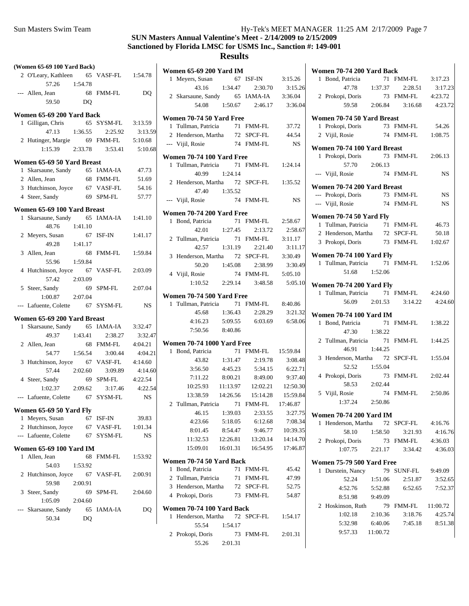|                       | (Women 65-69 100 Yard Back)                     |                |                 |           |
|-----------------------|-------------------------------------------------|----------------|-----------------|-----------|
|                       | 2 O'Leary, Kathleen 65 VASF-FL 1:54.78<br>57.26 | 1:54.78        |                 |           |
|                       | --- Allen, Jean<br>59.50                        | D <sub>O</sub> | 68 FMM-FL       | DQ        |
|                       |                                                 |                |                 |           |
|                       | Women 65-69 200 Yard Back                       |                |                 |           |
|                       | 1 Gilligan, Chris 65 SYSM-FL                    |                |                 | 3:13.59   |
|                       | 47.13                                           | 1:36.55        | 2:25.92         | 3:13.59   |
|                       | 2 Hutinger, Margie 69 FMM-FL                    |                |                 | 5:10.68   |
|                       | 1:15.39 2:33.78 3:53.41                         |                |                 | 5:10.68   |
|                       | Women 65-69 50 Yard Breast                      |                |                 |           |
| 1                     | Skarsaune, Sandy 65 IAMA-IA                     |                |                 | 47.73     |
|                       | 2 Allen, Jean                                   |                | 68 FMM-FL       | 51.69     |
|                       | 3 Hutchinson, Joyce                             |                | 67 VASF-FL      | 54.16     |
|                       | 4 Steer, Sandy                                  |                | 69 SPM-FL       | 57.77     |
|                       | Women 65-69 100 Yard Breast                     |                |                 |           |
|                       | 1 Skarsaune, Sandy 65                           |                | IAMA-IA 1:41.10 |           |
|                       | 48.76                                           | 1:41.10        |                 |           |
|                       | 2 Meyers, Susan                                 |                | 67 ISF-IN       | 1:41.17   |
|                       | 49.28 1:41.17                                   |                |                 |           |
|                       | 3 Allen, Jean                                   | 68             | FMM-FL          | 1:59.84   |
|                       | 55.96 1:59.84                                   |                |                 |           |
|                       | 4 Hutchinson, Joyce 67                          |                | VASF-FL         | 2:03.09   |
|                       | 57.42                                           | 2:03.09        |                 |           |
|                       | 5 Steer, Sandy                                  | 69             | SPM-FL          | 2:07.04   |
|                       | 1:00.87                                         | 2:07.04        |                 |           |
|                       | --- Lafuente, Colette                           |                | 67 SYSM-FL      | <b>NS</b> |
|                       | Women 65-69 200 Yard Breast                     |                |                 |           |
| 1                     | Skarsaune, Sandy                                | 65             | IAMA-IA         | 3:32.47   |
|                       | 49.37 1:43.41                                   |                | 2:38.27         | 3:32.47   |
|                       | 2 Allen, Jean                                   | 68             | FMM-FL          | 4:04.21   |
|                       | 54.77 1:56.54                                   |                | 3:00.44         | 4:04.21   |
| 3                     | Hutchinson, Joyce 67                            |                | VASF-FL         | 4:14.60   |
|                       | 57.44                                           | 2:02.60        | 3:09.89         | 4:14.60   |
|                       | 4 Steer, Sandy                                  | 69             | SPM-FL          | 4:22.54   |
|                       | $1:02.37$ $2:09.62$                             |                | 3:17.46         | 4:22.54   |
|                       | --- Lafuente, Colette                           |                | 67 SYSM-FL      | <b>NS</b> |
|                       | Women 65-69 50 Yard Fly                         |                |                 |           |
| 1                     | Meyers, Susan                                   |                | 67 ISF-IN       | 39.83     |
| $\mathbf{2}^{\prime}$ | Hutchinson, Joyce                               |                | 67 VASF-FL      | 1:01.34   |
|                       | --- Lafuente, Colette                           | 67             | SYSM-FL         | NS        |
|                       | <b>Women 65-69 100 Yard IM</b>                  |                |                 |           |
| 1                     | Allen, Jean                                     | 68             | <b>FMM-FL</b>   | 1:53.92   |
|                       | 54.03                                           | 1:53.92        |                 |           |
| 2                     | Hutchinson, Joyce                               | 67             | VASF-FL         | 2:00.91   |
|                       | 59.98                                           | 2:00.91        |                 |           |
|                       | 3 Steer, Sandy                                  | 69             | SPM-FL          | 2:04.60   |
|                       | 1:05.09                                         | 2:04.60        |                 |           |
| $---$                 | Skarsaune, Sandy                                | 65             | <b>IAMA-IA</b>  | DQ        |
|                       | 50.34                                           | DQ             |                 |           |

|   | <b>Women 65-69 200 Yard IM</b>         |          |                                                         |                 |
|---|----------------------------------------|----------|---------------------------------------------------------|-----------------|
|   | 1 Meyers, Susan                        |          | 67 ISF-IN 3:15.26                                       |                 |
|   |                                        |          | 43.16 1:34.47 2:30.70 3:15.26                           |                 |
|   | 2 Skarsaune, Sandy 65 IAMA-IA 3:36.04  |          |                                                         |                 |
|   |                                        |          | 54.08 1:50.67 2:46.17 3:36.04                           |                 |
|   |                                        |          |                                                         |                 |
|   | Women 70-74 50 Yard Free               |          |                                                         |                 |
|   | 1 Tullman, Patricia                    |          | 71 FMM-FL 37.72                                         |                 |
|   | 2 Henderson, Martha 72 SPCF-FL 44.54   |          |                                                         |                 |
|   | --- Vijil, Rosie                       |          | 74 FMM-FL                                               | NS <sub>N</sub> |
|   | Women 70-74 100 Yard Free              |          |                                                         |                 |
|   | 1 Tullman, Patricia 71 FMM-FL 1:24.14  |          |                                                         |                 |
|   | 40.99 1:24.14                          |          |                                                         |                 |
|   | 2 Henderson, Martha 72 SPCF-FL 1:35.52 |          |                                                         |                 |
|   | 47.40 1:35.52                          |          |                                                         |                 |
|   | --- Vijil, Rosie                       |          | 74 FMM-FL                                               | <b>NS</b>       |
|   | Women 70-74 200 Yard Free              |          |                                                         |                 |
|   | 1 Bond, Patricia 71 FMM-FL 2:58.67     |          |                                                         |                 |
|   |                                        |          | 42.01 1:27.45 2:13.72 2:58.67                           |                 |
|   | 2 Tullman, Patricia 71 FMM-FL 3:11.17  |          |                                                         |                 |
|   |                                        |          | 42.57 1:31.19 2:21.40 3:11.17                           |                 |
|   | 3 Henderson, Martha 72 SPCF-FL 3:30.49 |          |                                                         |                 |
|   |                                        |          |                                                         | 3:30.49         |
|   | 4 Vijil, Rosie                         |          | 50.20 1:45.08 2:38.99 3:30.49<br>osie 74 FMM-FL 5:05.10 |                 |
|   |                                        |          | $1:10.52$ $2:29.14$ $3:48.58$                           | 5:05.10         |
|   |                                        |          |                                                         |                 |
|   | <b>Women 70-74 500 Yard Free</b>       |          |                                                         |                 |
|   | 1 Tullman, Patricia 71 FMM-FL 8:40.86  |          |                                                         |                 |
|   |                                        |          | 45.68 1:36.43 2:28.29 3:21.32                           |                 |
|   |                                        |          | 4:16.23 5:09.55 6:03.69 6:58.06                         |                 |
|   | 7:50.56 8:40.86                        |          |                                                         |                 |
|   | <b>Women 70-74 1000 Yard Free</b>      |          |                                                         |                 |
|   | 1 Bond, Patricia                       |          | 71 FMM-FL 15:59.84                                      |                 |
|   |                                        |          | 43.82 1:31.47 2:19.78 3:08.48                           |                 |
|   |                                        |          | $3:56.50$ $4:45.23$ $5:34.15$ $6:22.71$                 |                 |
|   |                                        |          | 7:11.22 8:00.21 8:49.00 9:37.40                         |                 |
|   | 10:25.93  11:13.97  12:02.21  12:50.30 |          |                                                         |                 |
|   | 13:38.59  14:26.56  15:14.28  15:59.84 |          |                                                         |                 |
|   | 2 Tullman, Patricia 71 FMM-FL 17:46.87 |          |                                                         |                 |
|   | 46.15                                  | 1:39.03  | 2:33.55                                                 | 3:27.75         |
|   | 4:23.66                                | 5:18.05  | 6:12.68                                                 | 7:08.34         |
|   | 8:01.45                                | 8:54.47  | 9:46.77                                                 | 10:39.35        |
|   | 11:32.53                               | 12:26.81 | 13:20.14                                                | 14:14.70        |
|   | 15:09.01                               | 16:01.31 | 16:54.95                                                | 17:46.87        |
|   | Women 70-74 50 Yard Back               |          |                                                         |                 |
| 1 | Bond, Patricia                         | 71       | FMM-FL                                                  | 45.42           |
|   | 2 Tullman, Patricia                    |          | 71 FMM-FL                                               | 47.99           |
|   | 3 Henderson, Martha                    |          | 72 SPCF-FL                                              | 52.75           |
|   | 4 Prokopi, Doris                       |          | 73 FMM-FL                                               | 54.87           |
|   |                                        |          |                                                         |                 |
| 1 | Women 70-74 100 Yard Back              | 72       |                                                         |                 |
|   | Henderson, Martha<br>55.54             | 1:54.17  | SPCF-FL                                                 | 1:54.17         |
| 2 | Prokopi, Doris                         | 73       | FMM-FL                                                  | 2:01.31         |
|   | 55.26                                  | 2:01.31  |                                                         |                 |
|   |                                        |          |                                                         |                 |

| Women 70-74 200 Yard Back         |                     |                 |           |  |  |
|-----------------------------------|---------------------|-----------------|-----------|--|--|
| Bond, Patricia<br>1               | 71                  | FMM-FL          | 3:17.23   |  |  |
| 47.78                             | 1:37.37             | 2:28.51         | 3:17.23   |  |  |
| 2 Prokopi, Doris                  | 73                  | <b>FMM-FL</b>   | 4:23.72   |  |  |
| 59.58                             |                     | 2:06.84 3:16.68 | 4:23.72   |  |  |
| Women 70-74 50 Yard Breast        |                     |                 |           |  |  |
| 1 Prokopi, Doris                  | 73                  | <b>FMM-FL</b>   | 54.26     |  |  |
| 2 Vijil, Rosie                    |                     | 74 FMM-FL       | 1:08.75   |  |  |
|                                   |                     |                 |           |  |  |
| Women 70-74 100 Yard Breast       |                     | 73 FMM-FL       |           |  |  |
| 1 Prokopi, Doris                  | 2:06.13             |                 | 2:06.13   |  |  |
| 57.70                             |                     | 74 FMM-FL       | <b>NS</b> |  |  |
| --- Vijil, Rosie                  |                     |                 |           |  |  |
| Women 70-74 200 Yard Breast       |                     |                 |           |  |  |
| --- Prokopi, Doris                |                     | 73 FMM-FL       | <b>NS</b> |  |  |
| --- Vijil, Rosie                  |                     | 74 FMM-FL       | <b>NS</b> |  |  |
| Women 70-74 50 Yard Fly           |                     |                 |           |  |  |
| 1 Tullman, Patricia               |                     | 71 FMM-FL       | 46.73     |  |  |
| 2 Henderson, Martha               |                     | 72 SPCF-FL      | 50.18     |  |  |
| 3 Prokopi, Doris                  |                     | 73 FMM-FL       | 1:02.67   |  |  |
| <b>Women 70-74 100 Yard Fly</b>   |                     |                 |           |  |  |
| 1 Tullman, Patricia               | 71                  | FMM-FL 1:52.06  |           |  |  |
| 51.68                             | 1:52.06             |                 |           |  |  |
|                                   |                     |                 |           |  |  |
| Women 70-74 200 Yard Fly          |                     |                 |           |  |  |
| 1 Tullman, Patricia 71 FMM-FL     |                     |                 | 4:24.60   |  |  |
|                                   |                     |                 |           |  |  |
| 56.09                             | 2:01.53             | 3:14.22         | 4:24.60   |  |  |
| <b>Women 70-74 100 Yard IM</b>    |                     |                 |           |  |  |
| Bond, Patricia<br>1.              | 71                  | FMM-FL          | 1:38.22   |  |  |
| 47.30 1:38.22                     |                     |                 |           |  |  |
| 2 Tullman, Patricia 71            |                     | FMM-FL          | 1:44.25   |  |  |
| 46.91 1:44.25                     |                     |                 |           |  |  |
| Henderson, Martha 72<br>3         |                     | SPCF-FL         | 1:55.04   |  |  |
| 52.52                             | 1:55.04             |                 |           |  |  |
| Prokopi, Doris<br>4               | 73                  | FMM-FL          | 2:02.44   |  |  |
| 58.53                             | 2:02.44             |                 |           |  |  |
| 5 Vijil, Rosie                    | 74                  | FMM-FL          | 2:50.86   |  |  |
| 1:37.24                           | 2:50.86             |                 |           |  |  |
| <b>Women 70-74 200 Yard IM</b>    |                     |                 |           |  |  |
| Henderson, Martha 72 SPCF-FL<br>1 |                     |                 | 4:16.76   |  |  |
| 58.10                             | 1:58.50             | 3:21.93         | 4:16.76   |  |  |
| 2 Prokopi, Doris                  |                     | 73 FMM-FL       | 4:36.03   |  |  |
| 1:07.75                           |                     | 2:21.17 3:34.42 | 4:36.03   |  |  |
| <b>Women 75-79 500 Yard Free</b>  |                     |                 |           |  |  |
| 1 Durstein, Nancy                 |                     | 79 SUNF-FL      | 9:49.09   |  |  |
| 52.24                             | 1:51.06             | 2:51.87         | 3:52.65   |  |  |
| 4:52.76                           | 5:52.88             | 6:52.65         | 7:52.37   |  |  |
| 8:51.98                           | 9:49.09             |                 |           |  |  |
| 2 Hoskinson, Ruth                 |                     | 79 FMM-FL       | 11:00.72  |  |  |
| 1:02.18                           | 2:10.36             | 3:18.76         | 4:25.74   |  |  |
| 5:32.98<br>9:57.33                | 6:40.06<br>11:00.72 | 7:45.18         | 8:51.38   |  |  |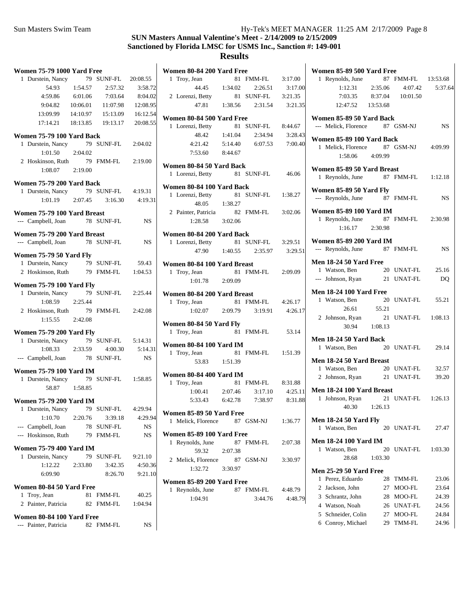| <b>Women 75-79 1000 Yard Free</b>              |            |           | Women 80-84 200 Yard Free                     |         |            |         | Women 85-89 500 Yard Free                                     |           |
|------------------------------------------------|------------|-----------|-----------------------------------------------|---------|------------|---------|---------------------------------------------------------------|-----------|
| 1 Durstein, Nancy                              | 79 SUNF-FL | 20:08.55  | 1 Troy, Jean                                  |         | 81 FMM-FL  | 3:17.00 | 1 Reynolds, June<br>87 FMM-FL                                 | 13:53.68  |
| 54.93<br>1:54.57                               | 2:57.32    | 3:58.72   | 44.45                                         | 1:34.02 | 2:26.51    | 3:17.00 | 4:07.42<br>1:12.31<br>2:35.06                                 | 5:37.64   |
| 4:59.86<br>6:01.06                             | 7:03.64    | 8:04.02   | 2 Lorenzi, Betty                              |         | 81 SUNF-FL | 3:21.35 | 7:03.35<br>8:37.04<br>10:01.50                                |           |
| 9:04.82<br>10:06.01                            | 11:07.98   | 12:08.95  | 47.81                                         | 1:38.56 | 2:31.54    | 3:21.35 | 12:47.52<br>13:53.68                                          |           |
| 13:09.99<br>14:10.97                           | 15:13.09   | 16:12.54  |                                               |         |            |         |                                                               |           |
| 17:14.21<br>18:13.85                           | 19:13.17   | 20:08.55  | Women 80-84 500 Yard Free<br>1 Lorenzi, Betty |         | 81 SUNF-FL | 8:44.67 | Women 85-89 50 Yard Back<br>87 GSM-NJ<br>--- Melick, Florence | <b>NS</b> |
|                                                |            |           | 48.42                                         | 1:41.04 | 2:34.94    | 3:28.43 |                                                               |           |
| Women 75-79 100 Yard Back<br>1 Durstein, Nancy | 79 SUNF-FL |           |                                               | 5:14.40 | 6:07.53    | 7:00.40 | Women 85-89 100 Yard Back                                     |           |
| 2:04.02                                        |            | 2:04.02   | 4:21.42                                       |         |            |         | 87 GSM-NJ<br>1 Melick, Florence                               | 4:09.99   |
| 1:01.50                                        |            |           | 7:53.60                                       | 8:44.67 |            |         | 1:58.06<br>4:09.99                                            |           |
| 2 Hoskinson, Ruth                              | 79 FMM-FL  | 2:19.00   | Women 80-84 50 Yard Back                      |         |            |         | Women 85-89 50 Yard Breast                                    |           |
| 2:19.00<br>1:08.07                             |            |           | 1 Lorenzi, Betty                              |         | 81 SUNF-FL | 46.06   | 1 Reynolds, June<br>87 FMM-FL                                 | 1:12.18   |
| Women 75-79 200 Yard Back                      |            |           |                                               |         |            |         |                                                               |           |
| 1 Durstein, Nancy                              | 79 SUNF-FL | 4:19.31   | Women 80-84 100 Yard Back                     |         |            |         | Women 85-89 50 Yard Fly                                       |           |
| 1:01.19<br>2:07.45                             | 3:16.30    | 4:19.31   | 1 Lorenzi, Betty                              |         | 81 SUNF-FL | 1:38.27 | 87 FMM-FL<br>--- Reynolds, June                               | NS.       |
|                                                |            |           | 48.05                                         | 1:38.27 |            |         | <b>Women 85-89 100 Yard IM</b>                                |           |
| Women 75-79 100 Yard Breast                    |            |           | 2 Painter, Patricia                           |         | 82 FMM-FL  | 3:02.06 | 87 FMM-FL<br>1 Reynolds, June                                 | 2:30.98   |
| --- Campbell, Joan                             | 78 SUNF-FL | <b>NS</b> | 1:28.58                                       | 3:02.06 |            |         | 2:30.98<br>1:16.17                                            |           |
| Women 75-79 200 Yard Breast                    |            |           | Women 80-84 200 Yard Back                     |         |            |         |                                                               |           |
| --- Campbell, Joan                             | 78 SUNF-FL | <b>NS</b> | 1 Lorenzi, Betty                              |         | 81 SUNF-FL | 3:29.51 | <b>Women 85-89 200 Yard IM</b>                                |           |
|                                                |            |           | 47.90                                         | 1:40.55 | 2:35.97    | 3:29.51 | 87 FMM-FL<br>--- Reynolds, June                               | <b>NS</b> |
| <b>Women 75-79 50 Yard Fly</b>                 |            |           |                                               |         |            |         |                                                               |           |
| 1 Durstein, Nancy                              | 79 SUNF-FL | 59.43     | Women 80-84 100 Yard Breast                   |         |            |         | <b>Men 18-24 50 Yard Free</b><br>1 Watson, Ben<br>20 UNAT-FL  | 25.16     |
| 2 Hoskinson, Ruth                              | 79 FMM-FL  | 1:04.53   | 1 Troy, Jean                                  |         | 81 FMM-FL  | 2:09.09 | 21 UNAT-FL<br>--- Johnson, Ryan                               | <b>DQ</b> |
| <b>Women 75-79 100 Yard Flv</b>                |            |           | 1:01.78                                       | 2:09.09 |            |         |                                                               |           |
| 1 Durstein, Nancy                              | 79 SUNF-FL | 2:25.44   | Women 80-84 200 Yard Breast                   |         |            |         | <b>Men 18-24 100 Yard Free</b>                                |           |
| 1:08.59<br>2:25.44                             |            |           | 1 Troy, Jean                                  |         | 81 FMM-FL  | 4:26.17 | 1 Watson, Ben<br>20 UNAT-FL                                   | 55.21     |
| 2 Hoskinson, Ruth                              | 79 FMM-FL  | 2:42.08   | 1:02.07                                       | 2:09.79 | 3:19.91    | 4:26.17 | 26.61<br>55.21                                                |           |
| 1:15.55<br>2:42.08                             |            |           |                                               |         |            |         | 2 Johnson, Ryan<br>21 UNAT-FL                                 | 1:08.13   |
|                                                |            |           | Women 80-84 50 Yard Fly                       |         |            |         | 1:08.13<br>30.94                                              |           |
| <b>Women 75-79 200 Yard Fly</b>                |            |           | 1 Troy, Jean                                  |         | 81 FMM-FL  | 53.14   |                                                               |           |
| 1 Durstein, Nancy                              | 79 SUNF-FL | 5:14.31   | <b>Women 80-84 100 Yard IM</b>                |         |            |         | Men 18-24 50 Yard Back                                        |           |
| 2:33.59<br>1:08.33                             | 4:00.30    | 5:14.31   | 1 Troy, Jean                                  |         | 81 FMM-FL  | 1:51.39 | 1 Watson, Ben<br>20 UNAT-FL                                   | 29.14     |
| --- Campbell, Joan                             | 78 SUNF-FL | <b>NS</b> | 53.83                                         | 1:51.39 |            |         | Men 18-24 50 Yard Breast                                      |           |
| <b>Women 75-79 100 Yard IM</b>                 |            |           |                                               |         |            |         | 20 UNAT-FL<br>1 Watson, Ben                                   | 32.57     |
| 1 Durstein, Nancy                              | 79 SUNF-FL | 1:58.85   | <b>Women 80-84 400 Yard IM</b>                |         |            |         | 2 Johnson, Ryan<br>21 UNAT-FL                                 | 39.20     |
| 58.87<br>1:58.85                               |            |           | 1 Troy, Jean                                  |         | 81 FMM-FL  | 8:31.88 |                                                               |           |
|                                                |            |           | 1:00.41                                       | 2:07.46 | 3:17.10    | 4:25.11 | Men 18-24 100 Yard Breast                                     | 1:26.13   |
| <b>Women 75-79 200 Yard IM</b>                 |            |           | 5:33.43                                       | 6:42.78 | 7:38.97    | 8:31.88 | 21 UNAT-FL<br>1 Johnson, Ryan                                 |           |
| 1 Durstein, Nancy                              | 79 SUNF-FL | 4:29.94   | Women 85-89 50 Yard Free                      |         |            |         | 40.30<br>1:26.13                                              |           |
| 1:10.70<br>2:20.76                             | 3:39.18    | 4:29.94   | 1 Melick, Florence                            |         | 87 GSM-NJ  | 1:36.77 | <b>Men 18-24 50 Yard Fly</b>                                  |           |
| --- Campbell, Joan                             | 78 SUNF-FL | NS        |                                               |         |            |         | 1 Watson, Ben<br>20 UNAT-FL                                   | 27.47     |
| --- Hoskinson, Ruth                            | 79 FMM-FL  | NS.       | Women 85-89 100 Yard Free                     |         |            |         |                                                               |           |
| <b>Women 75-79 400 Yard IM</b>                 |            |           | 1 Reynolds, June                              |         | 87 FMM-FL  | 2:07.38 | <b>Men 18-24 100 Yard IM</b>                                  |           |
| 1 Durstein, Nancy                              | 79 SUNF-FL | 9:21.10   | 59.32                                         | 2:07.38 |            |         | 1 Watson, Ben<br>20 UNAT-FL                                   | 1:03.30   |
|                                                |            |           | 2 Melick, Florence                            |         | 87 GSM-NJ  | 3:30.97 | 28.68<br>1:03.30                                              |           |
| 1:12.22<br>2:33.80                             | 3:42.35    | 4:50.36   | 1:32.72                                       | 3:30.97 |            |         | <b>Men 25-29 50 Yard Free</b>                                 |           |
| 6:09.90                                        | 8:26.70    | 9:21.10   | Women 85-89 200 Yard Free                     |         |            |         | 1 Perez, Eduardo<br>28 TMM-FL                                 | 23.06     |
| Women 80-84 50 Yard Free                       |            |           | 1 Reynolds, June                              |         | 87 FMM-FL  | 4:48.79 | 2 Jackson, John<br>27 MOO-FL                                  | 23.64     |
| 1 Troy, Jean                                   | 81 FMM-FL  | 40.25     | 1:04.91                                       |         | 3:44.76    | 4:48.79 | 3 Schrantz, John<br>28 MOO-FL                                 | 24.39     |
| 2 Painter, Patricia                            | 82 FMM-FL  | 1:04.94   |                                               |         |            |         | 4 Watson, Noah<br>26 UNAT-FL                                  | 24.56     |
|                                                |            |           |                                               |         |            |         | 5 Schneider, Colin<br>27 MOO-FL                               | 24.84     |
| Women 80-84 100 Yard Free                      |            |           |                                               |         |            |         | 6 Conroy, Michael<br>29 TMM-FL                                | 24.96     |
| --- Painter, Patricia                          | 82 FMM-FL  | NS        |                                               |         |            |         |                                                               |           |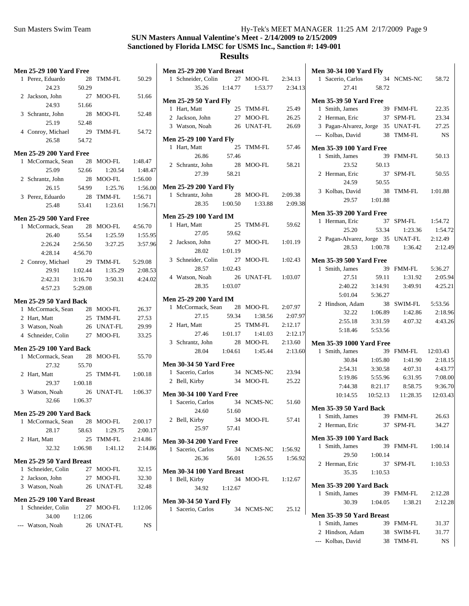#### **SUN Masters Annual Valentine's Meet - 2/14/2009 to 2/15/2009 Sanctioned by Florida LMSC for USMS Inc., Sanction #: 149-001 Results**

### **Men 25-29 100 Yard Free** 1 50.29 Perez, Eduardo 28 TMM-FL 24.23 50.29 2 51.66 Jackson, John 27 MOO-FL 24.93 51.66 3 52.48 Schrantz, John 28 MOO-FL 25.19 52.48 4 54.72 Conroy, Michael 29 TMM-FL 26.58 54.72 **Men 25-29 200 Yard Free** 1 McCormack, Sean 28 MOO-FL 1:48.47 25.09 52.66 1:48.47 1:20.54

| 23.UY            | 24.00 | 1:20.34   | 1.40.47 |
|------------------|-------|-----------|---------|
| 2 Schrantz, John |       | 28 MOO-FL | 1:56.00 |
| 26.15            | 54.99 | 1:25.76   | 1:56.00 |
| 3 Perez, Eduardo |       | 28 TMM-FL | 1:56.71 |
| 25.48            | 53.41 | 1:23.61   | 1:56.71 |
|                  |       |           |         |

|       |                                                               |                                                     | 4:56.70                                    |
|-------|---------------------------------------------------------------|-----------------------------------------------------|--------------------------------------------|
| 26.40 | 55.54                                                         |                                                     | 1:55.95                                    |
|       | 2:56.50                                                       |                                                     | 3:57.96                                    |
|       | 4:56.70                                                       |                                                     |                                            |
|       | 29                                                            | TMM-FL                                              | 5:29.08                                    |
| 29.91 | 1:02.44                                                       |                                                     | 2:08.53                                    |
|       | 3:16.70                                                       | 3:50.31                                             | 4:24.02                                    |
|       | 5:29.08                                                       |                                                     |                                            |
|       | 2:26.24<br>4:28.14<br>2 Conroy, Michael<br>2:42.31<br>4:57.23 | <b>Men 25-29 500 Yard Free</b><br>1 McCormack, Sean | 28 MOO-FL<br>1:25.59<br>3:27.25<br>1:35.29 |

#### **Men 25-29 50 Yard Back**

| 1 McCormack, Sean  | 28 MOO-FL  | 26.37 |
|--------------------|------------|-------|
| 2 Hart, Matt       | 25 TMM-FL  | 27.53 |
| 3 Watson, Noah     | 26 UNAT-FL | 29.99 |
| 4 Schneider, Colin | 27 MOO-FL  | 33.25 |

#### **Men 25-29 100 Yard Back**

| 27.32<br>55.70<br>1:00.18<br>25 TMM-FL<br>2 Hart, Matt<br>29.37<br>1:00.18<br>1:06.37<br>26 UNAT-FL<br>3 Watson, Noah<br>32.66<br>1:06.37 |  |
|-------------------------------------------------------------------------------------------------------------------------------------------|--|
|                                                                                                                                           |  |
|                                                                                                                                           |  |
|                                                                                                                                           |  |
|                                                                                                                                           |  |
|                                                                                                                                           |  |
| <b>Men 25-29 200 Yard Back</b>                                                                                                            |  |
| 1 McCormack, Sean 28 MOO-FL<br>2:00.17                                                                                                    |  |

|                          | 28.17              | 58.63   | 1:29.75   | 2:00.17 |  |  |  |  |  |
|--------------------------|--------------------|---------|-----------|---------|--|--|--|--|--|
|                          | 2 Hart, Matt       |         | 25 TMM-FL | 2:14.86 |  |  |  |  |  |
|                          | 32.32              | 1:06.98 | 1:41.12   | 2:14.86 |  |  |  |  |  |
| Men 25-29 50 Yard Breast |                    |         |           |         |  |  |  |  |  |
|                          | 1 Schneider, Colin |         | 27 MOO-FL | 32.15   |  |  |  |  |  |

| 2 Jackson, John              |         | $27$ MOO-FL | 32.30   |
|------------------------------|---------|-------------|---------|
| 3 Watson, Noah               |         | 26 UNAT-FL  | 32.48   |
| Men 25-29 100 Yard Breast    |         |             |         |
| 1 Schneider, Colin 27 MOO-FL |         |             | 1:12.06 |
| 34.00                        | 1:12.06 |             |         |
| --- Watson, Noah             |         | 26 UNAT-FL  | NS      |

| Men 25-29 200 Yard Breast                           |         |                     |         |
|-----------------------------------------------------|---------|---------------------|---------|
| 1 Schneider, Colin                                  |         | 27 MOO-FL 2:34.13   |         |
| 35.26 1:14.77                                       |         | 1:53.77             | 2:34.13 |
| <b>Men 25-29 50 Yard Fly</b>                        |         |                     |         |
| 1 Hart, Matt                                        |         | 25 TMM-FL           | 25.49   |
| 2 Jackson, John                                     |         | 27 MOO-FL           | 26.25   |
| 3 Watson, Noah                                      |         | 26 UNAT-FL          | 26.69   |
| <b>Men 25-29 100 Yard Fly</b>                       |         |                     |         |
| 1 Hart, Matt                                        | 25      | TMM-FL              | 57.46   |
| 26.86                                               | 57.46   |                     |         |
| 2 Schrantz, John                                    | 28      | MOO-FL              | 58.21   |
| 27.39                                               | 58.21   |                     |         |
| <b>Men 25-29 200 Yard Fly</b>                       |         |                     |         |
| 1 Schrantz, John 28 MOO-FL<br>28.35 1:00.50 1:33.88 |         |                     | 2:09.38 |
|                                                     |         | 1:33.88             | 2:09.38 |
| <b>Men 25-29 100 Yard IM</b>                        |         |                     |         |
| 1 Hart, Matt                                        | 25      | TMM-FL              | 59.62   |
| 27.05 59.62                                         |         |                     |         |
| 2 Jackson, John                                     | 27      | MOO-FL              | 1:01.19 |
| 28.02                                               | 1:01.19 |                     |         |
| 3 Schneider, Colin                                  | 27      | MOO-FL              | 1:02.43 |
| 28.57                                               | 1:02.43 |                     |         |
| 4 Watson, Noah                                      | 26      | UNAT-FL 1:03.07     |         |
| 28.35                                               | 1:03.07 |                     |         |
| <b>Men 25-29 200 Yard IM</b>                        |         |                     |         |
| 1 McCormack, Sean 28                                |         | MOO-FL              | 2:07.97 |
| 27.15                                               | 59.34   | 1:38.56             | 2:07.97 |
| 2 Hart, Matt                                        | 25      | TMM-FL              | 2:12.17 |
| 27.46                                               | 1:01.17 | 1:41.03             | 2:12.17 |
| 3 Schrantz, John                                    | 28      | MOO-FL              | 2:13.60 |
| 28.04                                               |         | $1:04.61$ $1:45.44$ | 2:13.60 |
| <b>Men 30-34 50 Yard Free</b>                       |         |                     |         |
| 1 Sacerio, Carlos 34 NCMS-NC                        |         |                     | 23.94   |
| 2 Bell, Kirby                                       | 34      | MOO-FL              | 25.22   |
| <b>Men 30-34 100 Yard Free</b>                      |         |                     |         |
| 1 Sacerio, Carlos                                   | 34      | NCMS-NC             | 51.60   |
| 24.60                                               | 51.60   |                     |         |
| 2 Bell, Kirby                                       | 34      | MOO-FL              | 57.41   |
| 25.97                                               | 57.41   |                     |         |
|                                                     |         |                     |         |

| <b>Men 30-34 200 Yard Free</b> |       |                    |         |  |  |  |  |  |  |
|--------------------------------|-------|--------------------|---------|--|--|--|--|--|--|
| 1 Sacerio, Carlos              |       | 34 NCMS-NC 1:56.92 |         |  |  |  |  |  |  |
| 26.36                          | 56.01 | 1:26.55            | 1:56.92 |  |  |  |  |  |  |

| Men 30-34 100 Yard Breast |             |         |
|---------------------------|-------------|---------|
| 1 Bell, Kirby             | $34$ MOO-FL | 1:12.67 |
| 34.92                     | 1:12.67     |         |

# **Men 30-34**

| 1 Bell, Kirby         |         | 34 MOO-FL 1:12.6/ |       |
|-----------------------|---------|-------------------|-------|
| 34.92                 | 1:12.67 |                   |       |
| len 30-34 50 Yard Flv |         |                   |       |
| 1 Sacerio, Carlos     |         | 34 NCMS-NC        | 25.12 |
|                       |         |                   |       |

|                | <b>Men 30-34 100 Yard Fly</b><br><b>en 30-34 10.</b><br>1 Sacerio, Carlos 37<br>$\frac{37}{41}$ 58.72 |                    |                                        |           |
|----------------|-------------------------------------------------------------------------------------------------------|--------------------|----------------------------------------|-----------|
|                |                                                                                                       |                    | 34 NCMS-NC 58.72                       |           |
| 3              |                                                                                                       |                    |                                        |           |
|                | <b>Men 35-39 50 Yard Free</b>                                                                         |                    |                                        |           |
|                | 1 Smith, James                                                                                        |                    | 39 FMM-FL                              | 22.35     |
|                | 2 Herman, Eric                                                                                        | 37 SPM-FL          |                                        | 23.34     |
|                | 3 Pagan-Alvarez, Jorge 35 UNAT-FL 27.25                                                               |                    |                                        |           |
|                | --- Kolbas, David                                                                                     |                    | 38 TMM-FL                              | <b>NS</b> |
|                | <b>Men 35-39 100 Yard Free</b>                                                                        |                    |                                        |           |
|                | 1 Smith, James                                                                                        |                    | 39 FMM-FL                              | 50.13     |
|                | 23.52                                                                                                 | 50.13              |                                        |           |
|                | 2 Herman, Eric                                                                                        |                    | 37 SPM-FL                              | 50.55     |
|                | 24.59                                                                                                 | 50.55              |                                        |           |
|                | 3 Kolbas, David                                                                                       |                    | 38 TMM-FL 1:01.88                      |           |
|                |                                                                                                       | 29.57 1:01.88      |                                        |           |
| 8              |                                                                                                       |                    |                                        |           |
|                | <b>Men 35-39 200 Yard Free</b>                                                                        |                    |                                        |           |
|                | 1 Herman, Eric                                                                                        |                    | 37 SPM-FL                              | 1:54.72   |
|                | 25.20                                                                                                 |                    | 53.34 1:23.36                          | 1:54.72   |
|                | 2 Pagan-Alvarez, Jorge 35 UNAT-FL 2:12.49                                                             |                    |                                        |           |
|                | 28.53                                                                                                 |                    | $1:00.78$ $1:36.42$                    | 2:12.49   |
|                | <b>Men 35-39 500 Yard Free</b>                                                                        |                    |                                        |           |
|                | 1 Smith, James                                                                                        |                    | 39 FMM-FL 5:36.27                      |           |
|                | 27.51                                                                                                 | 59.11              | 1:31.92                                | 2:05.94   |
|                | 2:40.22                                                                                               | 3:14.91            | 3:49.91                                | 4:25.21   |
|                | 5:01.04                                                                                               | 5:36.27            |                                        |           |
|                | 2 Hindson, Adam                                                                                       |                    | 38 SWIM-FL 5:53.56                     |           |
| 7              | 32.22                                                                                                 | 1:06.89            | 1:42.86                                | 2:18.96   |
|                | 2:55.18                                                                                               | 3:31.59            | 4:07.32                                | 4:43.26   |
| 7              |                                                                                                       | 5:18.46    5:53.56 |                                        |           |
|                | <b>Men 35-39 1000 Yard Free</b>                                                                       |                    |                                        |           |
| Э              | 1 Smith, James                                                                                        |                    | 39 FMM-FL 12:03.43                     |           |
|                | 30.84                                                                                                 | 1:05.80            | 1:41.90                                | 2:18.15   |
|                | 2:54.31                                                                                               | 3:30.58            | 4:07.31                                | 4:43.77   |
|                | 5:19.86                                                                                               | 5:55.96            | 6:31.95                                | 7:08.00   |
|                | 7:44.38                                                                                               | 8:21.17            | 8:58.75                                | 9:36.70   |
|                |                                                                                                       |                    | 10:14.55  10:52.13  11:28.35  12:03.43 |           |
|                |                                                                                                       |                    |                                        |           |
|                | <b>Men 35-39 50 Yard Back</b>                                                                         |                    |                                        |           |
| 1              | Smith, James                                                                                          |                    | 39 FMM-FL                              | 26.63     |
|                | 2 Herman, Eric                                                                                        |                    | 37 SPM-FL                              | 34.27     |
|                | <b>Men 35-39 100 Yard Back</b>                                                                        |                    |                                        |           |
|                | 1 Smith, James                                                                                        | 39                 | FMM-FL                                 | 1:00.14   |
| $\overline{c}$ | 29.50                                                                                                 | 1:00.14            |                                        |           |
|                | 2 Herman, Eric                                                                                        |                    | 37 SPM-FL                              | 1:10.53   |
|                | 35.35                                                                                                 | 1:10.53            |                                        |           |
|                | <b>Men 35-39 200 Yard Back</b>                                                                        |                    |                                        |           |
|                | 1 Smith, James                                                                                        |                    | 39 FMM-FL                              | 2:12.28   |
|                | 30.39                                                                                                 | 1:04.05            | 1:38.21                                | 2:12.28   |
|                |                                                                                                       |                    |                                        |           |
|                | Men 35-39 50 Yard Breast                                                                              |                    |                                        |           |
|                | 1 Smith, James                                                                                        |                    | 39 FMM-FL                              | 31.37     |
|                | 2 Hindson, Adam                                                                                       |                    | 38 SWIM-FL                             | 31.77     |
|                | --- Kolbas, David                                                                                     |                    | 38 TMM-FL                              | NS        |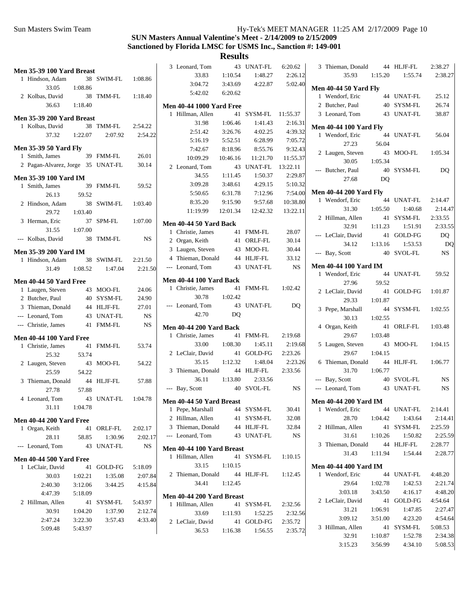|                                   |         |            |           | 3 Leonard, Tom                  |          | 43 UNAT-FL | 6:20.62   | 3 Thieman, Donald             |           | 44 HLJF-FL | 2:38.27     |
|-----------------------------------|---------|------------|-----------|---------------------------------|----------|------------|-----------|-------------------------------|-----------|------------|-------------|
| Men 35-39 100 Yard Breast         |         | 38 SWIM-FL | 1:08.86   | 33.83                           | 1:10.54  | 1:48.27    | 2:26.12   | 35.93                         | 1:15.20   | 1:55.74    | 2:38.27     |
| 1 Hindson, Adam                   |         |            |           | 3:04.72                         | 3:43.69  | 4:22.87    | 5:02.40   |                               |           |            |             |
| 33.05                             | 1:08.86 |            |           | 5:42.02                         | 6:20.62  |            |           | <b>Men 40-44 50 Yard Fly</b>  |           |            |             |
| 2 Kolbas, David                   |         | 38 TMM-FL  | 1:18.40   |                                 |          |            |           | 1 Wendorf, Eric               |           | 44 UNAT-FL | 25.12       |
| 36.63                             | 1:18.40 |            |           | <b>Men 40-44 1000 Yard Free</b> |          |            |           | 2 Butcher, Paul               |           | 40 SYSM-FL | 26.74       |
| Men 35-39 200 Yard Breast         |         |            |           | 1 Hillman, Allen                |          | 41 SYSM-FL | 11:55.37  | 3 Leonard, Tom                |           | 43 UNAT-FL | 38.87       |
| 1 Kolbas, David                   |         | 38 TMM-FL  | 2:54.22   | 31.98                           | 1:06.46  | 1:41.43    | 2:16.31   | <b>Men 40-44 100 Yard Fly</b> |           |            |             |
| 37.32                             | 1:22.07 | 2:07.92    | 2:54.22   | 2:51.42                         | 3:26.76  | 4:02.25    | 4:39.32   | 1 Wendorf, Eric               |           | 44 UNAT-FL | 56.04       |
|                                   |         |            |           | 5:16.19                         | 5:52.51  | 6:28.99    | 7:05.72   | 27.23                         | 56.04     |            |             |
| <b>Men 35-39 50 Yard Fly</b>      |         |            |           | 7:42.67                         | 8:18.96  | 8:55.76    | 9:32.43   | 2 Laugen, Steven              |           | 43 MOO-FL  | 1:05.34     |
| 1 Smith, James                    |         | 39 FMM-FL  | 26.01     | 10:09.29                        | 10:46.16 | 11:21.70   | 11:55.37  | 30.05                         | 1:05.34   |            |             |
| 2 Pagan-Alvarez, Jorge 35 UNAT-FL |         |            | 30.14     | 2 Leonard, Tom                  |          | 43 UNAT-FL | 13:22.11  | --- Butcher, Paul             |           | 40 SYSM-FL | DQ          |
| <b>Men 35-39 100 Yard IM</b>      |         |            |           | 34.55                           | 1:11.45  | 1:50.37    | 2:29.87   |                               | <b>DQ</b> |            |             |
| 1 Smith, James                    |         | 39 FMM-FL  | 59.52     | 3:09.28                         | 3:48.61  | 4:29.15    | 5:10.32   | 27.68                         |           |            |             |
| 26.13                             | 59.52   |            |           | 5:50.65                         | 6:31.78  | 7:12.96    | 7:54.00   | <b>Men 40-44 200 Yard Fly</b> |           |            |             |
| 2 Hindson, Adam                   |         | 38 SWIM-FL | 1:03.40   | 8:35.20                         | 9:15.90  | 9:57.68    | 10:38.80  | 1 Wendorf, Eric               |           | 44 UNAT-FL | 2:14.47     |
| 29.72                             | 1:03.40 |            |           | 11:19.99                        | 12:01.34 | 12:42.32   | 13:22.11  | 31.30                         | 1:05.50   | 1:40.68    | 2:14.47     |
|                                   |         |            |           |                                 |          |            |           | 2 Hillman, Allen              |           | 41 SYSM-FL | 2:33.55     |
| 3 Herman, Eric                    |         | 37 SPM-FL  | 1:07.00   | Men 40-44 50 Yard Back          |          |            |           | 32.91                         | 1:11.23   | 1:51.91    | 2:33.55     |
| 31.55                             | 1:07.00 |            |           | 1 Christie, James               |          | 41 FMM-FL  | 28.07     | --- LeClair, David            |           | 41 GOLD-FG | DQ          |
| --- Kolbas, David                 |         | 38 TMM-FL  | NS        | 2 Organ, Keith                  |          | 41 ORLF-FL | 30.14     | 34.12                         | 1:13.16   | 1:53.53    | DQ          |
| <b>Men 35-39 200 Yard IM</b>      |         |            |           | 3 Laugen, Steven                |          | 43 MOO-FL  | 30.44     | --- Bay, Scott                |           | 40 SVOL-FL | $_{\rm NS}$ |
| 1 Hindson, Adam                   |         | 38 SWIM-FL | 2:21.50   | 4 Thieman, Donald               |          | 44 HLJF-FL | 33.12     |                               |           |            |             |
| 31.49                             | 1:08.52 | 1:47.04    | 2:21.50   | --- Leonard, Tom                |          | 43 UNAT-FL | <b>NS</b> | <b>Men 40-44 100 Yard IM</b>  |           |            |             |
|                                   |         |            |           |                                 |          |            |           | 1 Wendorf, Eric               |           | 44 UNAT-FL | 59.52       |
| <b>Men 40-44 50 Yard Free</b>     |         |            |           | <b>Men 40-44 100 Yard Back</b>  |          |            |           | 27.96                         | 59.52     |            |             |
| 1 Laugen, Steven                  |         | 43 MOO-FL  | 24.06     | 1 Christie, James               |          | 41 FMM-FL  | 1:02.42   | 2 LeClair, David              |           | 41 GOLD-FG | 1:01.87     |
| 2 Butcher, Paul                   |         | 40 SYSM-FL | 24.90     | 30.78                           | 1:02.42  |            |           | 29.33                         | 1:01.87   |            |             |
| 3 Thieman, Donald                 |         | 44 HLJF-FL | 27.01     | --- Leonard, Tom                |          | 43 UNAT-FL | DQ        | 3 Pepe, Marshall              |           | 44 SYSM-FL | 1:02.55     |
| --- Leonard, Tom                  |         | 43 UNAT-FL | <b>NS</b> | 42.70                           | DQ       |            |           | 30.13                         | 1:02.55   |            |             |
| --- Christie, James               |         | 41 FMM-FL  | <b>NS</b> | <b>Men 40-44 200 Yard Back</b>  |          |            |           | 4 Organ, Keith                |           | 41 ORLF-FL | 1:03.48     |
| <b>Men 40-44 100 Yard Free</b>    |         |            |           | 1 Christie, James               |          | 41 FMM-FL  | 2:19.68   | 29.67                         | 1:03.48   |            |             |
| 1 Christie, James                 |         | 41 FMM-FL  | 53.74     | 33.00                           | 1:08.30  | 1:45.11    | 2:19.68   | 5 Laugen, Steven              |           | 43 MOO-FL  | 1:04.15     |
|                                   | 53.74   |            |           | 2 LeClair, David                |          | 41 GOLD-FG | 2:23.26   | 29.67                         | 1:04.15   |            |             |
| 25.32                             |         |            |           | 35.15                           | 1:12.32  | 1:48.04    | 2:23.26   | 6 Thieman, Donald             |           | 44 HLJF-FL | 1:06.77     |
| 2 Laugen, Steven                  |         | 43 MOO-FL  | 54.22     | 3 Thieman, Donald               |          | 44 HLJF-FL | 2:33.56   | 31.70                         | 1:06.77   |            |             |
| 25.59                             | 54.22   |            |           | 36.11                           | 1:13.80  | 2:33.56    |           | --- Bay, Scott                |           | 40 SVOL-FL | <b>NS</b>   |
| 3 Thieman, Donald                 |         | 44 HLJF-FL | 57.88     |                                 |          | 40 SVOL-FL | <b>NS</b> |                               |           | 43 UNAT-FL | <b>NS</b>   |
| 27.78                             | 57.88   |            |           | --- Bay, Scott                  |          |            |           | --- Leonard, Tom              |           |            |             |
| 4 Leonard, Tom                    |         | 43 UNAT-FL | 1:04.78   | Men 40-44 50 Yard Breast        |          |            |           | <b>Men 40-44 200 Yard IM</b>  |           |            |             |
| 31.11                             | 1:04.78 |            |           | 1 Pepe, Marshall                |          | 44 SYSM-FL | 30.41     | 1 Wendorf, Eric               |           | 44 UNAT-FL | 2:14.41     |
| <b>Men 40-44 200 Yard Free</b>    |         |            |           | 2 Hillman, Allen                |          | 41 SYSM-FL | 32.08     | 28.70                         | 1:04.42   | 1:43.64    | 2:14.41     |
| 1 Organ, Keith                    |         | 41 ORLF-FL | 2:02.17   | 3 Thieman, Donald               |          | 44 HLJF-FL | 32.84     | 2 Hillman, Allen              |           | 41 SYSM-FL | 2:25.59     |
| 28.11                             | 58.85   | 1:30.96    | 2:02.17   | --- Leonard, Tom                |          | 43 UNAT-FL | NS        | 31.61                         | 1:10.26   | 1:50.82    | 2:25.59     |
| --- Leonard, Tom                  |         | 43 UNAT-FL | <b>NS</b> |                                 |          |            |           | 3 Thieman, Donald             |           | 44 HLJF-FL | 2:28.77     |
|                                   |         |            |           | Men 40-44 100 Yard Breast       |          |            |           | 31.43                         | 1:11.94   | 1:54.44    | 2:28.77     |
| <b>Men 40-44 500 Yard Free</b>    |         |            |           | 1 Hillman, Allen                |          | 41 SYSM-FL | 1:10.15   |                               |           |            |             |
| 1 LeClair, David                  |         | 41 GOLD-FG | 5:18.09   | 33.15                           | 1:10.15  |            |           | <b>Men 40-44 400 Yard IM</b>  |           |            |             |
| 30.03                             | 1:02.21 | 1:35.08    | 2:07.84   | 2 Thieman, Donald               |          | 44 HLJF-FL | 1:12.45   | 1 Wendorf, Eric               |           | 44 UNAT-FL | 4:48.20     |
| 2:40.30                           | 3:12.06 | 3:44.25    | 4:15.84   | 34.41                           | 1:12.45  |            |           | 29.64                         | 1:02.78   | 1:42.53    | 2:21.74     |
| 4:47.39                           | 5:18.09 |            |           | Men 40-44 200 Yard Breast       |          |            |           | 3:03.18                       | 3:43.50   | 4:16.17    | 4:48.20     |
| 2 Hillman, Allen                  |         | 41 SYSM-FL | 5:43.97   | 1 Hillman, Allen                |          | 41 SYSM-FL | 2:32.56   | 2 LeClair, David              |           | 41 GOLD-FG | 4:54.64     |
| 30.91                             | 1:04.20 | 1:37.90    | 2:12.74   | 33.69                           | 1:11.93  | 1:52.25    | 2:32.56   | 31.21                         | 1:06.91   | 1:47.85    | 2:27.47     |
| 2:47.24                           | 3:22.30 | 3:57.43    | 4:33.40   | 2 LeClair, David                |          | 41 GOLD-FG | 2:35.72   | 3:09.12                       | 3:51.00   | 4:23.20    | 4:54.64     |
| 5:09.48                           | 5:43.97 |            |           | 36.53                           |          |            |           | 3 Hillman, Allen              |           | 41 SYSM-FL | 5:08.53     |
|                                   |         |            |           |                                 | 1:16.38  | 1:56.55    | 2:35.72   | 32.91                         | 1:10.87   | 1:52.78    | 2:34.38     |
|                                   |         |            |           |                                 |          |            |           | 3:15.23                       | 3:56.99   | 4:34.10    | 5:08.53     |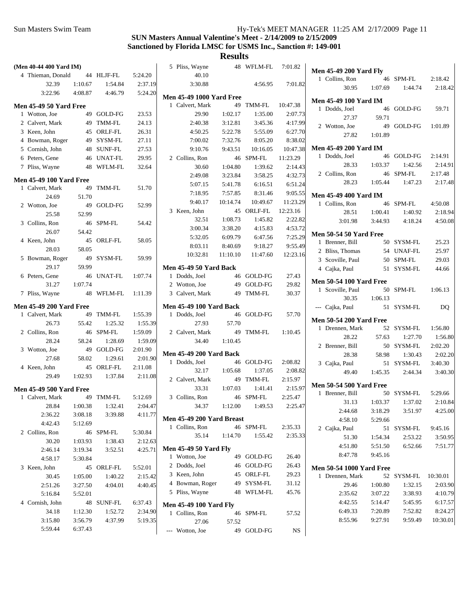| (Men 40-44 400 Yard IM)                                        |                    |                      |                    | 5 Pliss, Wayne                                |          | 48 WFLM-FL | 7:01.82   |                                 |                    |                      |                     |
|----------------------------------------------------------------|--------------------|----------------------|--------------------|-----------------------------------------------|----------|------------|-----------|---------------------------------|--------------------|----------------------|---------------------|
| 4 Thieman, Donald                                              |                    | 44 HLJF-FL           | 5:24.20            | 40.10                                         |          |            |           | <b>Men 45-49 200 Yard Fly</b>   |                    |                      |                     |
| 32.39                                                          | 1:10.67            | 1:54.84              | 2:37.19            | 3:30.88                                       |          | 4:56.95    | 7:01.82   | 1 Collins, Ron                  | 1:07.69            | 46 SPM-FL<br>1:44.74 | 2:18.42             |
| 3:22.96                                                        | 4:08.87            | 4:46.79              | 5:24.20            | <b>Men 45-49 1000 Yard Free</b>               |          |            |           | 30.95                           |                    |                      | 2:18.42             |
| <b>Men 45-49 50 Yard Free</b>                                  |                    |                      |                    | 1 Calvert, Mark                               |          | 49 TMM-FL  | 10:47.38  | <b>Men 45-49 100 Yard IM</b>    |                    |                      |                     |
| 1 Wotton, Joe                                                  |                    | 49 GOLD-FG           | 23.53              | 29.90                                         | 1:02.17  | 1:35.00    | 2:07.73   | 1 Dodds, Joel                   |                    | 46 GOLD-FG           | 59.71               |
| 2 Calvert, Mark                                                |                    | 49 TMM-FL            | 24.13              | 2:40.38                                       | 3:12.81  | 3:45.36    | 4:17.99   | 27.37                           | 59.71              |                      |                     |
| 3 Keen, John                                                   |                    | 45 ORLF-FL           | 26.31              | 4:50.25                                       | 5:22.78  | 5:55.09    | 6:27.70   | 2 Wotton, Joe                   |                    | 49 GOLD-FG           | 1:01.89             |
| 4 Bowman, Roger                                                |                    | 49 SYSM-FL           | 27.11              | 7:00.02                                       | 7:32.76  | 8:05.20    | 8:38.02   | 27.82                           | 1:01.89            |                      |                     |
| 5 Cornish, John                                                |                    | 48 SUNF-FL           | 27.53              | 9:10.76                                       | 9:43.51  | 10:16.05   | 10:47.38  | <b>Men 45-49 200 Yard IM</b>    |                    |                      |                     |
| 6 Peters, Gene                                                 |                    | 46 UNAT-FL           | 29.95              | 2 Collins, Ron                                |          | 46 SPM-FL  | 11:23.29  | 1 Dodds, Joel                   |                    | 46 GOLD-FG           | 2:14.91             |
| 7 Pliss, Wayne                                                 |                    | 48 WFLM-FL           | 32.64              | 30.60                                         | 1:04.80  | 1:39.62    | 2:14.43   | 28.33                           | 1:03.37            | 1:42.56              | 2:14.91             |
|                                                                |                    |                      |                    | 2:49.08                                       | 3:23.84  | 3:58.25    | 4:32.73   | 2 Collins, Ron                  |                    | 46 SPM-FL            | 2:17.48             |
| <b>Men 45-49 100 Yard Free</b><br>1 Calvert, Mark<br>49 TMM-FL |                    |                      | 5:07.15            | 5:41.78                                       | 6:16.51  | 6:51.24    | 28.23     | 1:05.44                         | 1:47.23            | 2:17.48              |                     |
|                                                                |                    |                      | 51.70              | 7:18.95                                       | 7:57.85  | 8:31.46    | 9:05.55   | <b>Men 45-49 400 Yard IM</b>    |                    |                      |                     |
| 24.69                                                          | 51.70              | 49 GOLD-FG           | 52.99              | 9:40.17                                       | 10:14.74 | 10:49.67   | 11:23.29  | 1 Collins, Ron                  |                    | 46 SPM-FL            | 4:50.08             |
| 2 Wotton, Joe<br>25.58                                         | 52.99              |                      |                    | 3 Keen, John                                  |          | 45 ORLF-FL | 12:23.16  | 28.51                           | 1:00.41            | 1:40.92              | 2:18.94             |
| 3 Collins, Ron                                                 |                    | 46 SPM-FL            | 54.42              | 32.51                                         | 1:08.73  | 1:45.82    | 2:22.82   | 3:01.98                         | 3:44.93            | 4:18.24              | 4:50.08             |
| 26.07                                                          | 54.42              |                      |                    | 3:00.34                                       | 3:38.20  | 4:15.83    | 4:53.72   |                                 |                    |                      |                     |
| 4 Keen, John                                                   |                    | 45 ORLF-FL           | 58.05              | 5:32.05                                       | 6:09.79  | 6:47.56    | 7:25.29   | <b>Men 50-54 50 Yard Free</b>   |                    |                      |                     |
| 28.03                                                          | 58.05              |                      |                    | 8:03.11                                       | 8:40.69  | 9:18.27    | 9:55.49   | 1 Brenner, Bill                 |                    | 50 SYSM-FL           | 25.23               |
| 5 Bowman, Roger                                                |                    | 49 SYSM-FL           | 59.99              | 10:32.81                                      | 11:10.10 | 11:47.60   | 12:23.16  | 2 Bliss, Thomas                 |                    | 54 UNAF-FL           | 25.97               |
| 29.17                                                          | 59.99              |                      |                    | Men 45-49 50 Yard Back                        |          |            |           | 3 Scoville, Paul                |                    | 50 SPM-FL            | 29.03               |
| 6 Peters, Gene                                                 |                    | 46 UNAT-FL           | 1:07.74            | 1 Dodds, Joel                                 |          | 46 GOLD-FG | 27.43     | 4 Cajka, Paul                   |                    | 51 SYSM-FL           | 44.66               |
| 31.27                                                          | 1:07.74            |                      |                    | 2 Wotton, Joe                                 |          | 49 GOLD-FG | 29.82     | <b>Men 50-54 100 Yard Free</b>  |                    |                      |                     |
| 7 Pliss, Wayne                                                 |                    | 48 WFLM-FL           | 1:11.39            | 3 Calvert, Mark                               |          | 49 TMM-FL  | 30.37     | 1 Scoville, Paul                |                    | 50 SPM-FL            | 1:06.13             |
|                                                                |                    |                      |                    |                                               |          |            |           | 30.35                           | 1:06.13            |                      |                     |
| <b>Men 45-49 200 Yard Free</b>                                 |                    |                      |                    | <b>Men 45-49 100 Yard Back</b>                |          |            |           | --- Cajka, Paul                 |                    | 51 SYSM-FL           | DQ                  |
| 1 Calvert, Mark                                                |                    | 49 TMM-FL            | 1:55.39            | 1 Dodds, Joel                                 |          | 46 GOLD-FG | 57.70     | <b>Men 50-54 200 Yard Free</b>  |                    |                      |                     |
| 26.73                                                          | 55.42              | 1:25.32              | 1:55.39            | 27.93                                         | 57.70    |            |           | 1 Drennen, Mark                 |                    | 52 SYSM-FL           | 1:56.80             |
| 2 Collins, Ron<br>28.24                                        | 58.24              | 46 SPM-FL<br>1:28.69 | 1:59.09            | 2 Calvert, Mark                               |          | 49 TMM-FL  | 1:10.45   | 28.22                           | 57.63              | 1:27.70              | 1:56.80             |
|                                                                |                    | 49 GOLD-FG           | 1:59.09            | 34.40                                         | 1:10.45  |            |           | 2 Brenner, Bill                 |                    | 50 SYSM-FL           | 2:02.20             |
| 3 Wotton, Joe<br>27.68                                         | 58.02              | 1:29.61              | 2:01.90<br>2:01.90 | <b>Men 45-49 200 Yard Back</b>                |          |            |           | 28.38                           | 58.98              | 1:30.43              | 2:02.20             |
| 4 Keen, John                                                   |                    | 45 ORLF-FL           | 2:11.08            | 1 Dodds, Joel                                 |          | 46 GOLD-FG | 2:08.82   | 3 Cajka, Paul                   |                    | 51 SYSM-FL           | 3:40.30             |
| 29.49                                                          | 1:02.93            | 1:37.84              | 2:11.08            | 32.17                                         | 1:05.68  | 1:37.05    | 2:08.82   | 49.40                           | 1:45.35            | 2:44.34              | 3:40.30             |
|                                                                |                    |                      |                    | 2 Calvert, Mark                               |          | 49 TMM-FL  | 2:15.97   | <b>Men 50-54 500 Yard Free</b>  |                    |                      |                     |
| <b>Men 45-49 500 Yard Free</b>                                 |                    |                      |                    | 33.31                                         | 1:07.03  | 1:41.41    | 2:15.97   | 1 Brenner, Bill                 |                    | 50 SYSM-FL           | 5:29.66             |
| 1 Calvert, Mark                                                |                    | 49 TMM-FL            | 5:12.69            | 3 Collins, Ron                                |          | 46 SPM-FL  | 2:25.47   | 31.13                           | 1:03.37            | 1:37.02              | 2:10.84             |
| 28.84                                                          | 1:00.38            | 1:32.41              | 2:04.47            | 34.37                                         | 1:12.00  | 1:49.53    | 2:25.47   | 2:44.68                         | 3:18.29            | 3:51.97              | 4:25.00             |
| 2:36.22                                                        | 3:08.18            | 3:39.88              | 4:11.77            | Men 45-49 200 Yard Breast                     |          |            |           | 4:58.10                         | 5:29.66            |                      |                     |
| 4:42.43                                                        | 5:12.69            |                      |                    | 1 Collins, Ron                                |          | 46 SPM-FL  | 2:35.33   | 2 Cajka, Paul                   |                    | 51 SYSM-FL           | 9:45.16             |
| 2 Collins, Ron                                                 |                    | 46 SPM-FL            | 5:30.84            | 35.14                                         | 1:14.70  | 1:55.42    | 2:35.33   | 51.30                           | 1:54.34            | 2:53.22              | 3:50.95             |
| 30.20                                                          | 1:03.93            | 1:38.43              | 2:12.63            |                                               |          |            |           | 4:51.80                         | 5:51.50            | 6:52.66              | 7:51.77             |
| 2:46.14                                                        | 3:19.34            | 3:52.51              | 4:25.71            | <b>Men 45-49 50 Yard Fly</b><br>1 Wotton, Joe |          | 49 GOLD-FG | 26.40     | 8:47.78                         | 9:45.16            |                      |                     |
| 4:58.17                                                        | 5:30.84            |                      |                    | 2 Dodds, Joel                                 |          | 46 GOLD-FG | 26.43     |                                 |                    |                      |                     |
| 3 Keen, John                                                   |                    | 45 ORLF-FL           | 5:52.01            | 3 Keen, John                                  |          | 45 ORLF-FL | 29.23     | <b>Men 50-54 1000 Yard Free</b> |                    |                      |                     |
| 30.45                                                          | 1:05.00            | 1:40.22              | 2:15.42            | 4 Bowman, Roger                               |          | 49 SYSM-FL | 31.12     | 1 Drennen, Mark                 |                    | 52 SYSM-FL           | 10:30.01            |
| 2:51.26                                                        | 3:27.50            | 4:04.01              | 4:40.45            | 5 Pliss, Wayne                                |          | 48 WFLM-FL | 45.76     | 29.46                           | 1:00.80            | 1:32.15              | 2:03.90             |
| 5:16.84                                                        | 5:52.01            |                      |                    |                                               |          |            |           | 2:35.62                         | 3:07.22            | 3:38.93              | 4:10.79             |
| 4 Cornish, John                                                |                    | 48 SUNF-FL           | 6:37.43            | <b>Men 45-49 100 Yard Fly</b>                 |          |            |           | 4:42.55                         | 5:14.47            | 5:45.95              | 6:17.57             |
| 34.18                                                          | 1:12.30            | 1:52.72              | 2:34.90            | 1 Collins, Ron                                |          | 46 SPM-FL  | 57.52     | 6:49.33<br>8:55.96              | 7:20.89<br>9:27.91 | 7:52.82<br>9:59.49   | 8:24.27<br>10:30.01 |
| 3:15.80<br>5:59.44                                             | 3:56.79<br>6:37.43 | 4:37.99              | 5:19.35            | 27.06                                         | 57.52    |            |           |                                 |                    |                      |                     |
|                                                                |                    |                      |                    | --- Wotton, Joe                               |          | 49 GOLD-FG | <b>NS</b> |                                 |                    |                      |                     |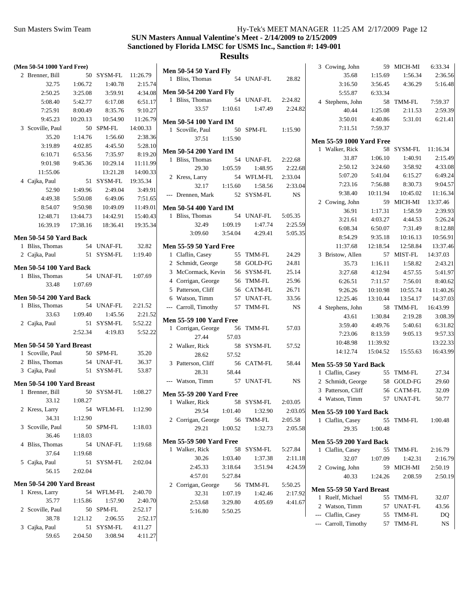| (Men 50-54 1000 Yard Free)     |          |            |          | <b>Men 50-54 50 Yard Fly</b>   |         |            |             | 3 Cowing, John                  |          | 59 MICH-MI | 6:33.34  |
|--------------------------------|----------|------------|----------|--------------------------------|---------|------------|-------------|---------------------------------|----------|------------|----------|
| 2 Brenner, Bill                |          | 50 SYSM-FL | 11:26.79 | 1 Bliss, Thomas                |         | 54 UNAF-FL | 28.82       | 35.68                           | 1:15.69  | 1:56.34    | 2:36.56  |
| 32.75                          | 1:06.72  | 1:40.78    | 2:15.74  |                                |         |            |             | 3:16.50                         | 3:56.45  | 4:36.29    | 5:16.48  |
| 2:50.25                        | 3:25.08  | 3:59.91    | 4:34.08  | <b>Men 50-54 200 Yard Fly</b>  |         |            |             | 5:55.87                         | 6:33.34  |            |          |
| 5:08.40                        | 5:42.77  | 6:17.08    | 6:51.17  | 1 Bliss, Thomas                |         | 54 UNAF-FL | 2:24.82     | 4 Stephens, John                |          | 58 TMM-FL  | 7:59.37  |
| 7:25.91                        | 8:00.49  | 8:35.76    | 9:10.27  | 33.57                          | 1:10.61 | 1:47.49    | 2:24.82     | 40.44                           | 1:25.08  | 2:11.53    | 2:59.39  |
| 9:45.23                        | 10:20.13 | 10:54.90   | 11:26.79 | <b>Men 50-54 100 Yard IM</b>   |         |            |             | 3:50.01                         | 4:40.86  | 5:31.01    | 6:21.41  |
| 3 Scoville, Paul               |          | 50 SPM-FL  | 14:00.33 | 1 Scoville, Paul               |         | 50 SPM-FL  | 1:15.90     | 7:11.51                         | 7:59.37  |            |          |
| 35.20                          | 1:14.76  | 1:56.60    | 2:38.36  | 37.51                          | 1:15.90 |            |             |                                 |          |            |          |
| 3:19.89                        | 4:02.85  | 4:45.50    | 5:28.10  |                                |         |            |             | <b>Men 55-59 1000 Yard Free</b> |          | 58 SYSM-FL |          |
| 6:10.71                        | 6:53.56  | 7:35.97    | 8:19.20  | <b>Men 50-54 200 Yard IM</b>   |         |            |             | 1 Walker, Rick                  |          |            | 11:16.34 |
| 9:01.98                        | 9:45.36  | 10:29.14   | 11:11.99 | 1 Bliss, Thomas                |         | 54 UNAF-FL | 2:22.68     | 31.87                           | 1:06.10  | 1:40.91    | 2:15.49  |
| 11:55.06                       |          | 13:21.28   | 14:00.33 | 29.30                          | 1:05.59 | 1:48.95    | 2:22.68     | 2:50.12                         | 3:24.60  | 3:58.92    | 4:33.08  |
| 4 Cajka, Paul                  |          | 51 SYSM-FL | 19:35.34 | 2 Kress, Larry                 |         | 54 WFLM-FL | 2:33.04     | 5:07.20                         | 5:41.04  | 6:15.27    | 6:49.24  |
| 52.90                          | 1:49.96  | 2:49.04    | 3:49.91  | 32.17                          | 1:15.60 | 1:58.56    | 2:33.04     | 7:23.16                         | 7:56.88  | 8:30.73    | 9:04.57  |
| 4:49.38                        | 5:50.08  | 6:49.06    | 7:51.65  | --- Drennen, Mark              |         | 52 SYSM-FL | $_{\rm NS}$ | 9:38.40                         | 10:11.94 | 10:45.02   | 11:16.34 |
| 8:54.07                        | 9:50.98  | 10:49.09   | 11:49.01 | <b>Men 50-54 400 Yard IM</b>   |         |            |             | 2 Cowing, John                  |          | 59 MICH-MI | 13:37.46 |
| 12:48.71                       | 13:44.73 | 14:42.91   | 15:40.43 | 1 Bliss, Thomas                |         | 54 UNAF-FL | 5:05.35     | 36.91                           | 1:17.31  | 1:58.59    | 2:39.93  |
| 16:39.19                       | 17:38.16 | 18:36.41   | 19:35.34 | 32.49                          | 1:09.19 | 1:47.74    | 2:25.59     | 3:21.61                         | 4:03.27  | 4:44.53    | 5:26.24  |
|                                |          |            |          | 3:09.60                        | 3:54.04 | 4:29.41    | 5:05.35     | 6:08.34                         | 6:50.07  | 7:31.49    | 8:12.88  |
| <b>Men 50-54 50 Yard Back</b>  |          |            |          |                                |         |            |             | 8:54.29                         | 9:35.18  | 10:16.13   | 10:56.91 |
| 1 Bliss, Thomas                |          | 54 UNAF-FL | 32.82    | <b>Men 55-59 50 Yard Free</b>  |         |            |             | 11:37.68                        | 12:18.54 | 12:58.84   | 13:37.46 |
| 2 Cajka, Paul                  |          | 51 SYSM-FL | 1:19.40  | 1 Claflin, Casey               |         | 55 TMM-FL  | 24.29       | 3 Bristow, Allen                |          | 57 MIST-FL | 14:37.03 |
| <b>Men 50-54 100 Yard Back</b> |          |            |          | 2 Schmidt, George              |         | 58 GOLD-FG | 24.81       | 35.73                           | 1:16.11  | 1:58.82    | 2:43.21  |
| 1 Bliss, Thomas                |          | 54 UNAF-FL | 1:07.69  | 3 McCormack, Kevin             |         | 56 SYSM-FL | 25.14       | 3:27.68                         | 4:12.94  | 4:57.55    | 5:41.97  |
| 33.48                          | 1:07.69  |            |          | 4 Corrigan, George             |         | 56 TMM-FL  | 25.96       | 6:26.51                         | 7:11.57  | 7:56.01    | 8:40.62  |
|                                |          |            |          | 5 Patterson, Cliff             |         | 56 CATM-FL | 26.71       | 9:26.26                         | 10:10.98 | 10:55.74   | 11:40.26 |
| <b>Men 50-54 200 Yard Back</b> |          |            |          | 6 Watson, Timm                 |         | 57 UNAT-FL | 33.56       | 12:25.46                        | 13:10.44 | 13:54.17   | 14:37.03 |
| 1 Bliss, Thomas                |          | 54 UNAF-FL | 2:21.52  | --- Carroll, Timothy           |         | 57 TMM-FL  | <b>NS</b>   | 4 Stephens, John                |          | 58 TMM-FL  | 16:43.99 |
| 33.63                          | 1:09.40  | 1:45.56    | 2:21.52  |                                |         |            |             | 43.61                           | 1:30.84  | 2:19.28    | 3:08.39  |
| 2 Cajka, Paul                  |          | 51 SYSM-FL | 5:52.22  | <b>Men 55-59 100 Yard Free</b> |         | 56 TMM-FL  | 57.03       | 3:59.40                         | 4:49.76  | 5:40.61    | 6:31.82  |
|                                | 2:52.34  | 4:19.83    | 5:52.22  | 1 Corrigan, George             |         |            |             | 7:23.06                         | 8:13.59  | 9:05.13    | 9:57.33  |
| Men 50-54 50 Yard Breast       |          |            |          | 27.44                          | 57.03   |            |             | 10:48.98                        | 11:39.92 |            | 13:22.33 |
| 1 Scoville, Paul               |          | 50 SPM-FL  | 35.20    | 2 Walker, Rick                 |         | 58 SYSM-FL | 57.52       | 14:12.74                        | 15:04.52 | 15:55.63   | 16:43.99 |
| 2 Bliss, Thomas                |          | 54 UNAF-FL | 36.37    | 28.62                          | 57.52   |            |             |                                 |          |            |          |
| 3 Cajka, Paul                  |          | 51 SYSM-FL | 53.87    | 3 Patterson, Cliff             |         | 56 CATM-FL | 58.44       | <b>Men 55-59 50 Yard Back</b>   |          |            |          |
|                                |          |            |          | 28.31                          | 58.44   |            |             | 1 Claflin, Casey                |          | 55 TMM-FL  | 27.34    |
| Men 50-54 100 Yard Breast      |          |            |          | --- Watson, Timm               |         | 57 UNAT-FL | NS          | 2 Schmidt, George               |          | 58 GOLD-FG | 29.60    |
| 1 Brenner, Bill                |          | 50 SYSM-FL | 1:08.27  | <b>Men 55-59 200 Yard Free</b> |         |            |             | 3 Patterson, Cliff              |          | 56 CATM-FL | 32.09    |
| 33.12                          | 1:08.27  |            |          | 1 Walker, Rick                 |         | 58 SYSM-FL | 2:03.05     | 4 Watson, Timm                  |          | 57 UNAT-FL | 50.77    |
| 2 Kress, Larry                 |          | 54 WFLM-FL | 1:12.90  | 29.54                          | 1:01.40 | 1:32.90    | 2:03.05     | <b>Men 55-59 100 Yard Back</b>  |          |            |          |
| 34.31                          | 1:12.90  |            |          | 2 Corrigan, George             |         | 56 TMM-FL  | 2:05.58     | 1 Claflin, Casey                |          | 55 TMM-FL  | 1:00.48  |
| 3 Scoville, Paul               |          | 50 SPM-FL  | 1:18.03  | 29.21                          | 1:00.52 | 1:32.73    | 2:05.58     | 29.35                           | 1:00.48  |            |          |
| 36.46                          | 1:18.03  |            |          |                                |         |            |             |                                 |          |            |          |
| 4 Bliss, Thomas                |          | 54 UNAF-FL | 1:19.68  | <b>Men 55-59 500 Yard Free</b> |         |            |             | <b>Men 55-59 200 Yard Back</b>  |          |            |          |
| 37.64                          | 1:19.68  |            |          | 1 Walker, Rick                 |         | 58 SYSM-FL | 5:27.84     | 1 Claflin, Casey                |          | 55 TMM-FL  | 2:16.79  |
| 5 Cajka, Paul                  |          | 51 SYSM-FL | 2:02.04  | 30.26                          | 1:03.40 | 1:37.38    | 2:11.18     | 32.07                           | 1:07.09  | 1:42.31    | 2:16.79  |
| 56.15                          | 2:02.04  |            |          | 2:45.33                        | 3:18.64 | 3:51.94    | 4:24.59     | 2 Cowing, John                  |          | 59 MICH-MI | 2:50.19  |
|                                |          |            |          | 4:57.01                        | 5:27.84 |            |             | 40.33                           | 1:24.26  | 2:08.59    | 2:50.19  |
| Men 50-54 200 Yard Breast      |          |            |          | 2 Corrigan, George             |         | 56 TMM-FL  | 5:50.25     | Men 55-59 50 Yard Breast        |          |            |          |
| 1 Kress, Larry                 |          | 54 WFLM-FL | 2:40.70  | 32.31                          | 1:07.19 | 1:42.46    | 2:17.92     | 1 Ruelf, Michael                |          | 55 TMM-FL  | 32.07    |
| 35.77                          | 1:15.86  | 1:57.90    | 2:40.70  | 2:53.68                        | 3:29.80 | 4:05.69    | 4:41.67     | 2 Watson, Timm                  |          | 57 UNAT-FL | 43.56    |
| 2 Scoville, Paul               |          | 50 SPM-FL  | 2:52.17  | 5:16.80                        | 5:50.25 |            |             | --- Claflin, Casey              |          | 55 TMM-FL  | DQ       |
| 38.78                          | 1:21.12  | 2:06.55    | 2:52.17  |                                |         |            |             | --- Carroll, Timothy            |          | 57 TMM-FL  | NS       |
| 3 Cajka, Paul                  |          | 51 SYSM-FL | 4:11.27  |                                |         |            |             |                                 |          |            |          |
| 59.65                          | 2:04.50  | 3:08.94    | 4:11.27  |                                |         |            |             |                                 |          |            |          |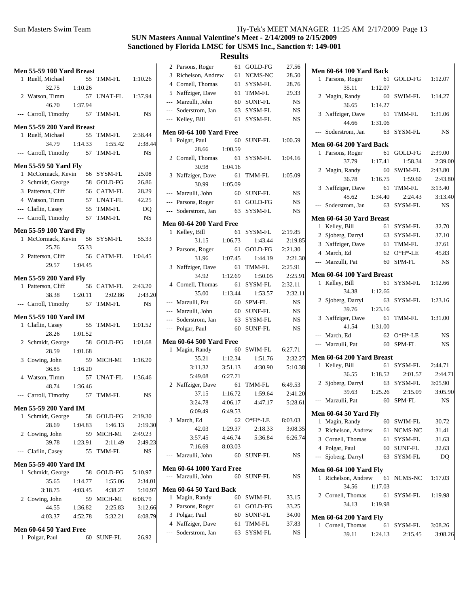|   | Men 55-59 100 Yard Breast      |         |                          |           |  |
|---|--------------------------------|---------|--------------------------|-----------|--|
|   | 1 Ruelf, Michael               | 55      | TMM-FL 1:10.26           |           |  |
|   | 32.75                          | 1:10.26 |                          |           |  |
|   | 2 Watson, Timm                 |         | 57 UNAT-FL               | 1:37.94   |  |
|   | 46.70                          | 1:37.94 |                          |           |  |
|   | --- Carroll, Timothy 57 TMM-FL |         |                          | <b>NS</b> |  |
|   | Men 55-59 200 Yard Breast      |         |                          |           |  |
|   | 1 Ruelf, Michael               |         | 55 TMM-FL 2:38.44        |           |  |
|   | 34.79                          | 1:14.33 | 1:55.42                  | 2:38.44   |  |
|   | --- Carroll, Timothy 57 TMM-FL |         |                          | <b>NS</b> |  |
|   | <b>Men 55-59 50 Yard Fly</b>   |         |                          |           |  |
|   | 1 McCormack, Kevin 56          |         | SYSM-FL                  | 25.08     |  |
|   | 2 Schmidt, George              |         | 58 GOLD-FG               | 26.86     |  |
|   | 3 Patterson, Cliff             |         | 56 CATM-FL<br>57 UNAT-FL | 28.29     |  |
|   | 4 Watson, Timm                 |         |                          | 42.25     |  |
|   | --- Claflin, Casey             |         | $55$ TMM-FL              | DQ        |  |
|   | --- Carroll, Timothy 57 TMM-FL |         |                          | <b>NS</b> |  |
|   | <b>Men 55-59 100 Yard Fly</b>  |         |                          |           |  |
|   | 1 McCormack, Kevin 56 SYSM-FL  |         |                          | 55.33     |  |
|   | 25.76                          | 55.33   |                          |           |  |
|   | 2 Patterson, Cliff 56 CATM-FL  |         |                          | 1:04.45   |  |
|   | 29.57 1:04.45                  |         |                          |           |  |
|   | <b>Men 55-59 200 Yard Fly</b>  |         |                          |           |  |
|   | 1 Patterson, Cliff 56 CATM-FL  |         |                          | 2:43.20   |  |
|   | 38.38 1:20.11                  |         | 2:02.86                  | 2:43.20   |  |
|   | --- Carroll, Timothy 57        |         | TMM-FL                   | <b>NS</b> |  |
|   | Men 55-59 100 Yard IM          |         |                          |           |  |
|   | 1 Claflin, Casey               | 55      | TMM-FL                   | 1:01.52   |  |
|   | 28.26                          | 1:01.52 |                          |           |  |
|   | 2 Schmidt, George              | 58      | GOLD-FG                  | 1:01.68   |  |
|   | 28.59                          | 1:01.68 |                          |           |  |
|   | 3 Cowing, John                 | 59      | MICH-MI                  | 1:16.20   |  |
|   | 36.85                          | 1:16.20 |                          |           |  |
|   | 4 Watson, Timm                 | 57      | UNAT-FL                  | 1:36.46   |  |
|   | 48.74                          | 1:36.46 |                          |           |  |
|   | --- Carroll, Timothy 57 TMM-FL |         |                          | <b>NS</b> |  |
|   | <b>Men 55-59 200 Yard IM</b>   |         |                          |           |  |
| 1 | Schmidt, George                |         | 58 GOLD-FG               | 2:19.30   |  |
|   | 28.69                          | 1:04.83 | 1:46.13                  | 2:19.30   |  |
|   | 2 Cowing, John                 | 59      | MICH-MI                  | 2:49.23   |  |
|   | 39.78                          | 1:23.91 | 2:11.49                  | 2:49.23   |  |
|   | --- Claflin, Casey             | 55      | TMM-FL                   | NS        |  |
|   | <b>Men 55-59 400 Yard IM</b>   |         |                          |           |  |
| 1 | Schmidt, George 58             |         | GOLD-FG                  | 5:10.97   |  |
|   | 35.65                          | 1:14.77 | 1:55.06                  | 2:34.01   |  |
|   | 3:18.75                        | 4:03.45 | 4:38.27                  | 5:10.97   |  |
|   | 2 Cowing, John                 |         | 59 MICH-MI               | 6:08.79   |  |
|   | 44.55                          | 1:36.82 | 2:25.83                  | 3:12.66   |  |
|   | 4:03.37                        | 4:52.78 | 5:32.21                  | 6:08.79   |  |
|   | Men 60-64 50 Yard Free         |         |                          |           |  |
| 1 | Polgar, Paul                   | 60      | SUNF-FL                  | 26.92     |  |
|   |                                |         |                          |           |  |

| 2              | Parsons, Roger                  | 61      | GOLD-FG        | 27.56     |
|----------------|---------------------------------|---------|----------------|-----------|
| 3              | Richelson, Andrew               | 61      | NCMS-NC        | 28.50     |
|                | 4 Cornell, Thomas               | 61      | SYSM-FL        | 28.76     |
| 5              | Naffziger, Dave                 | 61      | TMM-FL         | 29.33     |
|                | --- Marzulli, John              | 60      | <b>SUNF-FL</b> | <b>NS</b> |
|                | --- Soderstrom, Jan             | 63      | SYSM-FL        | <b>NS</b> |
| ---            | Kelley, Bill                    | 61      | SYSM-FL        | NS        |
|                | <b>Men 60-64 100 Yard Free</b>  |         |                |           |
| 1              | Polgar, Paul                    | 60      | SUNF-FL        | 1:00.59   |
|                | 28.66                           | 1:00.59 |                |           |
|                | 2 Cornell, Thomas               | 61      | SYSM-FL        | 1:04.16   |
|                | 30.98                           | 1:04.16 |                |           |
| 3              | Naffziger, Dave                 | 61      | TMM-FL         | 1:05.09   |
|                | 30.99                           | 1:05.09 |                |           |
| $\overline{a}$ | Marzulli, John                  | 60      | SUNF-FL        | <b>NS</b> |
|                | --- Parsons, Roger              | 61      | GOLD-FG        | NS        |
|                | --- Soderstrom, Jan             | 63      | SYSM-FL        | <b>NS</b> |
|                | <b>Men 60-64 200 Yard Free</b>  |         |                |           |
| 1              | Kelley, Bill                    | 61      | SYSM-FL        | 2:19.85   |
|                | 31.15                           | 1:06.73 | 1:43.44        | 2:19.85   |
| 2              | Parsons, Roger                  | 61      | GOLD-FG        | 2:21.30   |
|                | 31.96                           | 1:07.45 | 1:44.19        | 2:21.30   |
| 3              | Naffziger, Dave                 | 61      | TMM-FL         | 2:25.91   |
|                | 34.92                           | 1:12.69 | 1:50.05        | 2:25.91   |
|                | 4 Cornell, Thomas               | 61      | SYSM-FL        | 2:32.11   |
|                | 35.00                           | 1:13.44 | 1:53.57        | 2:32.11   |
|                | --- Marzulli, Pat               | 60      | SPM-FL         | <b>NS</b> |
|                | --- Marzulli, John              | 60      | SUNF-FL        | <b>NS</b> |
|                | --- Soderstrom, Jan             | 63      | SYSM-FL        | <b>NS</b> |
| $\overline{a}$ | Polgar, Paul                    | 60      | <b>SUNF-FL</b> | <b>NS</b> |
|                | <b>Men 60-64 500 Yard Free</b>  |         |                |           |
| $\mathbf{1}$   | Magin, Randy                    | 60      | SWIM-FL        | 6:27.71   |
|                | 35.21                           | 1:12.34 | 1:51.76        | 2:32.27   |
|                | 3:11.32                         | 3:51.13 | 4:30.90        | 5:10.38   |
|                | 5:49.08                         | 6:27.71 |                |           |
| $\overline{2}$ | Naffziger, Dave                 | 61      | TMM-FL         | 6:49.53   |
|                | 37.15                           | 1:16.72 | 1:59.64        | 2:41.20   |
|                | 3:24.78                         | 4:06.17 | 4:47.17        | 5:28.61   |
|                | 6:09.49                         | 6:49.53 |                |           |
| 3              | March, Ed                       | 62      | O*H*-LE        | 8:03.03   |
|                | 42.03                           | 1:29.37 | 2:18.33        | 3:08.35   |
|                | 3:57.45                         | 4:46.74 | 5:36.84        | 6:26.74   |
|                | 7:16.69                         | 8:03.03 |                |           |
| $---$          | Marzulli, John                  | 60      | <b>SUNF-FL</b> | <b>NS</b> |
|                | <b>Men 60-64 1000 Yard Free</b> |         |                |           |
| $\overline{a}$ | Marzulli, John                  | 60      | <b>SUNF-FL</b> | NS        |
|                | <b>Men 60-64 50 Yard Back</b>   |         |                |           |
| 1              | Magin, Randy                    | 60      | <b>SWIM-FL</b> | 33.15     |
|                | 2 Parsons, Roger                | 61      | GOLD-FG        | 33.25     |
|                | 3 Polgar, Paul                  | 60      | SUNF-FL        | 34.00     |
|                | 4 Naffziger, Dave               | 61      | TMM-FL         | 37.83     |
|                | --- Soderstrom, Jan             | 63      | SYSM-FL        | NS        |

|              | Men 60-64 100 Yard Back       |         |            |           |
|--------------|-------------------------------|---------|------------|-----------|
| 1            | Parsons, Roger                | 61      | GOLD-FG    | 1:12.07   |
|              | 35.11                         | 1:12.07 |            |           |
|              | 2 Magin, Randy                | 60      | SWIM-FL    | 1:14.27   |
|              | 36.65                         | 1:14.27 |            |           |
| 3            | Naffziger, Dave               | 61      | TMM-FL     | 1:31.06   |
|              | 44.66                         | 1:31.06 |            |           |
| $---$        | Soderstrom, Jan               | 63      | SYSM-FL    | <b>NS</b> |
|              | Men 60-64 200 Yard Back       |         |            |           |
| 1            | Parsons, Roger                | 61      | GOLD-FG    | 2:39.00   |
|              | 37.79                         | 1:17.41 | 1:58.34    | 2:39.00   |
| 2            | Magin, Randy                  | 60      | SWIM-FL    | 2:43.80   |
|              | 36.78                         | 1:16.75 | 1:59.60    | 2:43.80   |
| 3            | Naffziger, Dave               | 61      | TMM-FL     | 3:13.40   |
|              | 45.62                         | 1:34.40 | 2:24.43    | 3:13.40   |
| $---$        | Soderstrom, Jan               | 63      | SYSM-FL    | <b>NS</b> |
|              | Men 60-64 50 Yard Breast      |         |            |           |
| 1            | Kelley, Bill                  | 61      | SYSM-FL    | 32.70     |
|              | 2 Sjoberg, Darryl             | 63      | SYSM-FL    | 37.10     |
|              | 3 Naffziger, Dave             | 61      | TMM-FL     | 37.61     |
|              | 4 March, Ed                   | 62      | $O*H*-LE$  | 45.83     |
|              | --- Marzulli, Pat             | 60      | SPM-FL     | <b>NS</b> |
|              | Men 60-64 100 Yard Breast     |         |            |           |
| 1            | Kelley, Bill                  | 61      | SYSM-FL    | 1:12.66   |
|              | 34.38                         | 1:12.66 |            |           |
| $\mathbf{2}$ | Sjoberg, Darryl               | 63      | SYSM-FL    | 1:23.16   |
|              | 39.76                         | 1:23.16 |            |           |
| 3            | Naffziger, Dave               | 61      | TMM-FL     | 1:31.00   |
|              | 41.54                         | 1:31.00 |            |           |
|              | --- March, Ed                 | 62      | $O*H*-LE$  | NS        |
|              | --- Marzulli, Pat             | 60      | SPM-FL     | <b>NS</b> |
|              | Men 60-64 200 Yard Breast     |         |            |           |
| 1            | Kelley, Bill                  | 61      | SYSM-FL    | 2:44.71   |
|              | 36.55                         | 1:18.52 | 2:01.57    | 2:44.71   |
| 2            | Sjoberg, Darryl               | 63      | SYSM-FL    | 3:05.90   |
|              | 39.63                         | 1:25.26 | 2:15.09    | 3:05.90   |
|              | --- Marzulli, Pat             | 60      | SPM-FL     | <b>NS</b> |
|              | <b>Men 60-64 50 Yard Fly</b>  |         |            |           |
| 1            | Magin, Randy                  |         | 60 SWIM-FL | 30.72     |
|              | 2 Richelson, Andrew           | 61      | NCMS-NC    | 31.41     |
|              | 3 Cornell, Thomas             | 61      | SYSM-FL    | 31.63     |
|              | 4 Polgar, Paul                | 60      | SUNF-FL    | 32.63     |
|              | --- Sjoberg, Darryl           | 63      | SYSM-FL    | DQ        |
|              | <b>Men 60-64 100 Yard Fly</b> |         |            |           |
| 1            | Richelson, Andrew             | 61      | NCMS-NC    | 1:17.03   |
|              | 34.56                         | 1:17.03 |            |           |
|              | 2 Cornell, Thomas             | 61      | SYSM-FL    | 1:19.98   |
|              | 34.13                         | 1:19.98 |            |           |
|              | <b>Men 60-64 200 Yard Fly</b> |         |            |           |
| 1            | Cornell, Thomas               | 61      | SYSM-FL    | 3:08.26   |
|              | 39.11 1:24.13                 |         | 2:15.45    | 3:08.26   |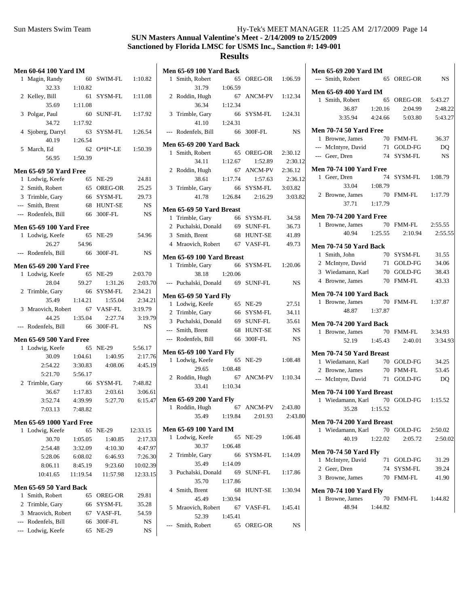|       | <b>Men 60-64 100 Yard IM</b>    |          |               |           | <b>Men 65-69 100 Yard Back</b>            |          |
|-------|---------------------------------|----------|---------------|-----------|-------------------------------------------|----------|
|       | 1 Magin, Randy                  |          | 60 SWIM-FL    | 1:10.82   | 1 Smith, Robert<br>65 OREG-OR             | 1:06.59  |
|       | 32.33                           | 1:10.82  |               |           | 31.79<br>1:06.59                          |          |
|       | 2 Kelley, Bill                  |          | 61 SYSM-FL    | 1:11.08   | 2 Roddin, Hugh<br>67 ANCM-PV              | 1:12.34  |
|       | 35.69                           | 1:11.08  |               |           | 36.34<br>1:12.34                          |          |
|       | 3 Polgar, Paul                  | 60       | SUNF-FL       | 1:17.92   | 3 Trimble, Gary<br>66 SYSM-FL             | 1:24.3   |
|       | 34.72                           | 1:17.92  |               |           | 41.10<br>1:24.31                          |          |
|       | 4 Sjoberg, Darryl               | 63       | SYSM-FL       | 1:26.54   | --- Rodenfels, Bill<br>300F-FL<br>66      | N.       |
|       | 40.19                           | 1:26.54  |               |           |                                           |          |
|       | 5 March, Ed                     |          | 62 O*H*-LE    | 1:50.39   | <b>Men 65-69 200 Yard Back</b>            |          |
|       | 56.95                           | 1:50.39  |               |           | 1 Smith, Robert<br>65 OREG-OR             | 2:30.12  |
|       |                                 |          |               |           | 34.11<br>1:12.67<br>1:52.89               | 2:30.    |
|       | <b>Men 65-69 50 Yard Free</b>   |          |               |           | 2 Roddin, Hugh<br>67 ANCM-PV              | 2:36.12  |
|       | 1 Lodwig, Keefe                 |          | 65 NE-29      | 24.81     | 38.61<br>1:17.74<br>1:57.63               | 2:36.    |
|       | 2 Smith, Robert                 |          | 65 OREG-OR    | 25.25     | 3 Trimble, Gary<br>66 SYSM-FL             | 3:03.82  |
|       | 3 Trimble, Gary                 |          | 66 SYSM-FL    | 29.73     | 41.78<br>1:26.84<br>2:16.29               | $3:03$ . |
| $---$ | Smith, Brent                    |          | 68 HUNT-SE    | NS        | Men 65-69 50 Yard Breast                  |          |
|       | --- Rodenfels, Bill             | 66       | 300F-FL       | NS        | 1 Trimble, Gary<br>66 SYSM-FL             | 34.58    |
|       | <b>Men 65-69 100 Yard Free</b>  |          |               |           | 2 Puchalski, Donald<br>69 SUNF-FL         | 36.73    |
|       | 1 Lodwig, Keefe                 |          | 65 NE-29      | 54.96     | 3 Smith, Brent<br>68 HUNT-SE              | 41.89    |
|       | 26.27                           | 54.96    |               |           | 4 Mraovich, Robert<br>67 VASF-FL          | 49.73    |
|       | --- Rodenfels, Bill             |          | 66 300F-FL    | NS.       |                                           |          |
|       |                                 |          |               |           | Men 65-69 100 Yard Breast                 |          |
|       | <b>Men 65-69 200 Yard Free</b>  |          |               |           | 1 Trimble, Gary<br>66 SYSM-FL             | 1:20.06  |
|       | 1 Lodwig, Keefe                 |          | 65 NE-29      | 2:03.70   | 38.18<br>1:20.06                          |          |
|       | 28.04                           | 59.27    | 1:31.26       | 2:03.70   | --- Puchalski, Donald<br>69 SUNF-FL       | N.       |
|       | 2 Trimble, Gary                 | 66       | SYSM-FL       | 2:34.21   | Men 65-69 50 Yard Fly                     |          |
|       | 35.49                           | 1:14.21  | 1:55.04       | 2:34.21   | 1 Lodwig, Keefe<br>65 NE-29               | 27.5     |
|       | 3 Mraovich, Robert              | 67       | VASF-FL       | 3:19.79   | 2 Trimble, Gary<br>66 SYSM-FL             | 34.1     |
|       | 44.25                           | 1:35.04  | 2:27.74       | 3:19.79   | 3 Puchalski, Donald<br>69 SUNF-FL         | 35.6     |
|       | --- Rodenfels, Bill             |          | 66 300F-FL    | <b>NS</b> | --- Smith, Brent<br>HUNT-SE<br>68         | N.       |
|       | <b>Men 65-69 500 Yard Free</b>  |          |               |           | --- Rodenfels, Bill<br>300F-FL<br>66      | N.       |
|       | 1 Lodwig, Keefe                 |          | 65 NE-29      | 5:56.17   |                                           |          |
|       | 30.09                           | 1:04.61  | 1:40.95       | 2:17.76   | <b>Men 65-69 100 Yard Fly</b><br>65 NE-29 |          |
|       | 2:54.22                         | 3:30.83  | 4:08.06       | 4:45.19   | 1 Lodwig, Keefe                           | 1:08.48  |
|       | 5:21.70                         | 5:56.17  |               |           | 29.65<br>1:08.48                          |          |
|       | 2 Trimble, Gary                 | 66       | SYSM-FL       | 7:48.82   | 67 ANCM-PV<br>2 Roddin, Hugh              | 1:10.34  |
|       | 36.67                           | 1:17.83  | 2:03.61       | 3:06.61   | 33.41<br>1:10.34                          |          |
|       | 3:52.74                         | 4:39.99  | 5:27.70       | 6:15.47   | <b>Men 65-69 200 Yard Fly</b>             |          |
|       | 7:03.13                         | 7:48.82  |               |           | 67 ANCM-PV<br>1 Roddin, Hugh              | 2:43.80  |
|       |                                 |          |               |           | 35.49<br>1:19.84<br>2:01.93               | 2:43.    |
|       | <b>Men 65-69 1000 Yard Free</b> |          | 65 NE-29      |           | <b>Men 65-69 100 Yard IM</b>              |          |
|       | 1 Lodwig, Keefe<br>30.70        |          | 1:40.85       | 12:33.15  | 1 Lodwig, Keefe<br>65 NE-29               | 1:06.48  |
|       |                                 | 1:05.05  |               | 2:17.33   | 30.37<br>1:06.48                          |          |
|       | 2:54.48                         | 3:32.09  | 4:10.30       | 4:47.97   | 2 Trimble, Gary<br>SYSM-FL<br>66          | 1:14.09  |
|       | 5:28.06                         | 6:08.02  | 6:46.93       | 7:26.30   | 35.49<br>1:14.09                          |          |
|       | 8:06.11                         | 8:45.19  | 9:23.60       | 10:02.39  | 3 Puchalski, Donald<br>SUNF-FL<br>69      | 1:17.86  |
|       | 10:41.65                        | 11:19.54 | 11:57.98      | 12:33.15  | 35.70<br>1:17.86                          |          |
|       | Men 65-69 50 Yard Back          |          |               |           | 4 Smith, Brent<br><b>HUNT-SE</b><br>68    | 1:30.94  |
|       | 1 Smith, Robert                 |          | 65 OREG-OR    | 29.81     | 45.49<br>1:30.94                          |          |
|       | 2 Trimble, Gary                 | 66       | SYSM-FL       | 35.28     | 5 Mraovich, Robert<br>67 VASF-FL          | 1:45.4   |
|       | 3 Mraovich, Robert              | 67       | VASF-FL       | 54.59     | 52.39<br>1:45.41                          |          |
|       | --- Rodenfels, Bill             | 66       | $300F$ - $FL$ | <b>NS</b> | --- Smith, Robert<br>65 OREG-OR           | N.       |
|       | --- Lodwig, Keefe               |          | 65 NE-29      | NS.       |                                           |          |
|       |                                 |          |               |           |                                           |          |

|             | 00 Yard Back   |            |           | <b>Men 65-69 200 Yard IM</b>                      |            |           |
|-------------|----------------|------------|-----------|---------------------------------------------------|------------|-----------|
| bert        |                | 65 OREG-OR | 1:06.59   | --- Smith, Robert                                 | 65 OREG-OR | <b>NS</b> |
| .79         | 1:06.59        |            |           | Men 65-69 400 Yard IM                             |            |           |
| Iugh        |                | 67 ANCM-PV | 1:12.34   | 1 Smith, Robert                                   | 65 OREG-OR | 5:43.27   |
| 5.34        | 1:12.34        |            |           | 36.87<br>1:20.16                                  | 2:04.99    | 2:48.22   |
| Gary        |                | 66 SYSM-FL | 1:24.31   | 3:35.94<br>4:24.66                                | 5:03.80    | 5:43.27   |
| $.10\,$     | 1:24.31        |            |           |                                                   |            |           |
| s, Bill     |                | 66 300F-FL | <b>NS</b> | <b>Men 70-74 50 Yard Free</b><br>1 Browne, James  | 70 FMM-FL  | 36.37     |
|             | 00 Yard Back   |            |           | --- McIntyre, David                               | 71 GOLD-FG | DQ        |
| bert        |                | 65 OREG-OR | 2:30.12   | --- Geer, Dren                                    | 74 SYSM-FL | NS.       |
| 11          | 1:12.67        | 1:52.89    | 2:30.12   |                                                   |            |           |
| Iugh        |                | 67 ANCM-PV | 2:36.12   | <b>Men 70-74 100 Yard Free</b>                    |            |           |
| 3.61        | 1:17.74        | 1:57.63    | 2:36.12   | 1 Geer, Dren                                      | 74 SYSM-FL | 1:08.79   |
| Gary        |                | 66 SYSM-FL | 3:03.82   | 33.04<br>1:08.79                                  |            |           |
| .78         | 1:26.84        | 2:16.29    | 3:03.82   | 2 Browne, James                                   | 70 FMM-FL  | 1:17.79   |
|             | 0 Yard Breast  |            |           | 37.71<br>1:17.79                                  |            |           |
| Gary        |                | 66 SYSM-FL | 34.58     | <b>Men 70-74 200 Yard Free</b>                    |            |           |
| . Donald    |                | 69 SUNF-FL | 36.73     | 1 Browne, James                                   | 70 FMM-FL  | 2:55.55   |
| ent         |                | 68 HUNT-SE | 41.89     | 40.94<br>1:25.55                                  | 2:10.94    | 2:55.55   |
| . Robert    |                | 67 VASF-FL | 49.73     | <b>Men 70-74 50 Yard Back</b>                     |            |           |
|             | 00 Yard Breast |            |           | 1 Smith, John                                     | 70 SYSM-FL | 31.55     |
| Gary        |                | 66 SYSM-FL | 1:20.06   | 2 McIntyre, David                                 | 71 GOLD-FG | 34.06     |
| 3.18        | 1:20.06        |            |           | 3 Wiedamann, Karl                                 | 70 GOLD-FG | 38.43     |
| , Donald    |                | 69 SUNF-FL | <b>NS</b> | 4 Browne, James                                   | 70 FMM-FL  | 43.33     |
|             |                |            |           |                                                   |            |           |
| 0 Yard Fly  |                |            |           | <b>Men 70-74 100 Yard Back</b><br>1 Browne, James | 70 FMM-FL  | 1:37.87   |
| Keefe       |                | 65 NE-29   | 27.51     | 48.87<br>1:37.87                                  |            |           |
| Gary        |                | 66 SYSM-FL | 34.11     |                                                   |            |           |
| , Donald    |                | 69 SUNF-FL | 35.61     | <b>Men 70-74 200 Yard Back</b>                    |            |           |
| ent         |                | 68 HUNT-SE | <b>NS</b> | 1 Browne, James                                   | 70 FMM-FL  | 3:34.93   |
| s, Bill     |                | 66 300F-FL | <b>NS</b> | 52.19<br>1:45.43                                  | 2:40.01    | 3:34.93   |
| 00 Yard Fly |                |            |           | Men 70-74 50 Yard Breast                          |            |           |
| Keefe       |                | 65 NE-29   | 1:08.48   | 1 Wiedamann, Karl                                 | 70 GOLD-FG | 34.25     |
| .65         | 1:08.48        |            |           | 2 Browne, James                                   | 70 FMM-FL  | 53.45     |
| Iugh        |                | 67 ANCM-PV | 1:10.34   | --- McIntyre, David                               | 71 GOLD-FG | DQ        |
| .41         | 1:10.34        |            |           | Men 70-74 100 Yard Breast                         |            |           |
| 00 Yard Fly |                |            |           | 1 Wiedamann, Karl                                 | 70 GOLD-FG | 1:15.52   |
| Iugh        |                | 67 ANCM-PV | 2:43.80   | 35.28<br>1:15.52                                  |            |           |
| .49         | 1:19.84        | 2:01.93    | 2:43.80   |                                                   |            |           |
| 00 Yard IM  |                |            |           | Men 70-74 200 Yard Breast                         |            |           |
| Keefe       |                | 65 NE-29   | 1:06.48   | 1 Wiedamann, Karl                                 | 70 GOLD-FG | 2:50.02   |
| .37         | 1:06.48        |            |           | 40.19<br>1:22.02                                  | 2:05.72    | 2:50.02   |
| Gary        |                | 66 SYSM-FL | 1:14.09   | <b>Men 70-74 50 Yard Fly</b>                      |            |           |
| :49         | 1:14.09        |            |           | 1 McIntyre, David                                 | 71 GOLD-FG | 31.29     |
| , Donald    |                | 69 SUNF-FL | 1:17.86   | 2 Geer, Dren                                      | 74 SYSM-FL | 39.24     |
| .70         | 1:17.86        |            |           | 3 Browne, James                                   | 70 FMM-FL  | 41.90     |
| ent         |                | 68 HUNT-SE | 1:30.94   | <b>Men 70-74 100 Yard Fly</b>                     |            |           |
| i.49        | 1:30.94        |            |           | 1 Browne, James                                   | 70 FMM-FL  | 1:44.82   |
| , Robert    | 67             | VASF-FL    | 1:45.41   | 48.94<br>1:44.82                                  |            |           |
| .39         | 1:45.41        |            |           |                                                   |            |           |
| bert        |                | 65 OREG-OR | NS.       |                                                   |            |           |
|             |                |            |           |                                                   |            |           |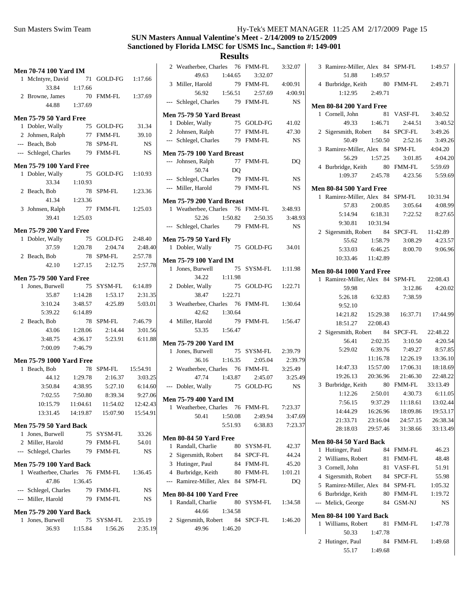# **SUN Masters Annual Valentine's Meet - 2/14/2009 to 2/15/2009 Sanctioned by Florida LMSC for USMS Inc., Sanction #: 149-001**

# **Results**

|   | <b>Men 70-74 100 Yard IM</b>                       |                 |                    |                 | 2                     |
|---|----------------------------------------------------|-----------------|--------------------|-----------------|-----------------------|
|   | 1 McIntyre, David 71 GOLD-FG 1:17.66               |                 |                    |                 |                       |
|   | 33.84                                              | 1:17.66         |                    |                 | 3                     |
|   |                                                    |                 |                    |                 |                       |
|   | 2 Browne, James 70 FMM-FL 1:37.69<br>44.88 1:37.69 |                 |                    |                 | $---$                 |
|   |                                                    |                 |                    |                 | Mer                   |
|   | <b>Men 75-79 50 Yard Free</b>                      |                 |                    |                 | 1                     |
|   | 1 Dobler, Wally                                    |                 | 75 GOLD-FG         | 31.34           | 2                     |
|   | 2 Johnsen, Ralph 77 FMM-FL 39.10                   |                 |                    |                 | ---                   |
|   | --- Beach, Bob                                     |                 | 78 SPM-FL          | <b>NS</b>       |                       |
|   | --- Schlegel, Charles 79 FMM-FL                    |                 |                    | <b>NS</b>       | Mer<br>$\overline{a}$ |
|   | <b>Men 75-79 100 Yard Free</b>                     |                 |                    |                 |                       |
|   | 1 Dobler, Wally                                    | 75              | GOLD-FG 1:10.93    |                 | ---                   |
|   | 33.34                                              | 1:10.93         |                    |                 | $---$                 |
|   | 2 Beach, Bob                                       | $78\,$          | SPM-FL             | 1:23.36         |                       |
|   |                                                    | 41.34 1:23.36   |                    |                 | Mer                   |
|   | 3 Johnsen, Ralph 77                                |                 | FMM-FL 1:25.03     |                 | 1                     |
|   | 39.41                                              | 1:25.03         |                    |                 |                       |
|   | <b>Men 75-79 200 Yard Free</b>                     |                 |                    |                 |                       |
|   | 1 Dobler, Wally                                    |                 | 75 GOLD-FG         | 2:48.40         | Mer                   |
|   |                                                    | 37.59   1:20.78 | 2:04.74            | 2:48.40         | 1                     |
|   | 2 Beach, Bob                                       | 78              | SPM-FL             | 2:57.78         | Mer                   |
|   |                                                    | 42.10 1:27.15   | 2:12.75            | 2:57.78         | 1                     |
|   | <b>Men 75-79 500 Yard Free</b>                     |                 |                    |                 |                       |
|   | 1 Jones, Burwell                                   |                 | 75 SYSM-FL 6:14.89 |                 | 2                     |
|   | 35.87                                              | 1:14.28         | 1:53.17            | 2:31.35         |                       |
|   | 3:10.24                                            | 3:48.57         | 4:25.89            | 5:03.01         | 3                     |
|   | 5:39.22                                            | 6:14.89         |                    |                 |                       |
|   | 2 Beach, Bob                                       | 78              | SPM-FL 7:46.79     |                 | 4                     |
|   | 43.06                                              | 1:28.06         | 2:14.44            | 3:01.56         |                       |
|   | 3:48.75                                            | 4:36.17         |                    | 5:23.91 6:11.88 |                       |
|   | 7:00.09                                            | 7:46.79         |                    |                 | Mer<br>1              |
|   | <b>Men 75-79 1000 Yard Free</b>                    |                 |                    |                 |                       |
|   | 1 Beach, Bob                                       |                 | 78 SPM-FL 15:54.91 |                 | 2                     |
|   |                                                    | 44.12 1:29.78   | 2:16.37            | 3:03.25         |                       |
|   | 3:50.84 4:38.95                                    |                 | 5:27.10            | 6:14.60         | $\sim$                |
|   | 7:02.55                                            | 7:50.80         | 8:39.34            | 9:27.06         |                       |
|   | 10:15.79                                           |                 | 11:04.61  11:54.02 | 12:42.43        | Mer                   |
|   | 13:31.45                                           | 14:19.87        | 15:07.90           | 15:54.91        | 1                     |
|   | <b>Men 75-79 50 Yard Back</b>                      |                 |                    |                 |                       |
|   | 1 Jones, Burwell                                   |                 | 75 SYSM-FL         | 33.26           |                       |
|   | 2 Miller, Harold                                   |                 | 79 FMM-FL          | 54.01           | Mer                   |
|   | --- Schlegel, Charles                              | 79              | FMM-FL             | NS              | 1<br>$\sqrt{2}$       |
|   | <b>Men 75-79 100 Yard Back</b>                     |                 |                    |                 | 3                     |
|   | 1 Weatherbee, Charles 76                           |                 | FMM-FL             | 1:36.45         | $\overline{4}$        |
|   | 47.86                                              | 1:36.45         |                    |                 |                       |
|   | --- Schlegel, Charles                              |                 | 79 FMM-FL          | NS              |                       |
|   | --- Miller, Harold                                 | 79              | FMM-FL             | <b>NS</b>       | Mer                   |
|   |                                                    |                 |                    |                 | 1                     |
|   | <b>Men 75-79 200 Yard Back</b>                     |                 |                    |                 |                       |
| 1 | Jones, Burwell                                     | 75              | SYSM-FL            | 2:35.19         | $\overline{c}$        |
|   | 36.93                                              | 1:15.84         | 1:56.26            | 2:35.19         |                       |

|                | 2 Weatherbee, Charles                                               |         | 76        | <b>FMM-FL</b> | 3:32.07   |
|----------------|---------------------------------------------------------------------|---------|-----------|---------------|-----------|
|                | 49.63                                                               | 1:44.65 |           | 3:32.07       |           |
| 3              | Miller, Harold                                                      |         | 79        | <b>FMM-FL</b> | 4:00.91   |
|                | 56.92                                                               | 1:56.51 |           | 2:57.69       | 4:00.91   |
|                | --- Schlegel, Charles                                               |         |           | 79 FMM-FL     | <b>NS</b> |
|                | Men 75-79 50 Yard Breast                                            |         |           |               |           |
|                | 1 Dobler, Wally                                                     |         | 75        | GOLD-FG       | 41.02     |
|                | 2 Johnsen, Ralph                                                    |         | 77        | <b>FMM-FL</b> | 47.30     |
|                | --- Schlegel, Charles                                               |         | 79        | <b>FMM-FL</b> | <b>NS</b> |
|                | Men 75-79 100 Yard Breast                                           |         |           |               |           |
|                | --- Johnsen, Ralph                                                  |         |           | 77 FMM-FL     | DQ        |
|                | 50.74                                                               |         | <b>DQ</b> |               |           |
|                | --- Schlegel, Charles                                               |         |           | 79 FMM-FL     | NS        |
|                | --- Miller, Harold                                                  |         |           | 79 FMM-FL     | NS        |
|                | <b>Men 75-79 200 Yard Breast</b><br>1 Weatherbee, Charles 76 FMM-FL |         |           |               |           |
|                |                                                                     |         |           |               | 3:48.93   |
|                | 52.26                                                               | 1:50.82 |           | 2:50.35       | 3:48.93   |
| $\cdots$       | Schlegel, Charles                                                   |         |           | 79 FMM-FL     | <b>NS</b> |
|                | <b>Men 75-79 50 Yard Fly</b>                                        |         |           |               |           |
|                | 1 Dobler, Wally                                                     |         | 75        | GOLD-FG       | 34.01     |
|                | <b>Men 75-79 100 Yard IM</b>                                        |         |           |               |           |
| 1              | Jones, Burwell                                                      |         | 75        | SYSM-FL       | 1:11.98   |
|                | 34.22                                                               | 1:11.98 |           |               |           |
|                | 2 Dobler, Wally                                                     |         | 75        | GOLD-FG       | 1:22.71   |
|                | 38.47                                                               | 1:22.71 |           |               |           |
| 3              | Weatherbee, Charles 76                                              |         |           | <b>FMM-FL</b> | 1:30.64   |
|                | 42.62                                                               | 1:30.64 |           |               |           |
|                | 4 Miller, Harold                                                    |         | 79        | <b>FMM-FL</b> | 1:56.47   |
|                | 53.35                                                               | 1:56.47 |           |               |           |
|                | <b>Men 75-79 200 Yard IM</b>                                        |         |           |               |           |
| 1              | Jones, Burwell                                                      |         | 75        | SYSM-FL       | 2:39.79   |
|                | 36.16                                                               | 1:16.35 |           | 2:05.04       | 2:39.79   |
|                | 2 Weatherbee, Charles 76                                            |         |           | FMM-FL        | 3:25.49   |
|                | 47.74                                                               | 1:43.87 |           | 2:45.07       | 3:25.49   |
|                | --- Dobler, Wally                                                   |         | 75        | GOLD-FG       | <b>NS</b> |
|                | <b>Men 75-79 400 Yard IM</b>                                        |         |           |               |           |
| $\mathbf{1}$   | Weatherbee, Charles                                                 |         | 76        | FMM-FL        | 7:23.37   |
|                | 50.41                                                               | 1:50.08 |           | 2:49.94       | 3:47.69   |
|                |                                                                     | 5:51.93 |           | 6:38.83       | 7:23.37   |
|                | <b>Men 80-84 50 Yard Free</b>                                       |         |           |               |           |
|                | 1 Randall, Charlie                                                  |         |           | 80 SYSM-FL    | 42.37     |
|                | 2 Sigersmith, Robert                                                |         |           | 84 SPCF-FL    | 44.24     |
|                | 3 Hutinger, Paul                                                    |         |           | 84 FMM-FL     | 45.20     |
|                | 4 Burbridge, Keith                                                  |         |           | 80 FMM-FL     | 1:01.21   |
|                | --- Ramirez-Miller, Alex                                            |         | 84        | SPM-FL        | DQ        |
|                | <b>Men 80-84 100 Yard Free</b>                                      |         |           |               |           |
| 1              | Randall, Charlie                                                    |         | 80        | SYSM-FL       | 1:34.58   |
|                | 44.66                                                               | 1:34.58 |           |               |           |
| $\overline{2}$ | Sigersmith, Robert 84                                               |         |           | SPCF-FL       | 1:46.20   |
|                | 49.96                                                               | 1:46.20 |           |               |           |
|                |                                                                     |         |           |               |           |

|                | 3 Ramirez-Miller, Alex 84 SPM-FL 1:49.57                                    |          |                                    |                 |
|----------------|-----------------------------------------------------------------------------|----------|------------------------------------|-----------------|
|                | 51.88<br>1:49.57                                                            |          |                                    |                 |
|                | 4 Burbridge, Keith 80 FMM-FL 2:49.71                                        |          |                                    |                 |
|                | $1:12.95$ $2:49.71$                                                         |          |                                    |                 |
|                | <b>Men 80-84 200 Yard Free</b>                                              |          |                                    |                 |
|                | 1 Cornell, John                                                             |          | 81 VASF-FL 3:40.52                 |                 |
|                | 49.33 1:46.71 2:44.51                                                       |          |                                    | 3:40.52         |
|                | 2 Sigersmith, Robert 84 SPCF-FL 3:49.26                                     |          |                                    |                 |
|                | 50.49                                                                       |          | 1:50.50  2:52.16                   | 3:49.26         |
|                | 3 Ramirez-Miller, Alex 84 SPM-FL 4:04.20                                    |          |                                    |                 |
|                | 5 1.1.1.1.1.1.1.1.1.1.1.20<br>4 Burbridge, Keith 80 FMM-FL 5:59.69          |          |                                    | 4:04.20         |
|                |                                                                             |          |                                    |                 |
|                | 1:09.37 2:45.78 4:23.56 5:59.69                                             |          |                                    |                 |
|                |                                                                             |          |                                    |                 |
|                | <b>Men 80-84 500 Yard Free</b><br>1 Ramirez-Miller, Alex 84 SPM-FL 10:31.94 |          |                                    |                 |
|                | 57.83 2:00.85 3:05.64 4:08.99                                               |          |                                    |                 |
|                | 5:14.94 6:18.31 7:22.52 8:27.65                                             |          |                                    |                 |
|                | 9:30.81  10:31.94                                                           |          |                                    |                 |
|                | 2 Sigersmith, Robert 84 SPCF-FL 11:42.89                                    |          |                                    |                 |
|                | 55.62 1:58.79                                                               |          | 3:08.29                            | 4:23.57         |
|                | 5:33.03                                                                     | 6:46.25  | 8:00.70 9:06.96                    |                 |
|                | 10:33.46 11:42.89                                                           |          |                                    |                 |
|                |                                                                             |          |                                    |                 |
|                | <b>Men 80-84 1000 Yard Free</b>                                             |          |                                    |                 |
|                | 1 Ramirez-Miller, Alex 84 SPM-FL 22:08.43                                   |          |                                    |                 |
|                | 59.98                                                                       |          |                                    | 3:12.86 4:20.02 |
|                | 5:26.18 6:32.83 7:38.59                                                     |          |                                    |                 |
|                | 9:52.10                                                                     |          |                                    |                 |
|                | 14:21.82   15:29.38   16:37.71   17:44.99                                   |          |                                    |                 |
|                | 18:51.27 22:08.43                                                           |          |                                    |                 |
|                | 2 Sigersmith, Robert 84 SPCF-FL 22:48.22                                    |          |                                    |                 |
|                | 56.41<br>2:02.35                                                            |          | 3:10.50<br>6:39.76 7:49.27 8:57.85 | 4:20.54         |
|                | 5:29.02                                                                     |          | 11:16.78  12:26.19  13:36.10       |                 |
|                | 14:47.33  15:57.00  17:06.31  18:18.69                                      |          |                                    |                 |
|                | 19:26.13  20:36.96  21:46.30  22:48.22                                      |          |                                    |                 |
|                |                                                                             |          |                                    |                 |
|                | 3 Burbridge, Keith 80 FMM-FL 33:13.49<br>1:12.26  2:50.01  4:30.73  6:11.05 |          |                                    |                 |
|                | 9:37.29<br>7:56.15                                                          |          | 11:18.61                           | 13:02.44        |
|                | 14:44.29                                                                    | 16:26.96 | 18:09.86                           | 19:53.17        |
|                | 21:33.71                                                                    | 23:16.04 | 24:57.15                           | 26:38.34        |
|                | 28:18.03                                                                    | 29:57.46 | 31:38.66                           | 33:13.49        |
|                |                                                                             |          |                                    |                 |
|                | Men 80-84 50 Yard Back                                                      |          |                                    |                 |
| 1              | Hutinger, Paul                                                              | 84       | <b>FMM-FL</b>                      | 46.23           |
| $\overline{2}$ | Williams, Robert                                                            | 81       | FMM-FL                             | 48.48           |
|                | 3 Cornell, John                                                             | 81       | VASF-FL                            | 51.91           |
|                | 4 Sigersmith, Robert                                                        | 84       | SPCF-FL                            | 55.98           |
|                | 5 Ramirez-Miller, Alex                                                      | 84       | SPM-FL                             | 1:05.32         |
|                | 6 Burbridge, Keith                                                          | 80       | FMM-FL                             | 1:19.72         |
| $---$          | Melick, George                                                              | 84       | GSM-NJ                             | NS              |
|                | <b>Men 80-84 100 Yard Back</b>                                              |          |                                    |                 |
| 1              | Williams, Robert                                                            | 81       | FMM-FL                             | 1:47.78         |
|                | 50.33                                                                       | 1:47.78  |                                    |                 |
| $\overline{2}$ | Hutinger, Paul                                                              | 84       | FMM-FL                             | 1:49.68         |
|                | 55.17                                                                       | 1:49.68  |                                    |                 |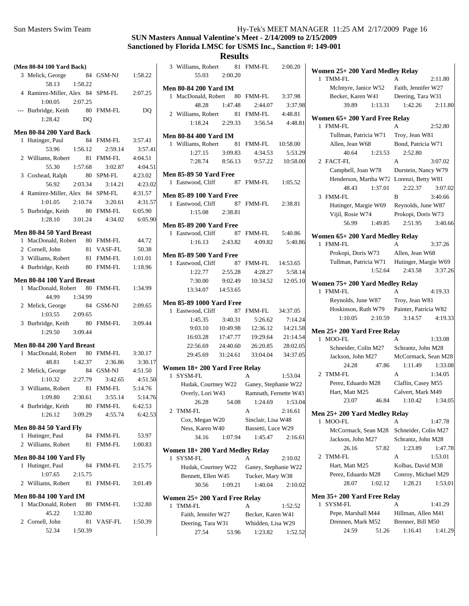# **SUN Masters Annual Valentine's Meet - 2/14/2009 to 2/15/2009 Sanctioned by Florida LMSC for USMS Inc., Sanction #: 149-001**

**Results**

| (Men 80-84 100 Yard Back) |                                       |         |                       |                    |  |  |
|---------------------------|---------------------------------------|---------|-----------------------|--------------------|--|--|
|                           | 3 Melick, George                      |         | 84 GSM-NJ 1:58.22     |                    |  |  |
|                           | 58.13                                 | 1:58.22 |                       |                    |  |  |
|                           | 4 Ramirez-Miller, Alex 84 SPM-FL      |         |                       | 2:07.25            |  |  |
|                           | $1:00.05$ $2:07.25$                   |         |                       |                    |  |  |
| $---$                     | Burbridge, Keith 80 FMM-FL            |         |                       | DQ                 |  |  |
|                           | 1:28.42                               | DQ      |                       |                    |  |  |
|                           |                                       |         |                       |                    |  |  |
|                           | <b>Men 80-84 200 Yard Back</b>        |         |                       |                    |  |  |
| 1                         | Hutinger, Paul                        | 84      | <b>FMM-FL</b>         | 3:57.41            |  |  |
|                           | 53.96                                 | 1:56.12 | 2:59.14               | 3:57.41            |  |  |
|                           | 2 Williams, Robert                    |         | 81 FMM-FL             | 4:04.51            |  |  |
|                           | 55.30 1:57.68                         |         | 3:02.87               | 4:04.51            |  |  |
|                           | 3 Coxhead, Ralph                      |         | 80 SPM-FL             | 4:23.02            |  |  |
|                           |                                       |         | 56.92 2:03.34 3:14.21 | 4:23.02            |  |  |
|                           | 4 Ramirez-Miller, Alex 84 SPM-FL      |         |                       | 4:31.57            |  |  |
|                           | 1:01.05 2:10.74                       |         | 3:20.61               | 4:31.57            |  |  |
|                           | 5 Burbridge, Keith 80 FMM-FL          |         |                       | 6:05.90            |  |  |
|                           | 1:28.10                               | 3:01.24 | 4:34.02               | 6:05.90            |  |  |
|                           |                                       |         |                       |                    |  |  |
|                           | Men 80-84 50 Yard Breast              |         |                       | 44.72              |  |  |
|                           | 1 MacDonald, Robert 80 FMM-FL         |         |                       | 50.38              |  |  |
|                           | 2 Cornell, John<br>3 Williams, Robert |         | 81 VASF-FL            |                    |  |  |
|                           |                                       |         | 81 FMM-FL             | 1:01.01<br>1:18.96 |  |  |
|                           | 4 Burbridge, Keith                    |         | 80 FMM-FL             |                    |  |  |
|                           | Men 80-84 100 Yard Breast             |         |                       |                    |  |  |
| $\mathbf{1}$              | MacDonald, Robert 80 FMM-FL           |         |                       | 1:34.99            |  |  |
|                           | 44.99                                 | 1:34.99 |                       |                    |  |  |
|                           | 2 Melick, George                      |         | 84 GSM-NJ             | 2:09.65            |  |  |
|                           | 1:03.55                               | 2:09.65 |                       |                    |  |  |
|                           | 3 Burbridge, Keith                    |         | 80 FMM-FL 3:09.44     |                    |  |  |
|                           | 1:29.50 3:09.44                       |         |                       |                    |  |  |
|                           |                                       |         |                       |                    |  |  |
|                           | Men 80-84 200 Yard Breast             |         |                       |                    |  |  |
| $\mathbf{1}$              | MacDonald, Robert 80 FMM-FL           |         |                       | 3:30.17            |  |  |
|                           | 48.81                                 | 1:42.37 | 2:36.86               | 3:30.17            |  |  |
|                           | 2 Melick, George                      |         | 84 GSM-NJ             | 4:51.50            |  |  |
|                           | $1:10.32$ $2:27.79$                   |         | 3:42.65               | 4:51.50            |  |  |
|                           | 3 Williams, Robert 81 FMM-FL 5:14.76  |         |                       |                    |  |  |
|                           | 1:09.80                               |         | 2:30.61 3:55.14       | 5:14.76            |  |  |
|                           | 4 Burbridge, Keith                    |         | 80 FMM-FL             | 6:42.53            |  |  |
|                           | 1:26.12                               | 3:09.29 | 4:55.74               | 6:42.53            |  |  |
|                           | <b>Men 80-84 50 Yard Fly</b>          |         |                       |                    |  |  |
| $\mathbf{1}$              | Hutinger, Paul                        |         | 84 FMM-FL             | 53.97              |  |  |
| 2                         | Williams, Robert                      | 81      | FMM-FL                | 1:00.83            |  |  |
|                           |                                       |         |                       |                    |  |  |
|                           | <b>Men 80-84 100 Yard Fly</b>         |         |                       |                    |  |  |
| 1                         | Hutinger, Paul                        | 84      | <b>FMM-FL</b>         | 2:15.75            |  |  |
|                           | 1:07.65                               | 2:15.75 |                       |                    |  |  |
|                           | 2 Williams, Robert 81 FMM-FL          |         |                       | 3:01.49            |  |  |
|                           | <b>Men 80-84 100 Yard IM</b>          |         |                       |                    |  |  |
| 1                         | MacDonald, Robert                     |         | 80 FMM-FL             | 1:32.80            |  |  |
|                           | 45.22                                 | 1:32.80 |                       |                    |  |  |
|                           | 2 Cornell, John                       | 81      | VASF-FL               | 1:50.39            |  |  |
|                           | 52.34                                 | 1:50.39 |                       |                    |  |  |
|                           |                                       |         |                       |                    |  |  |

|                               | 3 Williams, Robert                                                                 | 81      | FMM-FL                                                 | 2:00.20         |  |
|-------------------------------|------------------------------------------------------------------------------------|---------|--------------------------------------------------------|-----------------|--|
|                               | 55.03 2:00.20                                                                      |         |                                                        |                 |  |
|                               |                                                                                    |         |                                                        |                 |  |
|                               | <b>Men 80-84 200 Yard IM</b>                                                       |         |                                                        |                 |  |
|                               | 1 MacDonald, Robert 80 FMM-FL 3:37.98                                              |         |                                                        |                 |  |
|                               | 48.28                                                                              | 1:47.48 | 2:44.07                                                | 3:37.98         |  |
|                               | 2 Williams, Robert 81                                                              |         | FMM-FL                                                 | 4:48.81         |  |
|                               |                                                                                    |         | $1:18.24 \qquad 2:29.33 \qquad 3:56.54 \qquad 4:48.81$ |                 |  |
|                               |                                                                                    |         |                                                        |                 |  |
|                               | <b>Men 80-84 400 Yard IM</b><br>1 Williams, Robert 81 FMM-FL 10:58.00              |         |                                                        |                 |  |
|                               |                                                                                    |         |                                                        |                 |  |
|                               |                                                                                    |         | $1:27.15$ $3:09.83$ $4:34.53$                          | 5:53.29         |  |
|                               |                                                                                    |         | 7:28.74 8:56.13 9:57.22 10:58.00                       |                 |  |
|                               | <b>Men 85-89 50 Yard Free</b>                                                      |         |                                                        |                 |  |
|                               | 1 Eastwood, Cliff 87 FMM-FL 1:05.52                                                |         |                                                        |                 |  |
|                               |                                                                                    |         |                                                        |                 |  |
|                               | <b>Men 85-89 100 Yard Free</b>                                                     |         |                                                        |                 |  |
|                               | 1 Eastwood, Cliff 87 FMM-FL 2:38.81                                                |         |                                                        |                 |  |
|                               | $1:15.08$ $2:38.81$                                                                |         |                                                        |                 |  |
|                               | <b>Men 85-89 200 Yard Free</b>                                                     |         |                                                        |                 |  |
|                               | 1 Eastwood, Cliff                                                                  |         | 87 FMM-FL 5:40.86                                      |                 |  |
|                               | $1:16.13$ $2:43.82$                                                                |         | 4:09.82                                                | 5:40.86         |  |
|                               |                                                                                    |         |                                                        |                 |  |
|                               | <b>Men 85-89 500 Yard Free</b>                                                     |         |                                                        |                 |  |
|                               | 1 Eastwood, Cliff 87 FMM-FL 14:53.65                                               |         |                                                        |                 |  |
|                               |                                                                                    |         | 1:22.77 2:55.28 4:28.27 5:58.14                        |                 |  |
|                               |                                                                                    |         | 7:30.00 9:02.49 10:34.52 12:05.10                      |                 |  |
|                               | 13:34.07  14:53.65                                                                 |         |                                                        |                 |  |
|                               | <b>Men 85-89 1000 Yard Free</b>                                                    |         |                                                        |                 |  |
|                               | 1 Eastwood, Cliff                                                                  |         | 87 FMM-FL 34:37.05                                     |                 |  |
|                               | 1:45.35                                                                            |         |                                                        |                 |  |
|                               |                                                                                    | 3:40.31 | 5:26.62<br>9:03.10  10:49.98  12:36.12  14:21.58       | 7:14.24         |  |
|                               |                                                                                    |         |                                                        |                 |  |
|                               |                                                                                    |         | 16:03.28  17:47.77  19:29.64                           | 21:14.54        |  |
|                               |                                                                                    |         | 22:56.69 24:40.60 26:20.85 28:02.05                    |                 |  |
|                               |                                                                                    |         | 29:45.69 31:24.61 33:04.04 34:37.05                    |                 |  |
|                               | Women 18+200 Yard Free Relay                                                       |         |                                                        |                 |  |
| 1                             | SYSM-FL                                                                            |         | A                                                      | 1:53.04         |  |
|                               |                                                                                    |         |                                                        |                 |  |
|                               | Hudak, Courtney W22 Ganey, Stephanie W22<br>Overly, Lori W43 Ramnath, Fernette W43 |         |                                                        |                 |  |
|                               | 26.28                                                                              | 54.08   |                                                        | 1:24.69 1:53.04 |  |
|                               |                                                                                    |         |                                                        |                 |  |
| 2                             | TMM-FL                                                                             |         | А                                                      | 2:16.61         |  |
|                               | Cox, Megan W20                                                                     |         | Sinclair, Lisa W48                                     |                 |  |
|                               | Ness, Karen W40                                                                    |         | Bassetti, Luce W29                                     |                 |  |
|                               | 34.16                                                                              | 1:07.94 | 1:45.47                                                | 2:16.61         |  |
|                               | Women 18+200 Yard Medley Relay                                                     |         |                                                        |                 |  |
| 1                             | SYSM-FL                                                                            |         | А                                                      | 2:10.02         |  |
|                               | Hudak, Courtney W22                                                                |         | Ganey, Stephanie W22                                   |                 |  |
|                               | Bennett, Ellen W45                                                                 |         | Tucker, Mary W38                                       |                 |  |
|                               | 30.56                                                                              | 1:09.21 | 1:40.04                                                | 2:10.02         |  |
|                               |                                                                                    |         |                                                        |                 |  |
| Women 25+ 200 Yard Free Relay |                                                                                    |         |                                                        |                 |  |
| 1                             | <b>TMM-FL</b>                                                                      |         | A                                                      | 1:52.52         |  |
|                               | Faith, Jennifer W27                                                                |         | Becker, Karen W41                                      |                 |  |
|                               | Deering, Tara W31                                                                  |         | Whidden, Lisa W29                                      |                 |  |
|                               | 27.54                                                                              | 53.96   | 1:23.82                                                | 1:52.52         |  |

| Women 25+200 Yard Medley Relay             |                       |         |  |  |
|--------------------------------------------|-----------------------|---------|--|--|
| 1 TMM-FL                                   | 2:11.80               |         |  |  |
| McIntyre, Janice W52 Faith, Jennifer W27   |                       |         |  |  |
| Becker, Karen W41 Deering, Tara W31        |                       |         |  |  |
| 39.89<br>1:13.31                           | 1:42.26               | 2:11.80 |  |  |
| Women 65+200 Yard Free Relay               |                       |         |  |  |
| 1 FMM-FL                                   | A                     | 2:52.80 |  |  |
| Tullman, Patricia W71                      | Troy, Jean W81        |         |  |  |
| Allen, Jean W68                            | Bond, Patricia W71    |         |  |  |
| 40.64<br>1:23.53                           | 2:52.80               |         |  |  |
| 2 FACT-FL                                  | A                     | 3:07.02 |  |  |
| Campbell, Joan W78                         | Durstein, Nancy W79   |         |  |  |
| Henderson, Martha W72 Lorenzi, Betty W81   |                       |         |  |  |
| 48.43<br>1:37.01                           | 2:22.37               | 3:07.02 |  |  |
| 3 FMM-FL                                   | B                     | 3:40.66 |  |  |
| Hutinger, Margie W69                       | Reynolds, June W87    |         |  |  |
| Vijil, Rosie W74                           | Prokopi, Doris W73    |         |  |  |
| 56.99<br>1:49.85                           | 2:51.95               | 3:40.66 |  |  |
| Women 65+200 Yard Medley Relay             |                       |         |  |  |
| 1 FMM-FL                                   | $\mathsf{A}$          | 3:37.26 |  |  |
| Prokopi, Doris W73                         | Allen, Jean W68       |         |  |  |
| Tullman, Patricia W71 Hutinger, Margie W69 |                       |         |  |  |
| 1:52.64                                    | 2:43.58               | 3:37.26 |  |  |
|                                            |                       |         |  |  |
| Women 75+200 Yard Medley Relay             |                       |         |  |  |
| 1 FMM-FL                                   | A                     | 4:19.33 |  |  |
| Reynolds, June W87                         | Troy, Jean W81        |         |  |  |
| Hoskinson, Ruth W79                        | Painter, Patricia W82 |         |  |  |
| 1:10.05<br>2:10.59                         | 3:14.57               | 4:19.33 |  |  |
| Men 25+200 Yard Free Relay                 |                       |         |  |  |
| 1 MOO-FL                                   | A                     | 1:33.08 |  |  |
| Schneider, Colin M27 Schrantz, John M28    |                       |         |  |  |
| Jackson, John M27                          | McCormack, Sean M28   |         |  |  |
| 24.28<br>47.86                             | 1:11.49               | 1:33.08 |  |  |
| 2 TMM-FL                                   | A                     | 1:34.05 |  |  |
| Perez, Eduardo M28                         | Claflin, Casey M55    |         |  |  |
| Hart, Matt M25                             | Calvert, Mark M49     |         |  |  |
| 46.84<br>23.07                             | 1:10.42               | 1:34.05 |  |  |
| Men 25+200 Yard Medley Relay               |                       |         |  |  |
| 1<br>MOO-FL                                | А                     | 1:47.78 |  |  |
| McCormack, Sean M28 Schneider, Colin M27   |                       |         |  |  |
| Jackson, John M27                          | Schrantz, John M28    |         |  |  |
| 26.16<br>57.82                             | 1:23.89               | 1:47.78 |  |  |
| 2 TMM-FL                                   | А                     | 1:53.01 |  |  |
| Hart, Matt M25                             | Kolbas, David M38     |         |  |  |
| Perez, Eduardo M28                         | Conroy, Michael M29   |         |  |  |
| 28.07<br>1:02.12                           | 1:28.21               | 1:53.01 |  |  |
| Men 35+200 Yard Free Relay                 |                       |         |  |  |
| SYSM-FL<br>$\mathbf{1}$                    | A                     | 1:41.29 |  |  |
| Pepe, Marshall M44                         | Hillman, Allen M41    |         |  |  |
| Drennen, Mark M52                          | Brenner, Bill M50     |         |  |  |
| 24.59 51.26                                | $1:16.41$ $1:41.29$   |         |  |  |